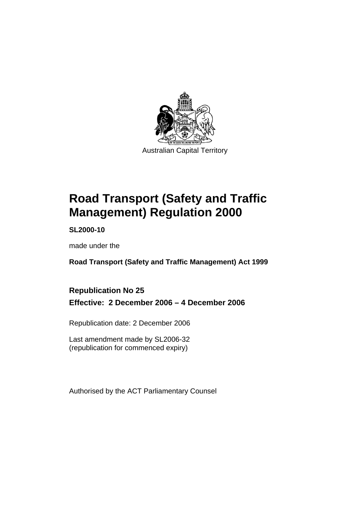

Australian Capital Territory

# **Road Transport (Safety and Traffic Management) Regulation 2000**

**SL2000-10** 

made under the

**Road Transport (Safety and Traffic Management) Act 1999** 

### **Republication No 25 Effective: 2 December 2006 – 4 December 2006**

Republication date: 2 December 2006

Last amendment made by SL2006-32 (republication for commenced expiry)

Authorised by the ACT Parliamentary Counsel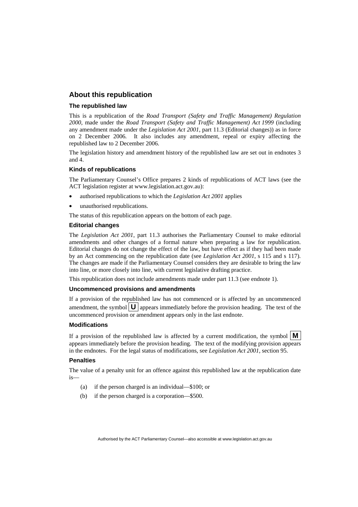#### **About this republication**

#### **The republished law**

This is a republication of the *Road Transport (Safety and Traffic Management) Regulation 2000*, made under the *Road Transport (Safety and Traffic Management) Act 1999* (including any amendment made under the *Legislation Act 2001*, part 11.3 (Editorial changes)) as in force on 2 December 2006*.* It also includes any amendment, repeal or expiry affecting the republished law to 2 December 2006.

The legislation history and amendment history of the republished law are set out in endnotes 3 and 4.

#### **Kinds of republications**

The Parliamentary Counsel's Office prepares 2 kinds of republications of ACT laws (see the ACT legislation register at www.legislation.act.gov.au):

- authorised republications to which the *Legislation Act 2001* applies
- unauthorised republications.

The status of this republication appears on the bottom of each page.

#### **Editorial changes**

The *Legislation Act 2001*, part 11.3 authorises the Parliamentary Counsel to make editorial amendments and other changes of a formal nature when preparing a law for republication. Editorial changes do not change the effect of the law, but have effect as if they had been made by an Act commencing on the republication date (see *Legislation Act 2001*, s 115 and s 117). The changes are made if the Parliamentary Counsel considers they are desirable to bring the law into line, or more closely into line, with current legislative drafting practice.

This republication does not include amendments made under part 11.3 (see endnote 1).

#### **Uncommenced provisions and amendments**

If a provision of the republished law has not commenced or is affected by an uncommenced amendment, the symbol  $\mathbf{U}$  appears immediately before the provision heading. The text of the uncommenced provision or amendment appears only in the last endnote.

#### **Modifications**

If a provision of the republished law is affected by a current modification, the symbol  $\vert \mathbf{M} \vert$ appears immediately before the provision heading. The text of the modifying provision appears in the endnotes. For the legal status of modifications, see *Legislation Act 2001*, section 95.

#### **Penalties**

The value of a penalty unit for an offence against this republished law at the republication date is—

- (a) if the person charged is an individual—\$100; or
- (b) if the person charged is a corporation—\$500.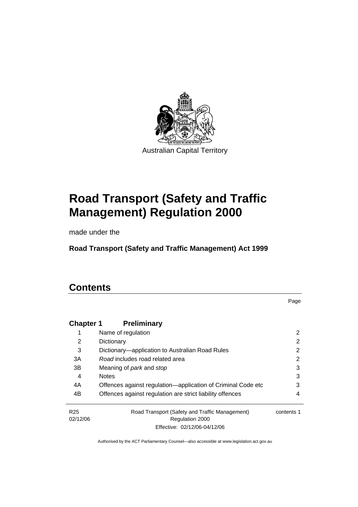

Australian Capital Territory

# **Road Transport (Safety and Traffic Management) Regulation 2000**

made under the

**Road Transport (Safety and Traffic Management) Act 1999** 

# **Contents**

Page

| <b>Chapter 1</b> | <b>Preliminary</b>                                           |            |
|------------------|--------------------------------------------------------------|------------|
|                  | Name of regulation                                           | 2          |
| 2                | Dictionary                                                   | 2          |
| 3                | Dictionary—application to Australian Road Rules              | 2          |
| 3A               | Road includes road related area                              | 2          |
| 3B               | Meaning of park and stop                                     | 3          |
| 4                | <b>Notes</b>                                                 | 3          |
| 4A               | Offences against regulation-application of Criminal Code etc | 3          |
| 4B               | Offences against regulation are strict liability offences    | 4          |
| R <sub>25</sub>  | Road Transport (Safety and Traffic Management)               | contents 1 |
| 02/12/06         | Regulation 2000                                              |            |
|                  | Effective: 02/12/06-04/12/06                                 |            |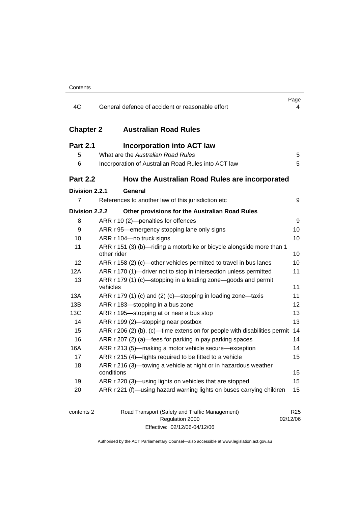| 4C               | General defence of accident or reasonable effort                                     | Page<br>4                   |
|------------------|--------------------------------------------------------------------------------------|-----------------------------|
| <b>Chapter 2</b> | <b>Australian Road Rules</b>                                                         |                             |
| <b>Part 2.1</b>  | <b>Incorporation into ACT law</b>                                                    |                             |
| 5                | What are the Australian Road Rules                                                   | 5                           |
| 6                | Incorporation of Australian Road Rules into ACT law                                  | 5                           |
| <b>Part 2.2</b>  | How the Australian Road Rules are incorporated                                       |                             |
| Division 2.2.1   | General                                                                              |                             |
| $\overline{7}$   | References to another law of this jurisdiction etc                                   | 9                           |
| Division 2.2.2   | Other provisions for the Australian Road Rules                                       |                             |
| 8                | ARR r 10 (2)-penalties for offences                                                  | 9                           |
| 9                | ARR r 95-emergency stopping lane only signs                                          | 10                          |
| 10               | ARR r 104-no truck signs                                                             | 10                          |
| 11               | ARR r 151 (3) (b)-riding a motorbike or bicycle alongside more than 1<br>other rider | 10                          |
| 12               | ARR r 158 (2) (c)-other vehicles permitted to travel in bus lanes                    | 10                          |
| 12A              | ARR r 170 (1)—driver not to stop in intersection unless permitted                    | 11                          |
| 13               | ARR r 179 (1) (c)—stopping in a loading zone—goods and permit<br>vehicles            | 11                          |
| 13A              | ARR r 179 (1) (c) and (2) (c)—stopping in loading zone—taxis                         | 11                          |
| 13B              | ARR r 183-stopping in a bus zone                                                     | 12                          |
| 13C              | ARR r 195-stopping at or near a bus stop                                             | 13                          |
| 14               | ARR r 199 (2)—stopping near postbox                                                  | 13                          |
| 15               | ARR r 206 (2) (b), (c)—time extension for people with disabilities permit            | 14                          |
| 16               | ARR r 207 (2) (a)—fees for parking in pay parking spaces                             | 14                          |
| 16A              | ARR r 213 (5)—making a motor vehicle secure—exception                                | 14                          |
| 17               | ARR r 215 (4)-lights required to be fitted to a vehicle                              | 15                          |
| 18               | ARR r 216 (3)-towing a vehicle at night or in hazardous weather<br>conditions        | 15                          |
| 19               | ARR r 220 (3)-using lights on vehicles that are stopped                              | 15                          |
| 20               | ARR r 221 (f)—using hazard warning lights on buses carrying children                 | 15                          |
| contents 2       | Road Transport (Safety and Traffic Management)<br>Regulation 2000                    | R <sub>25</sub><br>02/12/06 |

Effective: 02/12/06-04/12/06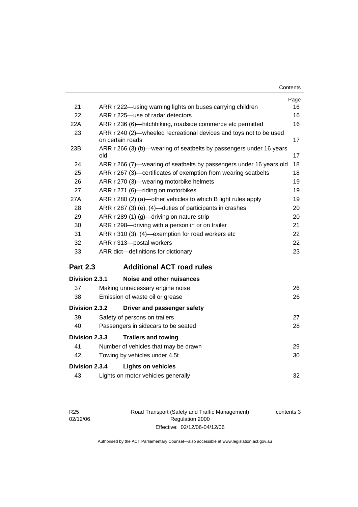| Contents |
|----------|
|----------|

|                 |                                                                                        | Page |
|-----------------|----------------------------------------------------------------------------------------|------|
| 21              | ARR r 222-using warning lights on buses carrying children                              | 16   |
| 22              | ARR r 225-use of radar detectors                                                       | 16   |
| 22A             | ARR r 236 (6)—hitchhiking, roadside commerce etc permitted                             | 16   |
| 23              | ARR r 240 (2)-wheeled recreational devices and toys not to be used<br>on certain roads | 17   |
| 23B             | ARR r 266 (3) (b)—wearing of seatbelts by passengers under 16 years<br>old             | 17   |
| 24              | ARR r 266 (7)—wearing of seatbelts by passengers under 16 years old                    | 18   |
| 25              | ARR r 267 (3)-certificates of exemption from wearing seatbelts                         | 18   |
| 26              | ARR r 270 (3)-wearing motorbike helmets                                                | 19   |
| 27              | ARR r 271 (6)-riding on motorbikes                                                     | 19   |
| 27A             | ARR r 280 (2) (a)—other vehicles to which B light rules apply                          | 19   |
| 28              | ARR r 287 (3) (e), (4)—duties of participants in crashes                               | 20   |
| 29              | ARR r 289 (1) (g)-driving on nature strip                                              | 20   |
| 30              | ARR r 298-driving with a person in or on trailer                                       | 21   |
| 31              | ARR r 310 (3), (4)-exemption for road workers etc                                      | 22   |
| 32              | ARR r 313-postal workers                                                               | 22   |
| 33              | ARR dict-definitions for dictionary                                                    | 23   |
| <b>Part 2.3</b> | <b>Additional ACT road rules</b>                                                       |      |
| Division 2.3.1  | Noise and other nuisances                                                              |      |
| 37              | Making unnecessary engine noise                                                        | 26   |
| 38              | Emission of waste oil or grease                                                        | 26   |
| Division 2.3.2  | Driver and passenger safety                                                            |      |
| 39              | Safety of persons on trailers                                                          | 27   |
| 40              | Passengers in sidecars to be seated                                                    | 28   |
| Division 2.3.3  | <b>Trailers and towing</b>                                                             |      |
| 41              | Number of vehicles that may be drawn                                                   | 29   |
| 42              | Towing by vehicles under 4.5t                                                          | 30   |
| Division 2.3.4  | <b>Lights on vehicles</b>                                                              |      |
| 43              | Lights on motor vehicles generally                                                     | 32   |
|                 |                                                                                        |      |

| R <sub>25</sub> |  |
|-----------------|--|
| 02/12/06        |  |

Road Transport (Safety and Traffic Management) Regulation 2000 Effective: 02/12/06-04/12/06

contents 3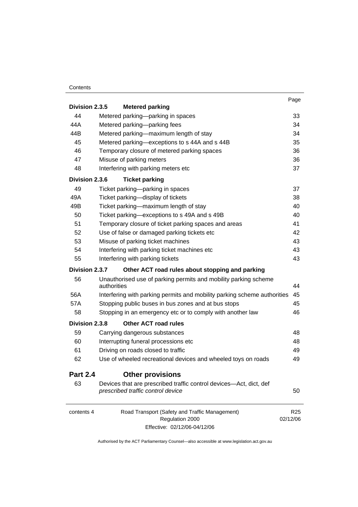#### **Contents**

| Division 2.3.5  | <b>Metered parking</b>                                                                                  | Page                        |
|-----------------|---------------------------------------------------------------------------------------------------------|-----------------------------|
| 44              | Metered parking-parking in spaces                                                                       | 33                          |
| 44A             | Metered parking-parking fees                                                                            | 34                          |
| 44B             | Metered parking-maximum length of stay                                                                  | 34                          |
| 45              | Metered parking-exceptions to s 44A and s 44B                                                           | 35                          |
| 46              | Temporary closure of metered parking spaces                                                             | 36                          |
| 47              | Misuse of parking meters                                                                                | 36                          |
| 48              | Interfering with parking meters etc                                                                     | 37                          |
| Division 2.3.6  | <b>Ticket parking</b>                                                                                   |                             |
| 49              | Ticket parking-parking in spaces                                                                        | 37                          |
| 49A             | Ticket parking-display of tickets                                                                       | 38                          |
| 49B             | Ticket parking-maximum length of stay                                                                   | 40                          |
| 50              | Ticket parking-exceptions to s 49A and s 49B                                                            | 40                          |
| 51              | Temporary closure of ticket parking spaces and areas                                                    | 41                          |
| 52              | Use of false or damaged parking tickets etc                                                             | 42                          |
| 53              | Misuse of parking ticket machines                                                                       | 43                          |
| 54              | Interfering with parking ticket machines etc                                                            | 43                          |
| 55              | Interfering with parking tickets                                                                        | 43                          |
| Division 2.3.7  | Other ACT road rules about stopping and parking                                                         |                             |
| 56              | Unauthorised use of parking permits and mobility parking scheme<br>authorities                          | 44                          |
| 56A             | Interfering with parking permits and mobility parking scheme authorities                                | 45                          |
| 57A             | Stopping public buses in bus zones and at bus stops                                                     | 45                          |
| 58              | Stopping in an emergency etc or to comply with another law                                              | 46                          |
| Division 2.3.8  | <b>Other ACT road rules</b>                                                                             |                             |
| 59              | Carrying dangerous substances                                                                           | 48                          |
| 60              | Interrupting funeral processions etc                                                                    | 48                          |
| 61              | Driving on roads closed to traffic                                                                      | 49                          |
| 62              | Use of wheeled recreational devices and wheeled toys on roads                                           | 49                          |
| <b>Part 2.4</b> | <b>Other provisions</b>                                                                                 |                             |
| 63              | Devices that are prescribed traffic control devices—Act, dict, def<br>prescribed traffic control device | 50                          |
| contents 4      | Road Transport (Safety and Traffic Management)<br>Regulation 2000                                       | R <sub>25</sub><br>02/12/06 |

Effective: 02/12/06-04/12/06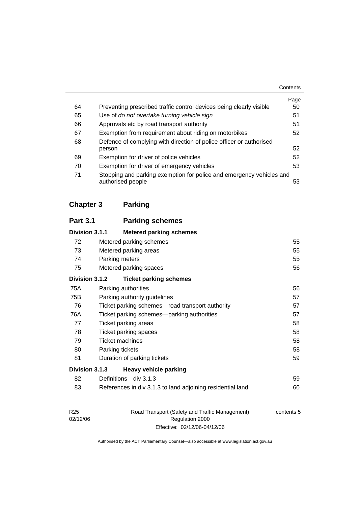|    |                                                                                           | Contents |
|----|-------------------------------------------------------------------------------------------|----------|
|    |                                                                                           | Page     |
| 64 | Preventing prescribed traffic control devices being clearly visible                       | 50       |
| 65 | Use of do not overtake turning vehicle sign                                               | 51       |
| 66 | Approvals etc by road transport authority                                                 | 51       |
| 67 | Exemption from requirement about riding on motorbikes                                     | 52       |
| 68 | Defence of complying with direction of police officer or authorised                       |          |
|    | person                                                                                    | 52       |
| 69 | Exemption for driver of police vehicles                                                   | 52       |
| 70 | Exemption for driver of emergency vehicles                                                | 53       |
| 71 | Stopping and parking exemption for police and emergency vehicles and<br>authorised people | 53       |

# **Chapter 3 Parking**

| <b>Part 3.1</b> | <b>Parking schemes</b>                                     |    |
|-----------------|------------------------------------------------------------|----|
| Division 3.1.1  | <b>Metered parking schemes</b>                             |    |
| 72              | Metered parking schemes                                    | 55 |
| 73              | Metered parking areas                                      | 55 |
| 74              | Parking meters                                             | 55 |
| 75              | Metered parking spaces                                     | 56 |
| Division 3.1.2  | <b>Ticket parking schemes</b>                              |    |
| 75A             | Parking authorities                                        | 56 |
| 75B             | Parking authority guidelines                               | 57 |
| 76              | Ticket parking schemes—road transport authority            | 57 |
| 76A             | Ticket parking schemes—parking authorities                 | 57 |
| 77              | Ticket parking areas                                       | 58 |
| 78              | Ticket parking spaces                                      | 58 |
| 79              | <b>Ticket machines</b>                                     | 58 |
| 80              | Parking tickets                                            | 58 |
| 81              | Duration of parking tickets                                | 59 |
| Division 3.1.3  | <b>Heavy vehicle parking</b>                               |    |
| 82              | Definitions-div 3.1.3                                      | 59 |
| 83              | References in div 3.1.3 to land adjoining residential land | 60 |
|                 |                                                            |    |

| R <sub>25</sub> | Road Transport (Safety and Traffic Management) | contents 5 |
|-----------------|------------------------------------------------|------------|
| 02/12/06        | Regulation 2000                                |            |
|                 | Effective: 02/12/06-04/12/06                   |            |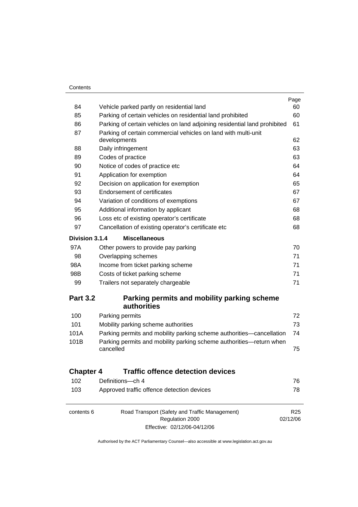$\equiv$ 

|                  |                                                                                  | Page            |
|------------------|----------------------------------------------------------------------------------|-----------------|
| 84               | Vehicle parked partly on residential land                                        | 60              |
| 85               | Parking of certain vehicles on residential land prohibited                       | 60              |
| 86               | Parking of certain vehicles on land adjoining residential land prohibited        | 61              |
| 87               | Parking of certain commercial vehicles on land with multi-unit                   |                 |
|                  | developments                                                                     | 62              |
| 88               | Daily infringement                                                               | 63              |
| 89               | Codes of practice                                                                | 63              |
| 90               | Notice of codes of practice etc                                                  | 64              |
| 91               | Application for exemption                                                        | 64              |
| 92               | Decision on application for exemption                                            | 65              |
| 93               | <b>Endorsement of certificates</b>                                               | 67              |
| 94               | Variation of conditions of exemptions                                            | 67              |
| 95               | Additional information by applicant                                              | 68              |
| 96               | Loss etc of existing operator's certificate                                      | 68              |
| 97               | Cancellation of existing operator's certificate etc                              | 68              |
| Division 3.1.4   | <b>Miscellaneous</b>                                                             |                 |
| 97A              | Other powers to provide pay parking                                              | 70              |
| 98               | Overlapping schemes                                                              | 71              |
| 98A              | Income from ticket parking scheme                                                | 71              |
| 98B              | Costs of ticket parking scheme                                                   | 71              |
| 99               | Trailers not separately chargeable                                               | 71              |
| <b>Part 3.2</b>  | Parking permits and mobility parking scheme<br><b>authorities</b>                |                 |
| 100              | Parking permits                                                                  | 72              |
| 101              | Mobility parking scheme authorities                                              | 73              |
| 101A             | Parking permits and mobility parking scheme authorities—cancellation             | 74              |
| 101B             | Parking permits and mobility parking scheme authorities-return when<br>cancelled | 75              |
| <b>Chapter 4</b> | <b>Traffic offence detection devices</b>                                         |                 |
| 102              | Definitions-ch 4                                                                 | 76              |
| 103              | Approved traffic offence detection devices                                       | 78              |
| contents 6       | Road Transport (Safety and Traffic Management)                                   | R <sub>25</sub> |
|                  | Regulation 2000<br>Effective: 02/12/06-04/12/06                                  | 02/12/06        |
|                  |                                                                                  |                 |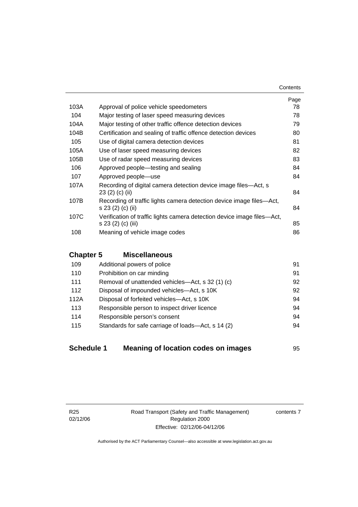|      |                                                                                               | Page |
|------|-----------------------------------------------------------------------------------------------|------|
| 103A | Approval of police vehicle speedometers                                                       | 78   |
| 104  | Major testing of laser speed measuring devices                                                | 78   |
| 104A | Major testing of other traffic offence detection devices                                      | 79   |
| 104B | Certification and sealing of traffic offence detection devices                                | 80   |
| 105  | Use of digital camera detection devices                                                       | 81   |
| 105A | Use of laser speed measuring devices                                                          | 82   |
| 105B | Use of radar speed measuring devices                                                          | 83   |
| 106  | Approved people—testing and sealing                                                           | 84   |
| 107  | Approved people-use                                                                           | 84   |
| 107A | Recording of digital camera detection device image files—Act, s<br>23(2)(c)(ii)               | 84   |
| 107B | Recording of traffic lights camera detection device image files—Act,<br>s 23 (2) (c) (ii)     | 84   |
| 107C | Verification of traffic lights camera detection device image files—Act,<br>s 23 (2) (c) (iii) | 85   |
| 108  | Meaning of vehicle image codes                                                                | 86   |

#### **Chapter 5 Miscellaneous**

| 109  | Additional powers of police                        | 91 |
|------|----------------------------------------------------|----|
| 110  | Prohibition on car minding                         | 91 |
| 111  | Removal of unattended vehicles—Act, s 32 (1) (c)   | 92 |
| 112  | Disposal of impounded vehicles—Act, s 10K          | 92 |
| 112A | Disposal of forfeited vehicles-Act, s 10K          | 94 |
| 113  | Responsible person to inspect driver licence       | 94 |
| 114  | Responsible person's consent                       | 94 |
| 115  | Standards for safe carriage of loads-Act, s 14 (2) | 94 |
|      |                                                    |    |

| <b>Schedule 1</b> | Meaning of location codes on images | 95 |
|-------------------|-------------------------------------|----|
|-------------------|-------------------------------------|----|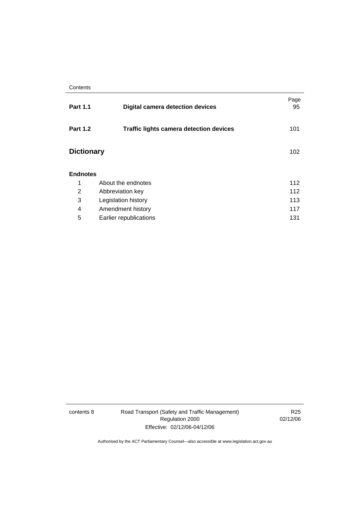| <b>Part 1.1</b>   | <b>Digital camera detection devices</b>        | Page<br>95 |  |
|-------------------|------------------------------------------------|------------|--|
| <b>Part 1.2</b>   | <b>Traffic lights camera detection devices</b> | 101        |  |
| <b>Dictionary</b> |                                                | 102        |  |
| <b>Endnotes</b>   |                                                |            |  |
| 1                 | About the endnotes                             | 112        |  |
| 2                 | Abbreviation key                               | 112        |  |
| 3                 | Legislation history<br>113                     |            |  |
| 4                 | Amendment history                              | 117        |  |
| 5                 | Earlier republications                         | 131        |  |

contents 8 Road Transport (Safety and Traffic Management) Regulation 2000 Effective: 02/12/06-04/12/06

R25 02/12/06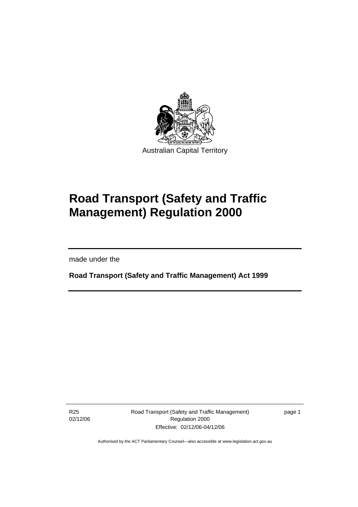

# **Road Transport (Safety and Traffic Management) Regulation 2000**

made under the

I

**Road Transport (Safety and Traffic Management) Act 1999** 

R25 02/12/06 Road Transport (Safety and Traffic Management) Regulation 2000 Effective: 02/12/06-04/12/06

page 1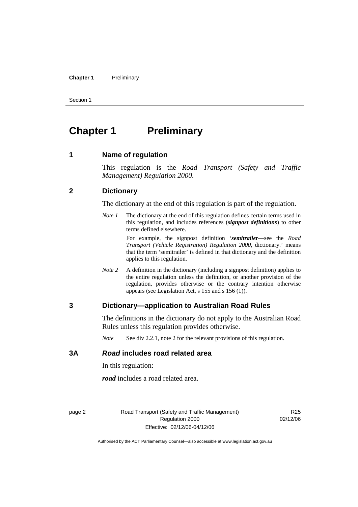#### **Chapter 1** Preliminary

Section 1

# **Chapter 1** Preliminary

**1 Name of regulation** 

This regulation is the *Road Transport (Safety and Traffic Management) Regulation 2000*.

#### **2 Dictionary**

The dictionary at the end of this regulation is part of the regulation.

*Note 1* The dictionary at the end of this regulation defines certain terms used in this regulation, and includes references (*signpost definitions*) to other terms defined elsewhere.

> For example, the signpost definition '*semitrailer*—see the *Road Transport (Vehicle Registration) Regulation 2000*, dictionary.' means that the term 'semitrailer' is defined in that dictionary and the definition applies to this regulation.

*Note* 2 A definition in the dictionary (including a signpost definition) applies to the entire regulation unless the definition, or another provision of the regulation, provides otherwise or the contrary intention otherwise appears (see Legislation Act, s 155 and s 156 (1)).

#### **3 Dictionary—application to Australian Road Rules**

The definitions in the dictionary do not apply to the Australian Road Rules unless this regulation provides otherwise.

*Note* See div 2.2.1, note 2 for the relevant provisions of this regulation.

#### **3A** *Road* **includes road related area**

In this regulation:

*road* includes a road related area.

page 2 Road Transport (Safety and Traffic Management) Regulation 2000 Effective: 02/12/06-04/12/06

R25 02/12/06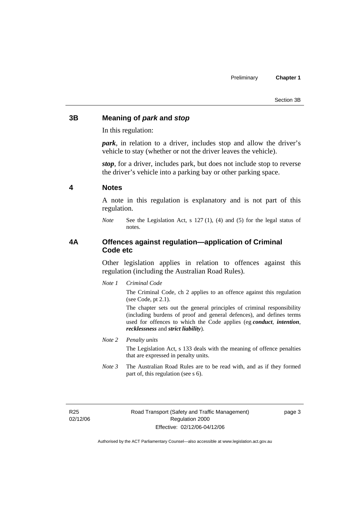#### **3B Meaning of** *park* **and** *stop*

In this regulation:

*park*, in relation to a driver, includes stop and allow the driver's vehicle to stay (whether or not the driver leaves the vehicle).

*stop*, for a driver, includes park, but does not include stop to reverse the driver's vehicle into a parking bay or other parking space.

#### **4 Notes**

A note in this regulation is explanatory and is not part of this regulation.

#### **4A Offences against regulation—application of Criminal Code etc**

Other legislation applies in relation to offences against this regulation (including the Australian Road Rules).

*Note 1 Criminal Code*

The Criminal Code, ch 2 applies to an offence against this regulation (see Code, pt 2.1).

The chapter sets out the general principles of criminal responsibility (including burdens of proof and general defences), and defines terms used for offences to which the Code applies (eg *conduct*, *intention*, *recklessness* and *strict liability*).

#### *Note 2 Penalty units*

The Legislation Act, s 133 deals with the meaning of offence penalties that are expressed in penalty units.

*Note 3* The Australian Road Rules are to be read with, and as if they formed part of, this regulation (see s 6).

R25 02/12/06 page 3

*Note* See the Legislation Act, s 127 (1), (4) and (5) for the legal status of notes.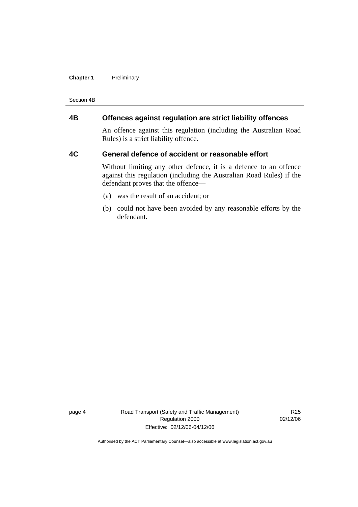#### **Chapter 1** Preliminary

Section 4B

#### **4B Offences against regulation are strict liability offences**

An offence against this regulation (including the Australian Road Rules) is a strict liability offence.

#### **4C General defence of accident or reasonable effort**

Without limiting any other defence, it is a defence to an offence against this regulation (including the Australian Road Rules) if the defendant proves that the offence—

- (a) was the result of an accident; or
- (b) could not have been avoided by any reasonable efforts by the defendant.

page 4 Road Transport (Safety and Traffic Management) Regulation 2000 Effective: 02/12/06-04/12/06

R25 02/12/06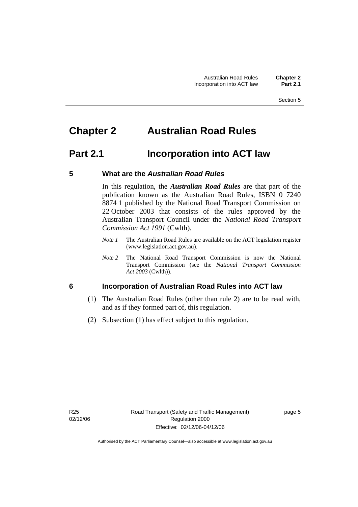# **Chapter 2 Australian Road Rules**

### **Part 2.1 Incorporation into ACT law**

#### **5 What are the** *Australian Road Rules*

In this regulation, the *Australian Road Rules* are that part of the publication known as the Australian Road Rules, ISBN 0 7240 8874 1 published by the National Road Transport Commission on 22 October 2003 that consists of the rules approved by the Australian Transport Council under the *National Road Transport Commission Act 1991* (Cwlth).

- *Note 1* The Australian Road Rules are available on the ACT legislation register (www.legislation.act.gov.au).
- *Note 2* The National Road Transport Commission is now the National Transport Commission (see the *National Transport Commission Act 2003* (Cwlth)).

#### **6 Incorporation of Australian Road Rules into ACT law**

- (1) The Australian Road Rules (other than rule 2) are to be read with, and as if they formed part of, this regulation.
- (2) Subsection (1) has effect subject to this regulation.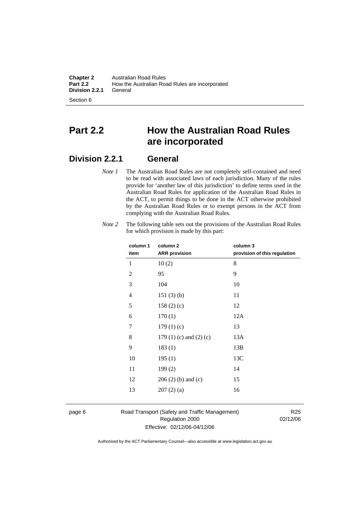**Chapter 2** Australian Road Rules<br>**Part 2.2** How the Australian Road How the Australian Road Rules are incorporated<br>General **Division 2.2.1** 

Section 6

# **Part 2.2 How the Australian Road Rules are incorporated**

### **Division 2.2.1 General**

*Note 1* The Australian Road Rules are not completely self-contained and need to be read with associated laws of each jurisdiction. Many of the rules provide for 'another law of this jurisdiction' to define terms used in the Australian Road Rules for application of the Australian Road Rules in the ACT, to permit things to be done in the ACT otherwise prohibited by the Australian Road Rules or to exempt persons in the ACT from complying with the Australian Road Rules.

| column 1       | column <sub>2</sub>             | column 3                     |
|----------------|---------------------------------|------------------------------|
| item           | <b>ARR</b> provision            | provision of this regulation |
| 1              | 10(2)                           | 8                            |
| $\overline{2}$ | 95                              | 9                            |
| 3              | 104                             | 10                           |
| 4              | 151(3)(b)                       | 11                           |
| 5              | 158(2)(c)                       | 12                           |
| 6              | 170(1)                          | 12A                          |
| 7              | 179(1)(c)                       | 13                           |
| 8              | 179 $(1)$ $(c)$ and $(2)$ $(c)$ | 13A                          |
| 9              | 183(1)                          | 13B                          |
| 10             | 195(1)                          | 13C                          |
| 11             | 199(2)                          | 14                           |
| 12             | $206(2)$ (b) and (c)            | 15                           |
| 13             | 207(2)(a)                       | 16                           |
|                |                                 |                              |

*Note 2* The following table sets out the provisions of the Australian Road Rules for which provision is made by this part:

page 6 Road Transport (Safety and Traffic Management) Regulation 2000 Effective: 02/12/06-04/12/06

R25 02/12/06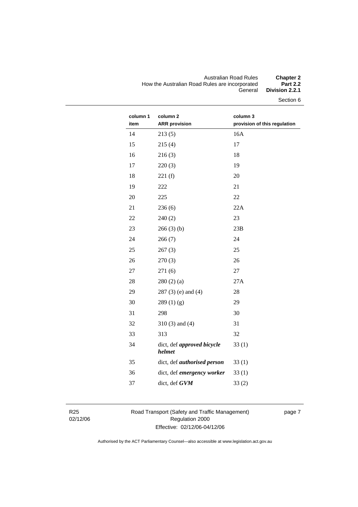#### Australian Road Rules **Chapter 2**  How the Australian Road Rules are incorporated<br>General Division 2.2.1

Section 6

| column 1<br>item | column <sub>2</sub><br><b>ARR</b> provision | column 3<br>provision of this regulation |
|------------------|---------------------------------------------|------------------------------------------|
| 14               | 213(5)                                      | 16A                                      |
| 15               | 215(4)                                      | 17                                       |
| 16               | 216(3)                                      | 18                                       |
| 17               | 220(3)                                      | 19                                       |
| 18               | 221(f)                                      | 20                                       |
| 19               | 222                                         | 21                                       |
| 20               | 225                                         | 22                                       |
| 21               | 236(6)                                      | 22A                                      |
| 22               | 240(2)                                      | 23                                       |
| 23               | 266(3)(b)                                   | 23B                                      |
| 24               | 266(7)                                      | 24                                       |
| 25               | 267(3)                                      | 25                                       |
| 26               | 270(3)                                      | 26                                       |
| 27               | 271(6)                                      | 27                                       |
| 28               | 280(2)(a)                                   | 27A                                      |
| 29               | $287(3)$ (e) and (4)                        | 28                                       |
| 30               | 289(1)(g)                                   | 29                                       |
| 31               | 298                                         | 30                                       |
| 32               | $310(3)$ and $(4)$                          | 31                                       |
| 33               | 313                                         | 32                                       |
| 34               | dict, def approved bicycle<br>helmet        | 33(1)                                    |
| 35               | dict, def authorised person                 | 33(1)                                    |
| 36               | dict, def emergency worker                  | 33(1)                                    |
| 37               | dict, def GVM                               | 33(2)                                    |
|                  |                                             |                                          |

R25 02/12/06 Road Transport (Safety and Traffic Management) Regulation 2000 Effective: 02/12/06-04/12/06

page 7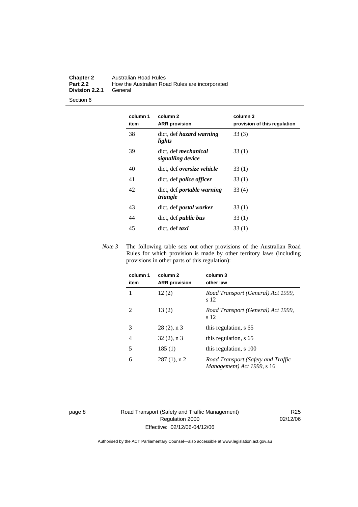#### **Chapter 2** Australian Road Rules<br>**Part 2.2** How the Australian Road **Part 2.2** How the Australian Road Rules are incorporated **Division 2.2.1**

Section 6

| column 1<br>item | column <sub>2</sub><br><b>ARR</b> provision   | column 3<br>provision of this regulation |
|------------------|-----------------------------------------------|------------------------------------------|
| 38               | dict, def <i>hazard</i> warning<br>lights     | 33(3)                                    |
| 39               | dict, def mechanical<br>signalling device     | 33(1)                                    |
| 40               | dict, def <i>oversize</i> vehicle             | 33(1)                                    |
| 41               | dict, def <i>police</i> officer               | 33(1)                                    |
| 42               | dict, def <i>portable</i> warning<br>triangle | 33(4)                                    |
| 43               | dict, def <i>postal</i> worker                | 33(1)                                    |
| 44               | dict, def <i>public</i> bus                   | 33(1)                                    |
| 45               | dict, def taxi                                | 33(1)                                    |

*Note 3* The following table sets out other provisions of the Australian Road Rules for which provision is made by other territory laws (including provisions in other parts of this regulation):

| column 1<br>item | column 2<br><b>ARR</b> provision | column 3<br>other law                                            |
|------------------|----------------------------------|------------------------------------------------------------------|
|                  | 12(2)                            | Road Transport (General) Act 1999,<br>s 12                       |
| 2                | 13(2)                            | Road Transport (General) Act 1999,<br>s 12                       |
| 3                | $28(2)$ , n 3                    | this regulation, s 65                                            |
| 4                | $32(2)$ , n 3                    | this regulation, s 65                                            |
| 5                | 185(1)                           | this regulation, s 100                                           |
| 6                | $287(1)$ , n 2                   | Road Transport (Safety and Traffic<br>Management) Act 1999, s 16 |

page 8 Road Transport (Safety and Traffic Management) Regulation 2000 Effective: 02/12/06-04/12/06

R25 02/12/06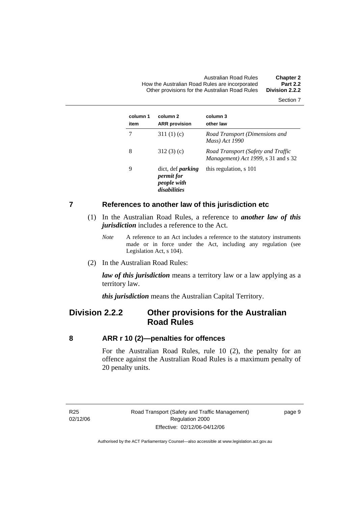Australian Road Rules **Chapter 2**  How the Australian Road Rules are incorporated **Part 2.2**  Other provisions for the Australian Road Rules **Division 2.2.2** 

Section 7

| column 1<br>item | column 2<br><b>ARR</b> provision                                             | column 3<br>other law                                                     |
|------------------|------------------------------------------------------------------------------|---------------------------------------------------------------------------|
|                  | 311 $(1)(c)$                                                                 | Road Transport (Dimensions and<br>Mass) Act 1990                          |
| 8                | 312(3)(c)                                                                    | Road Transport (Safety and Traffic<br>Management) Act 1999, s 31 and s 32 |
| 9                | dict, def <i>parking</i><br><i>permit for</i><br>people with<br>disabilities | this regulation, s 101                                                    |

#### **7 References to another law of this jurisdiction etc**

- (1) In the Australian Road Rules, a reference to *another law of this jurisdiction* includes a reference to the Act.
	- *Note* A reference to an Act includes a reference to the statutory instruments made or in force under the Act, including any regulation (see Legislation Act, s 104).
- (2) In the Australian Road Rules:

*law of this jurisdiction* means a territory law or a law applying as a territory law.

*this jurisdiction* means the Australian Capital Territory.

### **Division 2.2.2 Other provisions for the Australian Road Rules**

#### **8 ARR r 10 (2)—penalties for offences**

For the Australian Road Rules, rule 10 (2), the penalty for an offence against the Australian Road Rules is a maximum penalty of 20 penalty units.

R25 02/12/06 page 9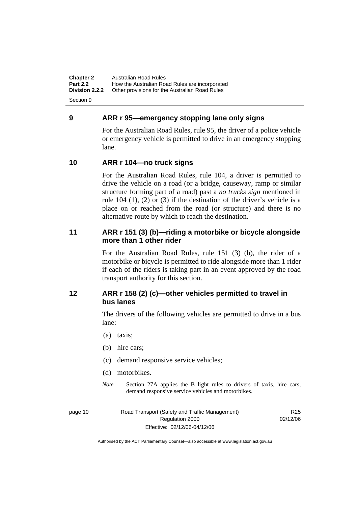**Chapter 2** Australian Road Rules<br>**Part 2.2** How the Australian Road **Part 2.2 How the Australian Road Rules are incorporated Division 2.2.2** Other provisions for the Australian Road Rules **Other provisions for the Australian Road Rules** 

Section 9

#### **9 ARR r 95—emergency stopping lane only signs**

For the Australian Road Rules, rule 95, the driver of a police vehicle or emergency vehicle is permitted to drive in an emergency stopping lane.

#### **10 ARR r 104—no truck signs**

For the Australian Road Rules, rule 104, a driver is permitted to drive the vehicle on a road (or a bridge, causeway, ramp or similar structure forming part of a road) past a *no trucks sign* mentioned in rule 104 (1), (2) or (3) if the destination of the driver's vehicle is a place on or reached from the road (or structure) and there is no alternative route by which to reach the destination.

#### **11 ARR r 151 (3) (b)—riding a motorbike or bicycle alongside more than 1 other rider**

For the Australian Road Rules, rule 151 (3) (b), the rider of a motorbike or bicycle is permitted to ride alongside more than 1 rider if each of the riders is taking part in an event approved by the road transport authority for this section.

#### **12 ARR r 158 (2) (c)—other vehicles permitted to travel in bus lanes**

The drivers of the following vehicles are permitted to drive in a bus lane:

- (a) taxis;
- (b) hire cars;
- (c) demand responsive service vehicles;
- (d) motorbikes.
- *Note* Section 27A applies the B light rules to drivers of taxis, hire cars, demand responsive service vehicles and motorbikes.

page 10 Road Transport (Safety and Traffic Management) Regulation 2000 Effective: 02/12/06-04/12/06

R<sub>25</sub> 02/12/06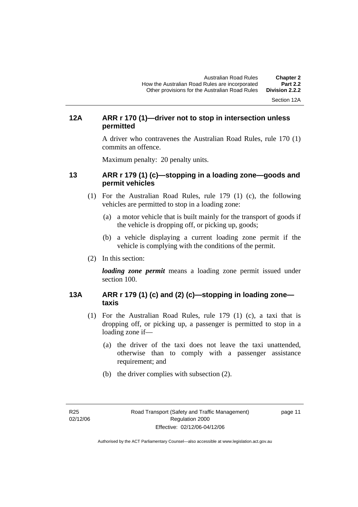Section 12A

#### **12A ARR r 170 (1)—driver not to stop in intersection unless permitted**

A driver who contravenes the Australian Road Rules, rule 170 (1) commits an offence.

Maximum penalty: 20 penalty units.

#### **13 ARR r 179 (1) (c)—stopping in a loading zone—goods and permit vehicles**

- (1) For the Australian Road Rules, rule 179 (1) (c), the following vehicles are permitted to stop in a loading zone:
	- (a) a motor vehicle that is built mainly for the transport of goods if the vehicle is dropping off, or picking up, goods;
	- (b) a vehicle displaying a current loading zone permit if the vehicle is complying with the conditions of the permit.
- (2) In this section:

*loading zone permit* means a loading zone permit issued under section 100.

#### **13A ARR r 179 (1) (c) and (2) (c)—stopping in loading zone taxis**

- (1) For the Australian Road Rules, rule 179 (1) (c), a taxi that is dropping off, or picking up, a passenger is permitted to stop in a loading zone if—
	- (a) the driver of the taxi does not leave the taxi unattended, otherwise than to comply with a passenger assistance requirement; and
	- (b) the driver complies with subsection (2).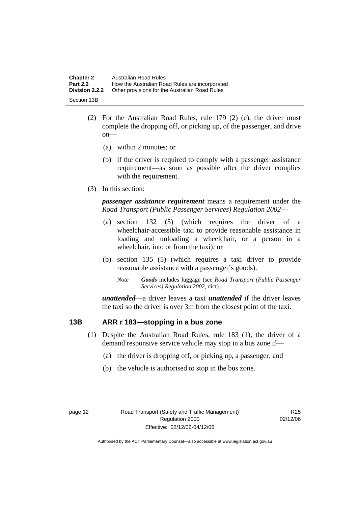| <b>Chapter 2</b>      | Australian Road Rules                          |
|-----------------------|------------------------------------------------|
| <b>Part 2.2</b>       | How the Australian Road Rules are incorporated |
| <b>Division 2.2.2</b> | Other provisions for the Australian Road Rules |
| Section 13B           |                                                |

- (2) For the Australian Road Rules, rule 179 (2) (c), the driver must complete the dropping off, or picking up, of the passenger, and drive on—
	- (a) within 2 minutes; or
	- (b) if the driver is required to comply with a passenger assistance requirement—as soon as possible after the driver complies with the requirement.
- (3) In this section:

*passenger assistance requirement* means a requirement under the *Road Transport (Public Passenger Services) Regulation 2002*—

- (a) section 132 (5) (which requires the driver of a wheelchair-accessible taxi to provide reasonable assistance in loading and unloading a wheelchair, or a person in a wheelchair, into or from the taxi); or
- (b) section 135 (5) (which requires a taxi driver to provide reasonable assistance with a passenger's goods).
	- *Note Goods* includes luggage (see *Road Transport (Public Passenger Services) Regulation 2002*, dict).

*unattended*—a driver leaves a taxi *unattended* if the driver leaves the taxi so the driver is over 3m from the closest point of the taxi.

#### **13B ARR r 183—stopping in a bus zone**

- (1) Despite the Australian Road Rules, rule 183 (1), the driver of a demand responsive service vehicle may stop in a bus zone if—
	- (a) the driver is dropping off, or picking up, a passenger; and
	- (b) the vehicle is authorised to stop in the bus zone.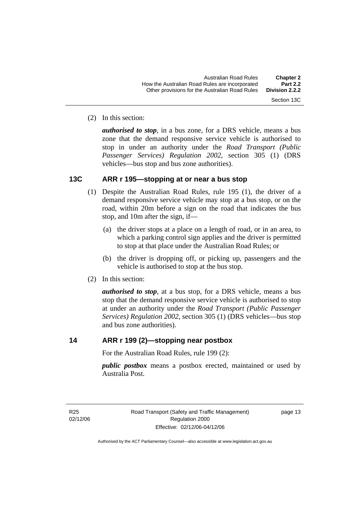(2) In this section:

*authorised to stop*, in a bus zone, for a DRS vehicle, means a bus zone that the demand responsive service vehicle is authorised to stop in under an authority under the *Road Transport (Public Passenger Services) Regulation 2002*, section 305 (1) (DRS vehicles—bus stop and bus zone authorities).

#### **13C ARR r 195—stopping at or near a bus stop**

- (1) Despite the Australian Road Rules, rule 195 (1), the driver of a demand responsive service vehicle may stop at a bus stop, or on the road, within 20m before a sign on the road that indicates the bus stop, and 10m after the sign, if—
	- (a) the driver stops at a place on a length of road, or in an area, to which a parking control sign applies and the driver is permitted to stop at that place under the Australian Road Rules; or
	- (b) the driver is dropping off, or picking up, passengers and the vehicle is authorised to stop at the bus stop.
- (2) In this section:

*authorised to stop*, at a bus stop, for a DRS vehicle, means a bus stop that the demand responsive service vehicle is authorised to stop at under an authority under the *Road Transport (Public Passenger Services) Regulation 2002*, section 305 (1) (DRS vehicles—bus stop and bus zone authorities).

#### **14 ARR r 199 (2)—stopping near postbox**

For the Australian Road Rules, rule 199 (2):

*public postbox* means a postbox erected, maintained or used by Australia Post.

page 13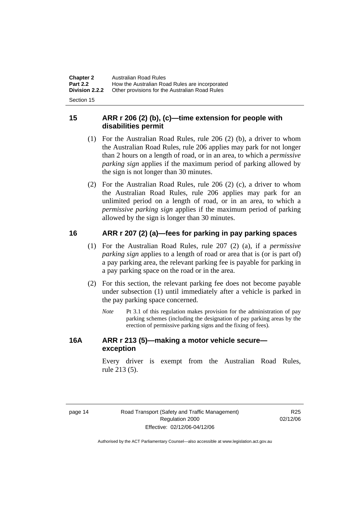| <b>Chapter 2</b> | Australian Road Rules                          |
|------------------|------------------------------------------------|
| <b>Part 2.2</b>  | How the Australian Road Rules are incorporated |
| Division 2.2.2   | Other provisions for the Australian Road Rules |
|                  |                                                |

Section 15

#### **15 ARR r 206 (2) (b), (c)—time extension for people with disabilities permit**

- (1) For the Australian Road Rules, rule 206 (2) (b), a driver to whom the Australian Road Rules, rule 206 applies may park for not longer than 2 hours on a length of road, or in an area, to which a *permissive parking sign* applies if the maximum period of parking allowed by the sign is not longer than 30 minutes.
- (2) For the Australian Road Rules, rule 206 (2) (c), a driver to whom the Australian Road Rules, rule 206 applies may park for an unlimited period on a length of road, or in an area, to which a *permissive parking sign* applies if the maximum period of parking allowed by the sign is longer than 30 minutes.

#### **16 ARR r 207 (2) (a)—fees for parking in pay parking spaces**

- (1) For the Australian Road Rules, rule 207 (2) (a), if a *permissive parking sign* applies to a length of road or area that is (or is part of) a pay parking area, the relevant parking fee is payable for parking in a pay parking space on the road or in the area.
- (2) For this section, the relevant parking fee does not become payable under subsection (1) until immediately after a vehicle is parked in the pay parking space concerned.
	- *Note* Pt 3.1 of this regulation makes provision for the administration of pay parking schemes (including the designation of pay parking areas by the erection of permissive parking signs and the fixing of fees).

#### **16A ARR r 213 (5)—making a motor vehicle secure exception**

Every driver is exempt from the Australian Road Rules, rule 213 (5).

R<sub>25</sub> 02/12/06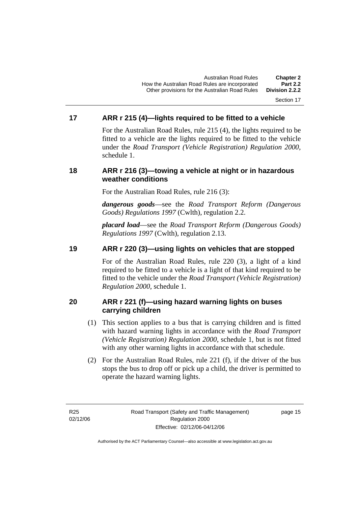#### Section 17

#### **17 ARR r 215 (4)—lights required to be fitted to a vehicle**

For the Australian Road Rules, rule 215 (4), the lights required to be fitted to a vehicle are the lights required to be fitted to the vehicle under the *Road Transport (Vehicle Registration) Regulation 2000,*  schedule 1.

#### **18 ARR r 216 (3)—towing a vehicle at night or in hazardous weather conditions**

For the Australian Road Rules, rule 216 (3):

*dangerous goods*—see the *Road Transport Reform (Dangerous Goods) Regulations 1997* (Cwlth), regulation 2.2.

*placard load*—see the *Road Transport Reform (Dangerous Goods) Regulations 1997* (Cwlth), regulation 2.13.

#### **19 ARR r 220 (3)—using lights on vehicles that are stopped**

For of the Australian Road Rules, rule 220 (3), a light of a kind required to be fitted to a vehicle is a light of that kind required to be fitted to the vehicle under the *Road Transport (Vehicle Registration) Regulation 2000*, schedule 1.

#### **20 ARR r 221 (f)—using hazard warning lights on buses carrying children**

- (1) This section applies to a bus that is carrying children and is fitted with hazard warning lights in accordance with the *Road Transport (Vehicle Registration) Regulation 2000*, schedule 1, but is not fitted with any other warning lights in accordance with that schedule.
- (2) For the Australian Road Rules, rule 221 (f), if the driver of the bus stops the bus to drop off or pick up a child, the driver is permitted to operate the hazard warning lights.

R25 02/12/06

page 15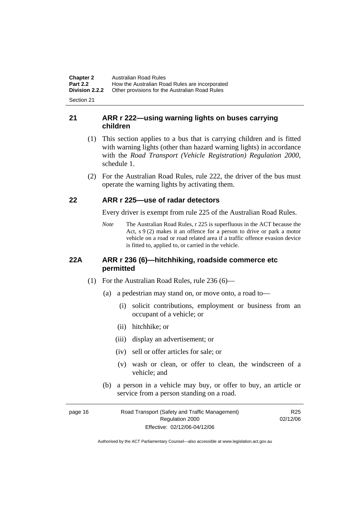**Chapter 2** Australian Road Rules<br>**Part 2.2** How the Australian Road **Part 2.2 How the Australian Road Rules are incorporated Division 2.2.2** Other provisions for the Australian Road Rules **Other provisions for the Australian Road Rules** 

Section 21

#### **21 ARR r 222—using warning lights on buses carrying children**

- (1) This section applies to a bus that is carrying children and is fitted with warning lights (other than hazard warning lights) in accordance with the *Road Transport (Vehicle Registration) Regulation 2000*, schedule 1.
- (2) For the Australian Road Rules, rule 222, the driver of the bus must operate the warning lights by activating them.

#### **22 ARR r 225—use of radar detectors**

Every driver is exempt from rule 225 of the Australian Road Rules.

*Note* The Australian Road Rules, r 225 is superfluous in the ACT because the Act, s 9 (2) makes it an offence for a person to drive or park a motor vehicle on a road or road related area if a traffic offence evasion device is fitted to, applied to, or carried in the vehicle.

#### **22A ARR r 236 (6)—hitchhiking, roadside commerce etc permitted**

- (1) For the Australian Road Rules, rule 236 (6)—
	- (a) a pedestrian may stand on, or move onto, a road to—
		- (i) solicit contributions, employment or business from an occupant of a vehicle; or
		- (ii) hitchhike; or
		- (iii) display an advertisement; or
		- (iv) sell or offer articles for sale; or
		- (v) wash or clean, or offer to clean, the windscreen of a vehicle; and
	- (b) a person in a vehicle may buy, or offer to buy, an article or service from a person standing on a road.

| page 16 | Road Transport (Safety and Traffic Management) | R <sub>25</sub> |
|---------|------------------------------------------------|-----------------|
|         | Regulation 2000                                | 02/12/06        |
|         | Effective: 02/12/06-04/12/06                   |                 |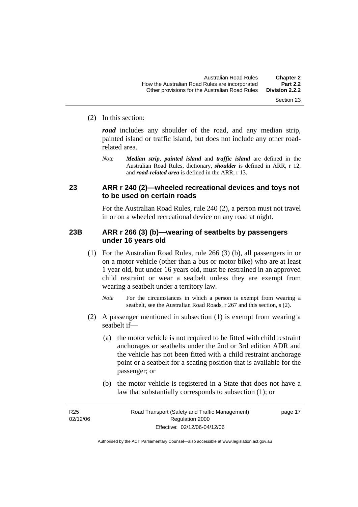#### (2) In this section:

*road* includes any shoulder of the road, and any median strip, painted island or traffic island, but does not include any other roadrelated area.

*Note Median strip*, *painted island* and *traffic island* are defined in the Australian Road Rules, dictionary, *shoulder* is defined in ARR, r 12, and *road-related area* is defined in the ARR, r 13.

#### **23 ARR r 240 (2)—wheeled recreational devices and toys not to be used on certain roads**

For the Australian Road Rules, rule 240 (2), a person must not travel in or on a wheeled recreational device on any road at night.

#### **23B ARR r 266 (3) (b)—wearing of seatbelts by passengers under 16 years old**

- (1) For the Australian Road Rules, rule 266 (3) (b), all passengers in or on a motor vehicle (other than a bus or motor bike) who are at least 1 year old, but under 16 years old, must be restrained in an approved child restraint or wear a seatbelt unless they are exempt from wearing a seatbelt under a territory law.
	- *Note* For the circumstances in which a person is exempt from wearing a seatbelt, see the Australian Road Roads, r 267 and this section, s (2).
- (2) A passenger mentioned in subsection (1) is exempt from wearing a seatbelt if—
	- (a) the motor vehicle is not required to be fitted with child restraint anchorages or seatbelts under the 2nd or 3rd edition ADR and the vehicle has not been fitted with a child restraint anchorage point or a seatbelt for a seating position that is available for the passenger; or
	- (b) the motor vehicle is registered in a State that does not have a law that substantially corresponds to subsection (1); or

R25 02/12/06 Section 23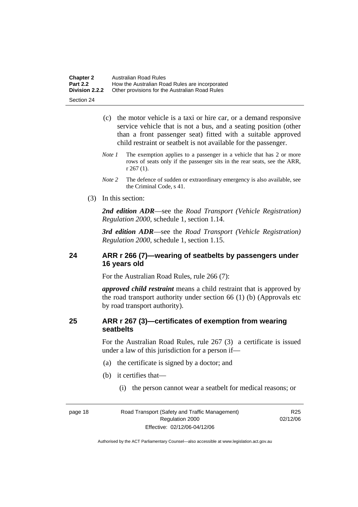| <b>Chapter 2</b> | Australian Road Rules                          |
|------------------|------------------------------------------------|
| <b>Part 2.2</b>  | How the Australian Road Rules are incorporated |
| Division 2.2.2   | Other provisions for the Australian Road Rules |

Section 24

- (c) the motor vehicle is a taxi or hire car, or a demand responsive service vehicle that is not a bus, and a seating position (other than a front passenger seat) fitted with a suitable approved child restraint or seatbelt is not available for the passenger.
- *Note 1* The exemption applies to a passenger in a vehicle that has 2 or more rows of seats only if the passenger sits in the rear seats, see the ARR, r 267 (1).
- *Note* 2 The defence of sudden or extraordinary emergency is also available, see the Criminal Code, s 41.
- (3) In this section:

*2nd edition ADR*—see the *Road Transport (Vehicle Registration) Regulation 2000*, schedule 1, section 1.14.

*3rd edition ADR*—see the *Road Transport (Vehicle Registration) Regulation 2000*, schedule 1, section 1.15.

#### **24 ARR r 266 (7)—wearing of seatbelts by passengers under 16 years old**

For the Australian Road Rules, rule 266 (7):

*approved child restraint* means a child restraint that is approved by the road transport authority under section 66 (1) (b) (Approvals etc by road transport authority).

#### **25 ARR r 267 (3)—certificates of exemption from wearing seatbelts**

For the Australian Road Rules, rule 267 (3) a certificate is issued under a law of this jurisdiction for a person if—

- (a) the certificate is signed by a doctor; and
- (b) it certifies that—
	- (i) the person cannot wear a seatbelt for medical reasons; or

R<sub>25</sub> 02/12/06

page 18 Road Transport (Safety and Traffic Management) Regulation 2000 Effective: 02/12/06-04/12/06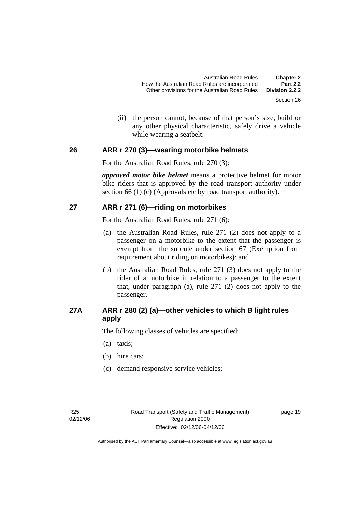(ii) the person cannot, because of that person's size, build or any other physical characteristic, safely drive a vehicle while wearing a seatbelt.

#### **26 ARR r 270 (3)—wearing motorbike helmets**

For the Australian Road Rules, rule 270 (3):

*approved motor bike helmet* means a protective helmet for motor bike riders that is approved by the road transport authority under section 66 (1) (c) (Approvals etc by road transport authority).

#### **27 ARR r 271 (6)—riding on motorbikes**

For the Australian Road Rules, rule 271 (6):

- (a) the Australian Road Rules, rule 271 (2) does not apply to a passenger on a motorbike to the extent that the passenger is exempt from the subrule under section 67 (Exemption from requirement about riding on motorbikes); and
- (b) the Australian Road Rules, rule 271 (3) does not apply to the rider of a motorbike in relation to a passenger to the extent that, under paragraph (a), rule 271 (2) does not apply to the passenger.

#### **27A ARR r 280 (2) (a)—other vehicles to which B light rules apply**

The following classes of vehicles are specified:

- (a) taxis;
- (b) hire cars;
- (c) demand responsive service vehicles;

page 19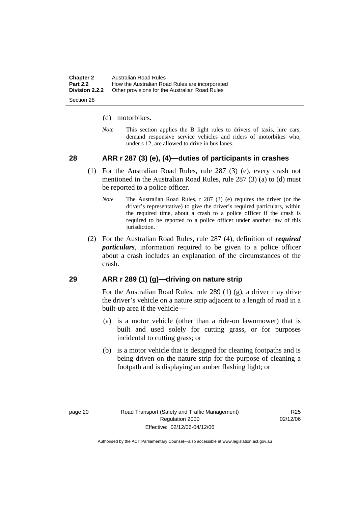| <b>Chapter 2</b> | Australian Road Rules                          |
|------------------|------------------------------------------------|
| <b>Part 2.2</b>  | How the Australian Road Rules are incorporated |
| Division 2.2.2   | Other provisions for the Australian Road Rules |
|                  |                                                |

Section 28

#### (d) motorbikes.

*Note* This section applies the B light rules to drivers of taxis, hire cars, demand responsive service vehicles and riders of motorbikes who, under s 12, are allowed to drive in bus lanes.

#### **28 ARR r 287 (3) (e), (4)—duties of participants in crashes**

- (1) For the Australian Road Rules, rule 287 (3) (e), every crash not mentioned in the Australian Road Rules, rule 287 (3) (a) to (d) must be reported to a police officer.
	- *Note* The Australian Road Rules, r 287 (3) (e) requires the driver (or the driver's representative) to give the driver's required particulars, within the required time, about a crash to a police officer if the crash is required to be reported to a police officer under another law of this jurisdiction.
- (2) For the Australian Road Rules, rule 287 (4), definition of *required particulars*, information required to be given to a police officer about a crash includes an explanation of the circumstances of the crash.

#### **29 ARR r 289 (1) (g)—driving on nature strip**

For the Australian Road Rules, rule 289 (1) (g), a driver may drive the driver's vehicle on a nature strip adjacent to a length of road in a built-up area if the vehicle—

- (a) is a motor vehicle (other than a ride-on lawnmower) that is built and used solely for cutting grass, or for purposes incidental to cutting grass; or
- (b) is a motor vehicle that is designed for cleaning footpaths and is being driven on the nature strip for the purpose of cleaning a footpath and is displaying an amber flashing light; or

R<sub>25</sub> 02/12/06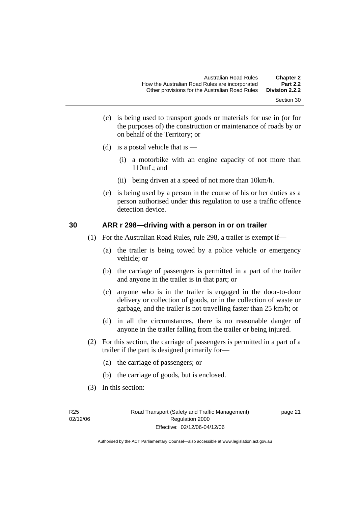- Section 30
- (c) is being used to transport goods or materials for use in (or for the purposes of) the construction or maintenance of roads by or on behalf of the Territory; or
- (d) is a postal vehicle that is  $-$ 
	- (i) a motorbike with an engine capacity of not more than 110mL; and
	- (ii) being driven at a speed of not more than 10km/h.
- (e) is being used by a person in the course of his or her duties as a person authorised under this regulation to use a traffic offence detection device.

#### **30 ARR r 298—driving with a person in or on trailer**

- (1) For the Australian Road Rules, rule 298, a trailer is exempt if—
	- (a) the trailer is being towed by a police vehicle or emergency vehicle; or
	- (b) the carriage of passengers is permitted in a part of the trailer and anyone in the trailer is in that part; or
	- (c) anyone who is in the trailer is engaged in the door-to-door delivery or collection of goods, or in the collection of waste or garbage, and the trailer is not travelling faster than 25 km/h; or
	- (d) in all the circumstances, there is no reasonable danger of anyone in the trailer falling from the trailer or being injured.
- (2) For this section, the carriage of passengers is permitted in a part of a trailer if the part is designed primarily for—
	- (a) the carriage of passengers; or
	- (b) the carriage of goods, but is enclosed.
- (3) In this section: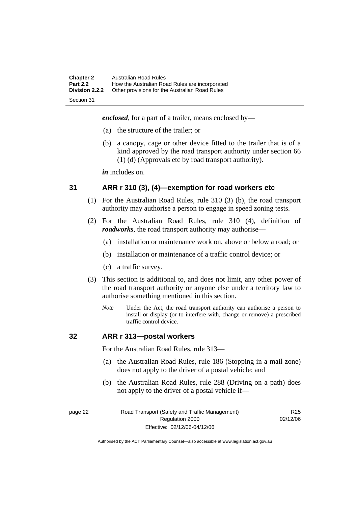| <b>Chapter 2</b><br><b>Part 2.2</b> | Australian Road Rules<br>How the Australian Road Rules are incorporated |
|-------------------------------------|-------------------------------------------------------------------------|
| <b>Division 2.2.2</b>               | Other provisions for the Australian Road Rules                          |
| Section 31                          |                                                                         |

*enclosed*, for a part of a trailer, means enclosed by—

- (a) the structure of the trailer; or
- (b) a canopy, cage or other device fitted to the trailer that is of a kind approved by the road transport authority under section 66 (1) (d) (Approvals etc by road transport authority).

*in* includes on.

#### **31 ARR r 310 (3), (4)—exemption for road workers etc**

- (1) For the Australian Road Rules, rule 310 (3) (b), the road transport authority may authorise a person to engage in speed zoning tests.
- (2) For the Australian Road Rules, rule 310 (4), definition of *roadworks*, the road transport authority may authorise—
	- (a) installation or maintenance work on, above or below a road; or
	- (b) installation or maintenance of a traffic control device; or
	- (c) a traffic survey.
- (3) This section is additional to, and does not limit, any other power of the road transport authority or anyone else under a territory law to authorise something mentioned in this section.
	- *Note* Under the Act, the road transport authority can authorise a person to install or display (or to interfere with, change or remove) a prescribed traffic control device.

#### **32 ARR r 313—postal workers**

For the Australian Road Rules, rule 313—

- (a) the Australian Road Rules, rule 186 (Stopping in a mail zone) does not apply to the driver of a postal vehicle; and
- (b) the Australian Road Rules, rule 288 (Driving on a path) does not apply to the driver of a postal vehicle if—

#### page 22 Road Transport (Safety and Traffic Management) Regulation 2000 Effective: 02/12/06-04/12/06

R<sub>25</sub> 02/12/06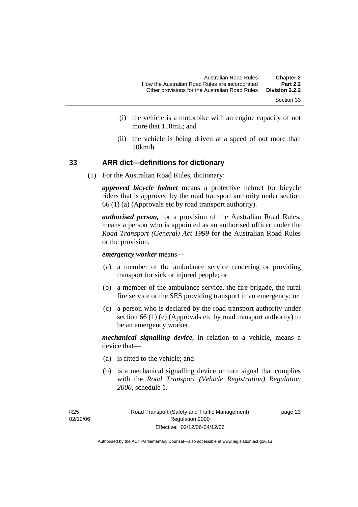- Section 33
- (i) the vehicle is a motorbike with an engine capacity of not more that 110mL; and
- (ii) the vehicle is being driven at a speed of not more than 10km/h.

#### **33 ARR dict—definitions for dictionary**

(1) For the Australian Road Rules, dictionary:

*approved bicycle helmet* means a protective helmet for bicycle riders that is approved by the road transport authority under section 66 (1) (a) (Approvals etc by road transport authority).

*authorised person,* for a provision of the Australian Road Rules, means a person who is appointed as an authorised officer under the *Road Transport (General) Act 1999* for the Australian Road Rules or the provision.

*emergency worker* means—

- (a) a member of the ambulance service rendering or providing transport for sick or injured people; or
- (b) a member of the ambulance service, the fire brigade, the rural fire service or the SES providing transport in an emergency; or
- (c) a person who is declared by the road transport authority under section 66 (1) (e) (Approvals etc by road transport authority) to be an emergency worker.

*mechanical signalling device*, in relation to a vehicle, means a device that—

- (a) is fitted to the vehicle; and
- (b) is a mechanical signalling device or turn signal that complies with the *Road Transport (Vehicle Registration) Regulation 2000*, schedule 1.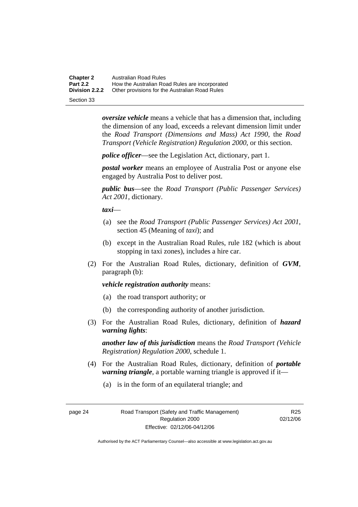**Chapter 2** Australian Road Rules<br>**Part 2.2** How the Australian Road **Part 2.2 How the Australian Road Rules are incorporated Division 2.2.2** Other provisions for the Australian Road Rules **Other provisions for the Australian Road Rules** 

Section 33

*oversize vehicle* means a vehicle that has a dimension that, including the dimension of any load, exceeds a relevant dimension limit under the *Road Transport (Dimensions and Mass) Act 1990*, the *Road Transport (Vehicle Registration) Regulation 2000*, or this section.

*police officer*—see the Legislation Act, dictionary, part 1.

*postal worker* means an employee of Australia Post or anyone else engaged by Australia Post to deliver post.

*public bus*—see the *Road Transport (Public Passenger Services) Act 2001*, dictionary.

*taxi*—

- (a) see the *Road Transport (Public Passenger Services) Act 2001*, section 45 (Meaning of *taxi*); and
- (b) except in the Australian Road Rules, rule 182 (which is about stopping in taxi zones), includes a hire car.
- (2) For the Australian Road Rules, dictionary, definition of *GVM*, paragraph (b):

#### *vehicle registration authority* means:

- (a) the road transport authority; or
- (b) the corresponding authority of another jurisdiction.
- (3) For the Australian Road Rules, dictionary, definition of *hazard warning lights*:

*another law of this jurisdiction* means the *Road Transport (Vehicle Registration) Regulation 2000*, schedule 1.

- (4) For the Australian Road Rules, dictionary, definition of *portable warning triangle*, a portable warning triangle is approved if it—
	- (a) is in the form of an equilateral triangle; and

R<sub>25</sub> 02/12/06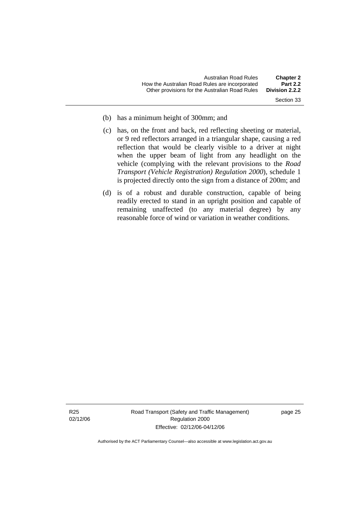- Section 33
- (b) has a minimum height of 300mm; and
- (c) has, on the front and back, red reflecting sheeting or material, or 9 red reflectors arranged in a triangular shape, causing a red reflection that would be clearly visible to a driver at night when the upper beam of light from any headlight on the vehicle (complying with the relevant provisions to the *Road Transport (Vehicle Registration) Regulation 2000*), schedule 1 is projected directly onto the sign from a distance of 200m; and
- (d) is of a robust and durable construction, capable of being readily erected to stand in an upright position and capable of remaining unaffected (to any material degree) by any reasonable force of wind or variation in weather conditions.

Road Transport (Safety and Traffic Management) Regulation 2000 Effective: 02/12/06-04/12/06

page 25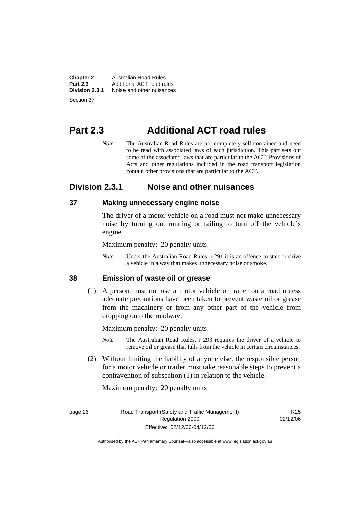**Chapter 2 Australian Road Rules**<br>**Part 2.3 Additional ACT road rules Part 2.3** Additional ACT road rules<br>**Division 2.3.1** Noise and other nuisances **Division 2.3.1** Noise and other nuisances

Section 37

# **Part 2.3 Additional ACT road rules**

*Note* The Australian Road Rules are not completely self-contained and need to be read with associated laws of each jurisdiction. This part sets out some of the associated laws that are particular to the ACT. Provisions of Acts and other regulations included in the road transport legislation contain other provisions that are particular to the ACT.

#### **Division 2.3.1 Noise and other nuisances**

#### **37 Making unnecessary engine noise**

The driver of a motor vehicle on a road must not make unnecessary noise by turning on, running or failing to turn off the vehicle's engine.

Maximum penalty: 20 penalty units.

*Note* Under the Australian Road Rules, r 291 it is an offence to start or drive a vehicle in a way that makes unnecessary noise or smoke.

#### **38 Emission of waste oil or grease**

 (1) A person must not use a motor vehicle or trailer on a road unless adequate precautions have been taken to prevent waste oil or grease from the machinery or from any other part of the vehicle from dropping onto the roadway.

Maximum penalty: 20 penalty units.

- *Note* The Australian Road Rules, r 293 requires the driver of a vehicle to remove oil or grease that falls from the vehicle in certain circumstances.
- (2) Without limiting the liability of anyone else, the responsible person for a motor vehicle or trailer must take reasonable steps to prevent a contravention of subsection (1) in relation to the vehicle.

Maximum penalty: 20 penalty units.

page 26 Road Transport (Safety and Traffic Management) Regulation 2000 Effective: 02/12/06-04/12/06

R<sub>25</sub> 02/12/06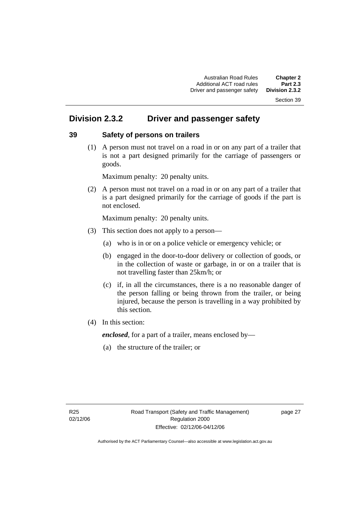#### Section 39

# **Division 2.3.2 Driver and passenger safety**

#### **39 Safety of persons on trailers**

 (1) A person must not travel on a road in or on any part of a trailer that is not a part designed primarily for the carriage of passengers or goods.

Maximum penalty: 20 penalty units.

 (2) A person must not travel on a road in or on any part of a trailer that is a part designed primarily for the carriage of goods if the part is not enclosed.

Maximum penalty: 20 penalty units.

- (3) This section does not apply to a person—
	- (a) who is in or on a police vehicle or emergency vehicle; or
	- (b) engaged in the door-to-door delivery or collection of goods, or in the collection of waste or garbage, in or on a trailer that is not travelling faster than 25km/h; or
	- (c) if, in all the circumstances, there is a no reasonable danger of the person falling or being thrown from the trailer, or being injured, because the person is travelling in a way prohibited by this section.
- (4) In this section:

*enclosed*, for a part of a trailer, means enclosed by—

(a) the structure of the trailer; or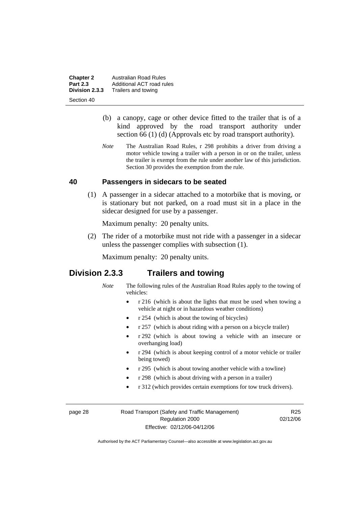**Chapter 2 Australian Road Rules**<br>**Part 2.3 Additional ACT road rules Part 2.3** Additional ACT road rules<br>**Division 2.3.3** Trailers and towing **Division 2.3.3** Trailers and towing

Section 40

- (b) a canopy, cage or other device fitted to the trailer that is of a kind approved by the road transport authority under section 66 (1) (d) (Approvals etc by road transport authority).
- *Note* The Australian Road Rules, r 298 prohibits a driver from driving a motor vehicle towing a trailer with a person in or on the trailer, unless the trailer is exempt from the rule under another law of this jurisdiction. Section 30 provides the exemption from the rule.

# **40 Passengers in sidecars to be seated**

 (1) A passenger in a sidecar attached to a motorbike that is moving, or is stationary but not parked, on a road must sit in a place in the sidecar designed for use by a passenger.

Maximum penalty: 20 penalty units.

 (2) The rider of a motorbike must not ride with a passenger in a sidecar unless the passenger complies with subsection (1).

Maximum penalty: 20 penalty units.

# **Division 2.3.3 Trailers and towing**

- *Note* The following rules of the Australian Road Rules apply to the towing of vehicles:
	- r 216 (which is about the lights that must be used when towing a vehicle at night or in hazardous weather conditions)
	- r 254 (which is about the towing of bicycles)
	- r 257 (which is about riding with a person on a bicycle trailer)
	- r 292 (which is about towing a vehicle with an insecure or overhanging load)
	- r 294 (which is about keeping control of a motor vehicle or trailer being towed)
	- r 295 (which is about towing another vehicle with a towline)
	- r 298 (which is about driving with a person in a trailer)
	- r 312 (which provides certain exemptions for tow truck drivers).

page 28 Road Transport (Safety and Traffic Management) Regulation 2000 Effective: 02/12/06-04/12/06

R<sub>25</sub> 02/12/06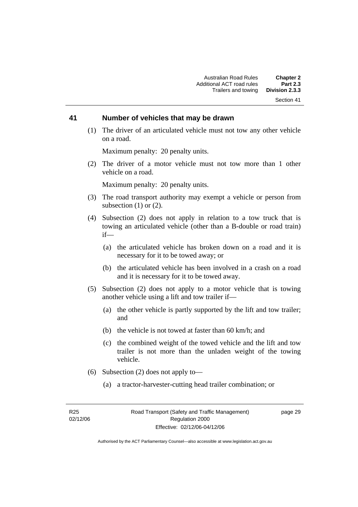#### Section 41

#### **41 Number of vehicles that may be drawn**

 (1) The driver of an articulated vehicle must not tow any other vehicle on a road.

Maximum penalty: 20 penalty units.

 (2) The driver of a motor vehicle must not tow more than 1 other vehicle on a road.

Maximum penalty: 20 penalty units.

- (3) The road transport authority may exempt a vehicle or person from subsection  $(1)$  or  $(2)$ .
- (4) Subsection (2) does not apply in relation to a tow truck that is towing an articulated vehicle (other than a B-double or road train) if—
	- (a) the articulated vehicle has broken down on a road and it is necessary for it to be towed away; or
	- (b) the articulated vehicle has been involved in a crash on a road and it is necessary for it to be towed away.
- (5) Subsection (2) does not apply to a motor vehicle that is towing another vehicle using a lift and tow trailer if—
	- (a) the other vehicle is partly supported by the lift and tow trailer; and
	- (b) the vehicle is not towed at faster than 60 km/h; and
	- (c) the combined weight of the towed vehicle and the lift and tow trailer is not more than the unladen weight of the towing vehicle.
- (6) Subsection (2) does not apply to—
	- (a) a tractor-harvester-cutting head trailer combination; or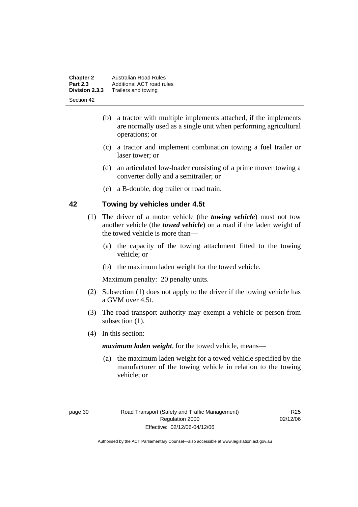| <b>Chapter 2</b><br><b>Part 2.3</b> | <b>Australian Road Rules</b><br>Additional ACT road rules |
|-------------------------------------|-----------------------------------------------------------|
| Division 2.3.3                      | Trailers and towing                                       |
| Section 42                          |                                                           |

- (b) a tractor with multiple implements attached, if the implements are normally used as a single unit when performing agricultural operations; or
- (c) a tractor and implement combination towing a fuel trailer or laser tower; or
- (d) an articulated low-loader consisting of a prime mover towing a converter dolly and a semitrailer; or
- (e) a B-double, dog trailer or road train.

# **42 Towing by vehicles under 4.5t**

- (1) The driver of a motor vehicle (the *towing vehicle*) must not tow another vehicle (the *towed vehicle*) on a road if the laden weight of the towed vehicle is more than—
	- (a) the capacity of the towing attachment fitted to the towing vehicle; or
	- (b) the maximum laden weight for the towed vehicle.

Maximum penalty: 20 penalty units.

- (2) Subsection (1) does not apply to the driver if the towing vehicle has a GVM over 4.5t.
- (3) The road transport authority may exempt a vehicle or person from subsection  $(1)$ .
- (4) In this section:

*maximum laden weight*, for the towed vehicle, means—

 (a) the maximum laden weight for a towed vehicle specified by the manufacturer of the towing vehicle in relation to the towing vehicle; or

R<sub>25</sub> 02/12/06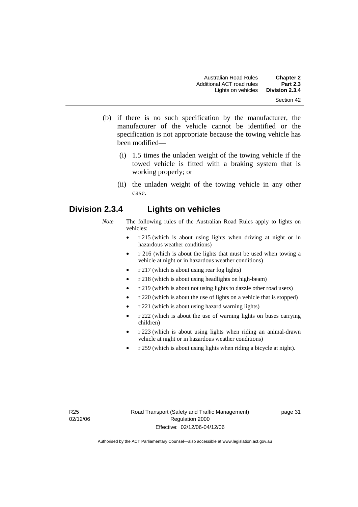- (b) if there is no such specification by the manufacturer, the manufacturer of the vehicle cannot be identified or the specification is not appropriate because the towing vehicle has been modified—
	- (i) 1.5 times the unladen weight of the towing vehicle if the towed vehicle is fitted with a braking system that is working properly; or
	- (ii) the unladen weight of the towing vehicle in any other case.

# **Division 2.3.4 Lights on vehicles**

- *Note* The following rules of the Australian Road Rules apply to lights on vehicles:
	- r 215 (which is about using lights when driving at night or in hazardous weather conditions)
	- r 216 (which is about the lights that must be used when towing a vehicle at night or in hazardous weather conditions)
	- r 217 (which is about using rear fog lights)
	- r 218 (which is about using headlights on high-beam)
	- r 219 (which is about not using lights to dazzle other road users)
	- r 220 (which is about the use of lights on a vehicle that is stopped)
	- r 221 (which is about using hazard warning lights)
	- r 222 (which is about the use of warning lights on buses carrying children)
	- r 223 (which is about using lights when riding an animal-drawn vehicle at night or in hazardous weather conditions)
	- r 259 (which is about using lights when riding a bicycle at night).

page 31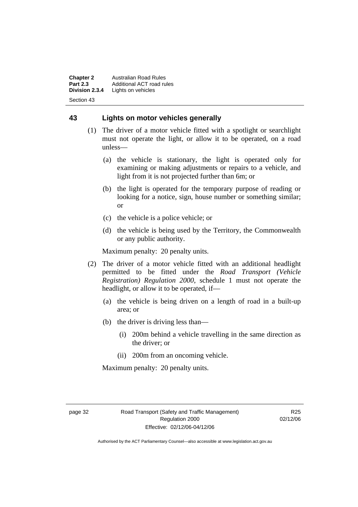**Chapter 2** Australian Road Rules<br>**Part 2.3** Additional ACT road ru **Part 2.3** Additional ACT road rules<br>**Division 2.3.4** Lights on vehicles Lights on vehicles Section 43

# **43 Lights on motor vehicles generally**

- (1) The driver of a motor vehicle fitted with a spotlight or searchlight must not operate the light, or allow it to be operated, on a road unless—
	- (a) the vehicle is stationary, the light is operated only for examining or making adjustments or repairs to a vehicle, and light from it is not projected further than 6m; or
	- (b) the light is operated for the temporary purpose of reading or looking for a notice, sign, house number or something similar; or
	- (c) the vehicle is a police vehicle; or
	- (d) the vehicle is being used by the Territory, the Commonwealth or any public authority.

Maximum penalty: 20 penalty units.

- (2) The driver of a motor vehicle fitted with an additional headlight permitted to be fitted under the *Road Transport (Vehicle Registration) Regulation 2000*, schedule 1 must not operate the headlight, or allow it to be operated, if—
	- (a) the vehicle is being driven on a length of road in a built-up area; or
	- (b) the driver is driving less than—
		- (i) 200m behind a vehicle travelling in the same direction as the driver; or
		- (ii) 200m from an oncoming vehicle.

Maximum penalty: 20 penalty units.

R<sub>25</sub> 02/12/06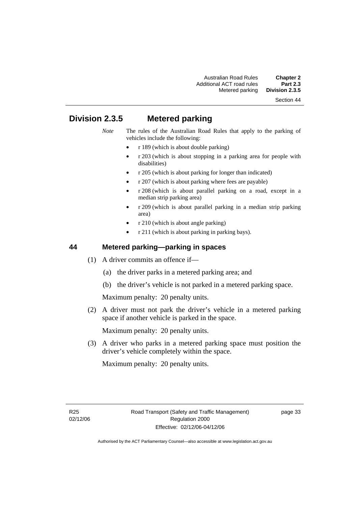# Section 44

# **Division 2.3.5 Metered parking**

- *Note* The rules of the Australian Road Rules that apply to the parking of vehicles include the following:
	- r 189 (which is about double parking)
	- r 203 (which is about stopping in a parking area for people with disabilities)
	- r 205 (which is about parking for longer than indicated)
	- r 207 (which is about parking where fees are payable)
	- r 208 (which is about parallel parking on a road, except in a median strip parking area)
	- r 209 (which is about parallel parking in a median strip parking area)
	- r 210 (which is about angle parking)
	- r 211 (which is about parking in parking bays).

# **44 Metered parking—parking in spaces**

- (1) A driver commits an offence if—
	- (a) the driver parks in a metered parking area; and
	- (b) the driver's vehicle is not parked in a metered parking space.

Maximum penalty: 20 penalty units.

 (2) A driver must not park the driver's vehicle in a metered parking space if another vehicle is parked in the space.

Maximum penalty: 20 penalty units.

 (3) A driver who parks in a metered parking space must position the driver's vehicle completely within the space.

Maximum penalty: 20 penalty units.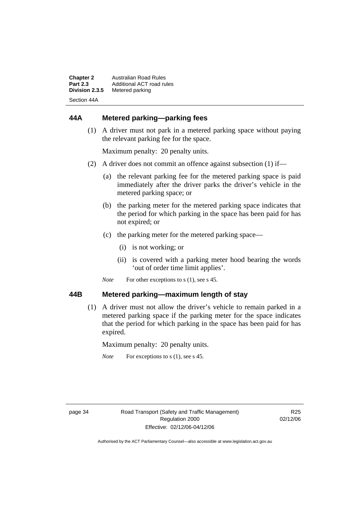| <b>Chapter 2</b> | Australian Road Rules     |
|------------------|---------------------------|
| <b>Part 2.3</b>  | Additional ACT road rules |
| Division 2.3.5   | Metered parking           |
| Section 44A      |                           |

# **44A Metered parking—parking fees**

 (1) A driver must not park in a metered parking space without paying the relevant parking fee for the space.

Maximum penalty: 20 penalty units.

- (2) A driver does not commit an offence against subsection (1) if—
	- (a) the relevant parking fee for the metered parking space is paid immediately after the driver parks the driver's vehicle in the metered parking space; or
	- (b) the parking meter for the metered parking space indicates that the period for which parking in the space has been paid for has not expired; or
	- (c) the parking meter for the metered parking space—
		- (i) is not working; or
		- (ii) is covered with a parking meter hood bearing the words 'out of order time limit applies'.
	- *Note* For other exceptions to s (1), see s 45.

## **44B Metered parking—maximum length of stay**

 (1) A driver must not allow the driver's vehicle to remain parked in a metered parking space if the parking meter for the space indicates that the period for which parking in the space has been paid for has expired.

Maximum penalty: 20 penalty units.

*Note* For exceptions to s (1), see s 45.

R<sub>25</sub> 02/12/06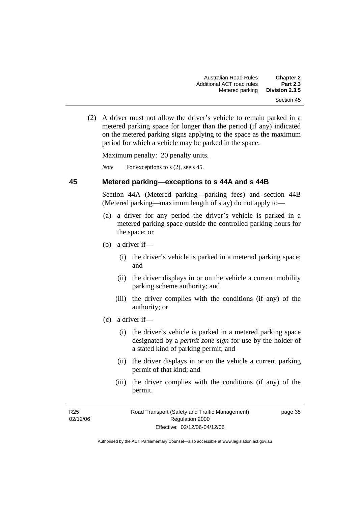(2) A driver must not allow the driver's vehicle to remain parked in a metered parking space for longer than the period (if any) indicated on the metered parking signs applying to the space as the maximum period for which a vehicle may be parked in the space.

Maximum penalty: 20 penalty units.

*Note* For exceptions to s (2), see s 45.

# **45 Metered parking—exceptions to s 44A and s 44B**

Section 44A (Metered parking—parking fees) and section 44B (Metered parking—maximum length of stay) do not apply to—

- (a) a driver for any period the driver's vehicle is parked in a metered parking space outside the controlled parking hours for the space; or
- (b) a driver if—
	- (i) the driver's vehicle is parked in a metered parking space; and
	- (ii) the driver displays in or on the vehicle a current mobility parking scheme authority; and
	- (iii) the driver complies with the conditions (if any) of the authority; or
- (c) a driver if—
	- (i) the driver's vehicle is parked in a metered parking space designated by a *permit zone sign* for use by the holder of a stated kind of parking permit; and
	- (ii) the driver displays in or on the vehicle a current parking permit of that kind; and
	- (iii) the driver complies with the conditions (if any) of the permit.

page 35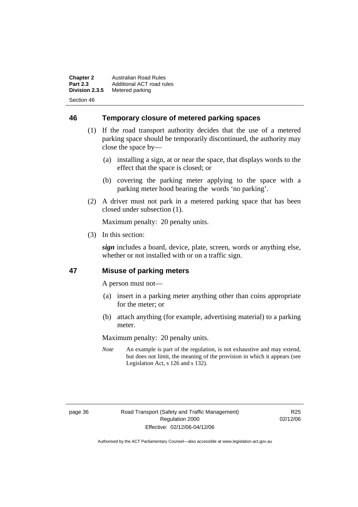**Chapter 2** Australian Road Rules<br>**Part 2.3** Additional ACT road ru **Part 2.3** Additional ACT road rules<br>**Division 2.3.5** Metered parking **Metered parking** Section 46

**46 Temporary closure of metered parking spaces**

- (1) If the road transport authority decides that the use of a metered parking space should be temporarily discontinued, the authority may close the space by—
	- (a) installing a sign, at or near the space, that displays words to the effect that the space is closed; or
	- (b) covering the parking meter applying to the space with a parking meter hood bearing the words 'no parking'.
- (2) A driver must not park in a metered parking space that has been closed under subsection (1).

Maximum penalty: 20 penalty units.

(3) In this section:

*sign* includes a board, device, plate, screen, words or anything else, whether or not installed with or on a traffic sign.

# **47 Misuse of parking meters**

A person must not—

- (a) insert in a parking meter anything other than coins appropriate for the meter; or
- (b) attach anything (for example, advertising material) to a parking meter.

Maximum penalty: 20 penalty units.

*Note* An example is part of the regulation, is not exhaustive and may extend, but does not limit, the meaning of the provision in which it appears (see Legislation Act, s 126 and s 132).

R<sub>25</sub> 02/12/06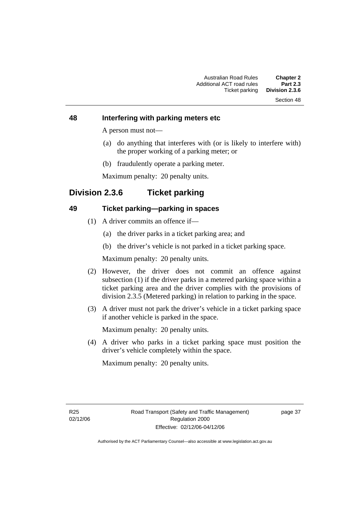# Section 48

#### **48 Interfering with parking meters etc**

A person must not—

- (a) do anything that interferes with (or is likely to interfere with) the proper working of a parking meter; or
- (b) fraudulently operate a parking meter.

Maximum penalty: 20 penalty units.

# **Division 2.3.6 Ticket parking**

# **49 Ticket parking—parking in spaces**

- (1) A driver commits an offence if—
	- (a) the driver parks in a ticket parking area; and
	- (b) the driver's vehicle is not parked in a ticket parking space.

Maximum penalty: 20 penalty units.

- (2) However, the driver does not commit an offence against subsection (1) if the driver parks in a metered parking space within a ticket parking area and the driver complies with the provisions of division 2.3.5 (Metered parking) in relation to parking in the space.
- (3) A driver must not park the driver's vehicle in a ticket parking space if another vehicle is parked in the space.

Maximum penalty: 20 penalty units.

 (4) A driver who parks in a ticket parking space must position the driver's vehicle completely within the space.

Maximum penalty: 20 penalty units.

page 37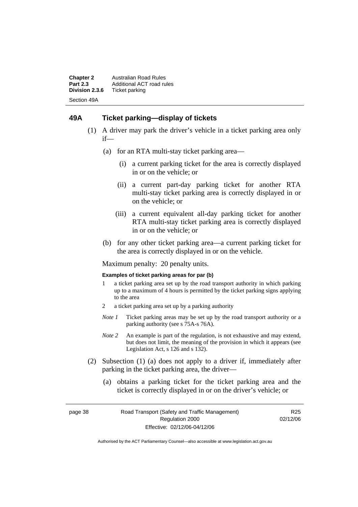**Chapter 2** Australian Road Rules<br>**Part 2.3** Additional ACT road ru **Part 2.3** Additional ACT road rules<br>**Division 2.3.6** Ticket parking **Ticket parking** Section 49A

# **49A Ticket parking—display of tickets**

- (1) A driver may park the driver's vehicle in a ticket parking area only if—
	- (a) for an RTA multi-stay ticket parking area—
		- (i) a current parking ticket for the area is correctly displayed in or on the vehicle; or
		- (ii) a current part-day parking ticket for another RTA multi-stay ticket parking area is correctly displayed in or on the vehicle; or
		- (iii) a current equivalent all-day parking ticket for another RTA multi-stay ticket parking area is correctly displayed in or on the vehicle; or
	- (b) for any other ticket parking area—a current parking ticket for the area is correctly displayed in or on the vehicle.

Maximum penalty: 20 penalty units.

#### **Examples of ticket parking areas for par (b)**

- 1 a ticket parking area set up by the road transport authority in which parking up to a maximum of 4 hours is permitted by the ticket parking signs applying to the area
- 2 a ticket parking area set up by a parking authority
- *Note 1* Ticket parking areas may be set up by the road transport authority or a parking authority (see s 75A-s 76A).
- *Note 2* An example is part of the regulation, is not exhaustive and may extend, but does not limit, the meaning of the provision in which it appears (see Legislation Act, s 126 and s 132).
- (2) Subsection (1) (a) does not apply to a driver if, immediately after parking in the ticket parking area, the driver—
	- (a) obtains a parking ticket for the ticket parking area and the ticket is correctly displayed in or on the driver's vehicle; or

page 38 Road Transport (Safety and Traffic Management) Regulation 2000 Effective: 02/12/06-04/12/06

R<sub>25</sub> 02/12/06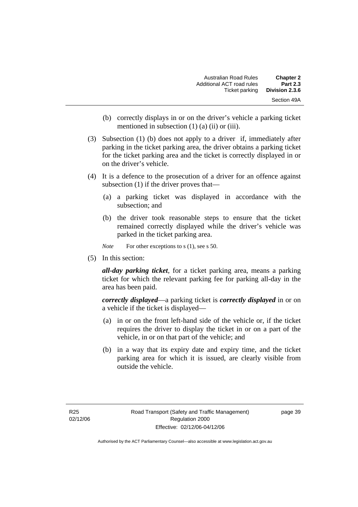| <b>Chapter 2</b> | Australian Road Rules     |
|------------------|---------------------------|
| <b>Part 2.3</b>  | Additional ACT road rules |
| Division 2.3.6   | Ticket parking            |
| Section 49A      |                           |

- (b) correctly displays in or on the driver's vehicle a parking ticket mentioned in subsection (1) (a) (ii) or (iii).
- (3) Subsection (1) (b) does not apply to a driver if, immediately after parking in the ticket parking area, the driver obtains a parking ticket for the ticket parking area and the ticket is correctly displayed in or on the driver's vehicle.
- (4) It is a defence to the prosecution of a driver for an offence against subsection (1) if the driver proves that—
	- (a) a parking ticket was displayed in accordance with the subsection; and
	- (b) the driver took reasonable steps to ensure that the ticket remained correctly displayed while the driver's vehicle was parked in the ticket parking area.

*Note* For other exceptions to s (1), see s 50.

(5) In this section:

*all-day parking ticket*, for a ticket parking area, means a parking ticket for which the relevant parking fee for parking all-day in the area has been paid.

*correctly displayed*—a parking ticket is *correctly displayed* in or on a vehicle if the ticket is displayed—

- (a) in or on the front left-hand side of the vehicle or, if the ticket requires the driver to display the ticket in or on a part of the vehicle, in or on that part of the vehicle; and
- (b) in a way that its expiry date and expiry time, and the ticket parking area for which it is issued, are clearly visible from outside the vehicle.

page 39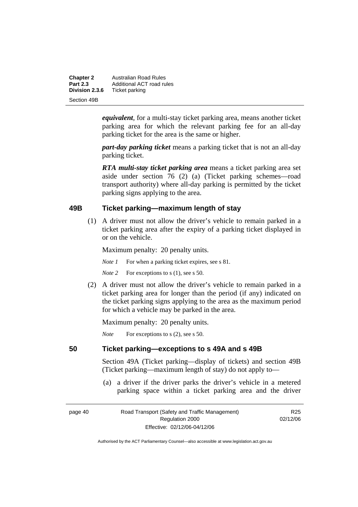| <b>Chapter 2</b> | <b>Australian Road Rules</b> |
|------------------|------------------------------|
| <b>Part 2.3</b>  | Additional ACT road rules    |
| Division 2.3.6   | Ticket parking               |
| Section 49B      |                              |

*equivalent*, for a multi-stay ticket parking area, means another ticket parking area for which the relevant parking fee for an all-day parking ticket for the area is the same or higher.

*part-day parking ticket* means a parking ticket that is not an all-day parking ticket.

*RTA multi-stay ticket parking area* means a ticket parking area set aside under section 76 (2) (a) (Ticket parking schemes—road transport authority) where all-day parking is permitted by the ticket parking signs applying to the area.

# **49B Ticket parking—maximum length of stay**

 (1) A driver must not allow the driver's vehicle to remain parked in a ticket parking area after the expiry of a parking ticket displayed in or on the vehicle.

Maximum penalty: 20 penalty units.

*Note 1* For when a parking ticket expires, see s 81.

*Note* 2 For exceptions to s (1), see s 50.

 (2) A driver must not allow the driver's vehicle to remain parked in a ticket parking area for longer than the period (if any) indicated on the ticket parking signs applying to the area as the maximum period for which a vehicle may be parked in the area.

Maximum penalty: 20 penalty units.

*Note* For exceptions to s (2), see s 50.

# **50 Ticket parking—exceptions to s 49A and s 49B**

Section 49A (Ticket parking—display of tickets) and section 49B (Ticket parking—maximum length of stay) do not apply to—

 (a) a driver if the driver parks the driver's vehicle in a metered parking space within a ticket parking area and the driver

| page 40 |  |
|---------|--|
|---------|--|

page 40 Road Transport (Safety and Traffic Management) Regulation 2000 Effective: 02/12/06-04/12/06

R<sub>25</sub> 02/12/06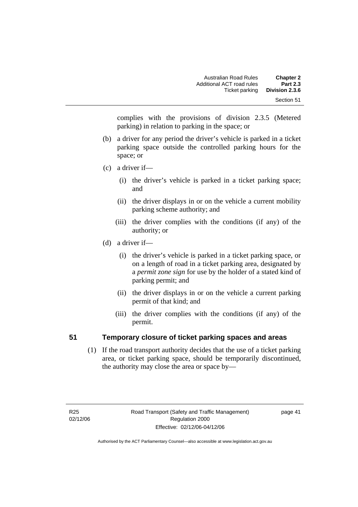complies with the provisions of division 2.3.5 (Metered parking) in relation to parking in the space; or

- (b) a driver for any period the driver's vehicle is parked in a ticket parking space outside the controlled parking hours for the space; or
- (c) a driver if—
	- (i) the driver's vehicle is parked in a ticket parking space; and
	- (ii) the driver displays in or on the vehicle a current mobility parking scheme authority; and
	- (iii) the driver complies with the conditions (if any) of the authority; or
- (d) a driver if—
	- (i) the driver's vehicle is parked in a ticket parking space, or on a length of road in a ticket parking area, designated by a *permit zone sign* for use by the holder of a stated kind of parking permit; and
	- (ii) the driver displays in or on the vehicle a current parking permit of that kind; and
	- (iii) the driver complies with the conditions (if any) of the permit.

# **51 Temporary closure of ticket parking spaces and areas**

 (1) If the road transport authority decides that the use of a ticket parking area, or ticket parking space, should be temporarily discontinued, the authority may close the area or space by—

page 41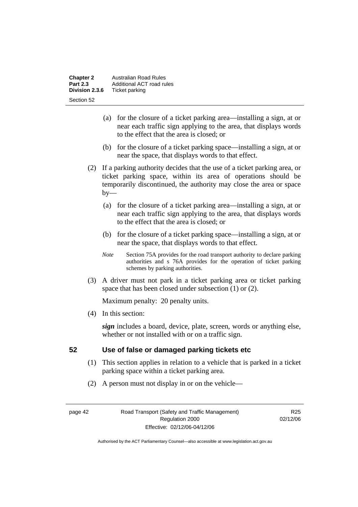| <b>Chapter 2</b> | Australian Road Rules     |  |
|------------------|---------------------------|--|
| <b>Part 2.3</b>  | Additional ACT road rules |  |
| Division 2.3.6   | Ticket parking            |  |
| Section 52       |                           |  |

- (a) for the closure of a ticket parking area—installing a sign, at or near each traffic sign applying to the area, that displays words to the effect that the area is closed; or
- (b) for the closure of a ticket parking space—installing a sign, at or near the space, that displays words to that effect.
- (2) If a parking authority decides that the use of a ticket parking area, or ticket parking space, within its area of operations should be temporarily discontinued, the authority may close the area or space  $by-$ 
	- (a) for the closure of a ticket parking area—installing a sign, at or near each traffic sign applying to the area, that displays words to the effect that the area is closed; or
	- (b) for the closure of a ticket parking space—installing a sign, at or near the space, that displays words to that effect.
	- *Note* Section 75A provides for the road transport authority to declare parking authorities and s 76A provides for the operation of ticket parking schemes by parking authorities.
- (3) A driver must not park in a ticket parking area or ticket parking space that has been closed under subsection (1) or (2).

(4) In this section:

*sign* includes a board, device, plate, screen, words or anything else, whether or not installed with or on a traffic sign.

# **52 Use of false or damaged parking tickets etc**

- (1) This section applies in relation to a vehicle that is parked in a ticket parking space within a ticket parking area.
- (2) A person must not display in or on the vehicle—

page 42 Road Transport (Safety and Traffic Management) Regulation 2000 Effective: 02/12/06-04/12/06

R<sub>25</sub> 02/12/06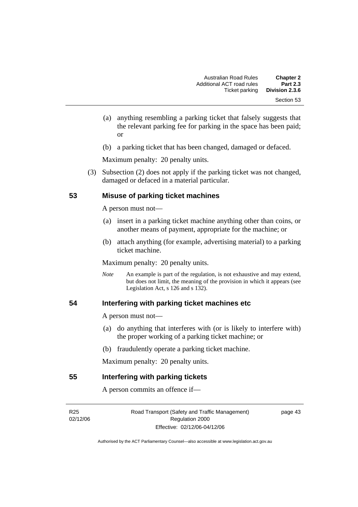- (a) anything resembling a parking ticket that falsely suggests that the relevant parking fee for parking in the space has been paid; or
- (b) a parking ticket that has been changed, damaged or defaced.

 (3) Subsection (2) does not apply if the parking ticket was not changed, damaged or defaced in a material particular.

# **53 Misuse of parking ticket machines**

A person must not—

- (a) insert in a parking ticket machine anything other than coins, or another means of payment, appropriate for the machine; or
- (b) attach anything (for example, advertising material) to a parking ticket machine.

Maximum penalty: 20 penalty units.

*Note* An example is part of the regulation, is not exhaustive and may extend, but does not limit, the meaning of the provision in which it appears (see Legislation Act, s  $126$  and s  $132$ ).

#### **54 Interfering with parking ticket machines etc**

A person must not—

- (a) do anything that interferes with (or is likely to interfere with) the proper working of a parking ticket machine; or
- (b) fraudulently operate a parking ticket machine.

Maximum penalty: 20 penalty units.

#### **55 Interfering with parking tickets**

A person commits an offence if—

R25 02/12/06 Road Transport (Safety and Traffic Management) Regulation 2000 Effective: 02/12/06-04/12/06

page 43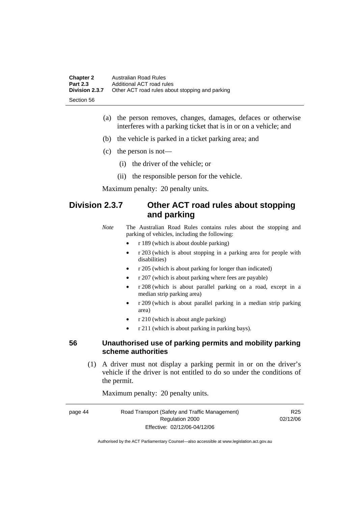| <b>Chapter 2</b> | Australian Road Rules                           |
|------------------|-------------------------------------------------|
| <b>Part 2.3</b>  | Additional ACT road rules                       |
| Division 2.3.7   | Other ACT road rules about stopping and parking |
| -Section 56      |                                                 |

- (a) the person removes, changes, damages, defaces or otherwise interferes with a parking ticket that is in or on a vehicle; and
- (b) the vehicle is parked in a ticket parking area; and
- (c) the person is not—
	- (i) the driver of the vehicle; or
	- (ii) the responsible person for the vehicle.

# **Division 2.3.7 Other ACT road rules about stopping and parking**

*Note* The Australian Road Rules contains rules about the stopping and parking of vehicles, including the following:

- r 189 (which is about double parking)
- r 203 (which is about stopping in a parking area for people with disabilities)
- r 205 (which is about parking for longer than indicated)
- r 207 (which is about parking where fees are payable)
- r 208 (which is about parallel parking on a road, except in a median strip parking area)
- r 209 (which is about parallel parking in a median strip parking area)
- r 210 (which is about angle parking)
- r 211 (which is about parking in parking bays).

# **56 Unauthorised use of parking permits and mobility parking scheme authorities**

 (1) A driver must not display a parking permit in or on the driver's vehicle if the driver is not entitled to do so under the conditions of the permit.

Maximum penalty: 20 penalty units.

| page 44 | Road Transport (Safety and Traffic Management) | R <sub>25</sub> |
|---------|------------------------------------------------|-----------------|
|         | Regulation 2000                                | 02/12/06        |
|         | Effective: 02/12/06-04/12/06                   |                 |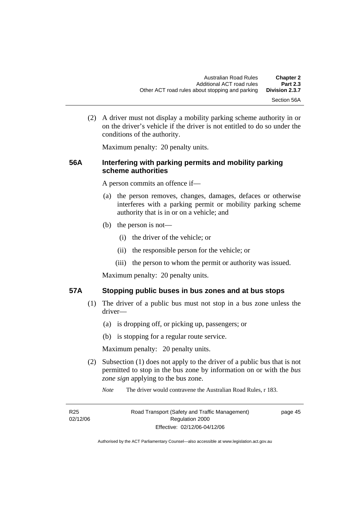(2) A driver must not display a mobility parking scheme authority in or on the driver's vehicle if the driver is not entitled to do so under the conditions of the authority.

Maximum penalty: 20 penalty units.

# **56A Interfering with parking permits and mobility parking scheme authorities**

A person commits an offence if—

- (a) the person removes, changes, damages, defaces or otherwise interferes with a parking permit or mobility parking scheme authority that is in or on a vehicle; and
- (b) the person is not—
	- (i) the driver of the vehicle; or
	- (ii) the responsible person for the vehicle; or
	- (iii) the person to whom the permit or authority was issued.

Maximum penalty: 20 penalty units.

# **57A Stopping public buses in bus zones and at bus stops**

- (1) The driver of a public bus must not stop in a bus zone unless the driver—
	- (a) is dropping off, or picking up, passengers; or
	- (b) is stopping for a regular route service.

Maximum penalty: 20 penalty units.

- (2) Subsection (1) does not apply to the driver of a public bus that is not permitted to stop in the bus zone by information on or with the *bus zone sign* applying to the bus zone.
	- *Note* The driver would contravene the Australian Road Rules, r 183.

| R <sub>25</sub> | Road Transport (Safety and Traffic Management) | page 45 |
|-----------------|------------------------------------------------|---------|
| 02/12/06        | Regulation 2000                                |         |
|                 | Effective: 02/12/06-04/12/06                   |         |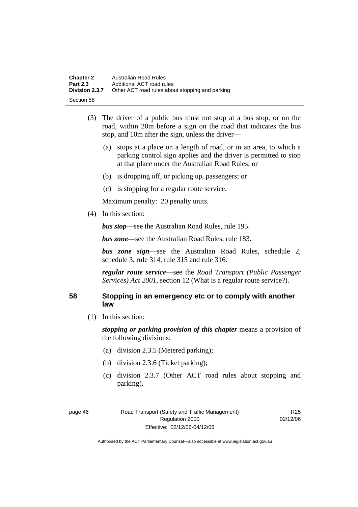| <b>Chapter 2</b> | Australian Road Rules                           |
|------------------|-------------------------------------------------|
| <b>Part 2.3</b>  | Additional ACT road rules                       |
| Division 2.3.7   | Other ACT road rules about stopping and parking |
| Section 58       |                                                 |

- (3) The driver of a public bus must not stop at a bus stop, or on the road, within 20m before a sign on the road that indicates the bus stop, and 10m after the sign, unless the driver—
	- (a) stops at a place on a length of road, or in an area, to which a parking control sign applies and the driver is permitted to stop at that place under the Australian Road Rules; or
	- (b) is dropping off, or picking up, passengers; or
	- (c) is stopping for a regular route service.

(4) In this section:

*bus stop*—see the Australian Road Rules, rule 195.

*bus zone*—see the Australian Road Rules, rule 183.

*bus zone sign*—see the Australian Road Rules, schedule 2, schedule 3, rule 314, rule 315 and rule 316.

*regular route service*—see the *Road Transport (Public Passenger Services) Act 2001*, section 12 (What is a regular route service?).

# **58 Stopping in an emergency etc or to comply with another law**

(1) In this section:

*stopping or parking provision of this chapter* means a provision of the following divisions:

- (a) division 2.3.5 (Metered parking);
- (b) division 2.3.6 (Ticket parking);
- (c) division 2.3.7 (Other ACT road rules about stopping and parking).

R<sub>25</sub> 02/12/06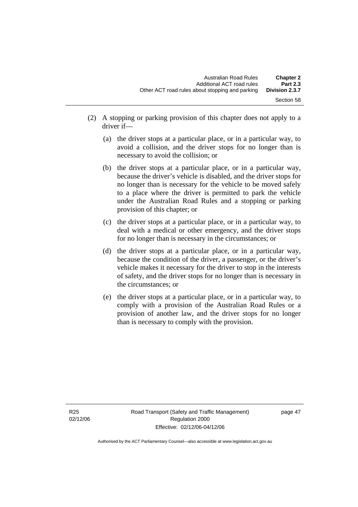- (2) A stopping or parking provision of this chapter does not apply to a driver if—
	- (a) the driver stops at a particular place, or in a particular way, to avoid a collision, and the driver stops for no longer than is necessary to avoid the collision; or
	- (b) the driver stops at a particular place, or in a particular way, because the driver's vehicle is disabled, and the driver stops for no longer than is necessary for the vehicle to be moved safely to a place where the driver is permitted to park the vehicle under the Australian Road Rules and a stopping or parking provision of this chapter; or
	- (c) the driver stops at a particular place, or in a particular way, to deal with a medical or other emergency, and the driver stops for no longer than is necessary in the circumstances; or
	- (d) the driver stops at a particular place, or in a particular way, because the condition of the driver, a passenger, or the driver's vehicle makes it necessary for the driver to stop in the interests of safety, and the driver stops for no longer than is necessary in the circumstances; or
	- (e) the driver stops at a particular place, or in a particular way, to comply with a provision of the Australian Road Rules or a provision of another law, and the driver stops for no longer than is necessary to comply with the provision.

page 47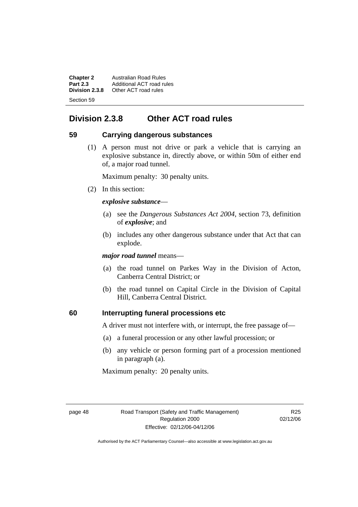**Chapter 2** Australian Road Rules<br>**Part 2.3** Additional ACT road ru **Part 2.3** Additional ACT road rules<br>**Division 2.3.8** Other ACT road rules **Division 2.3.8** Other ACT road rules Section 59

# **Division 2.3.8 Other ACT road rules**

# **59 Carrying dangerous substances**

 (1) A person must not drive or park a vehicle that is carrying an explosive substance in, directly above, or within 50m of either end of, a major road tunnel.

Maximum penalty: 30 penalty units.

(2) In this section:

# *explosive substance*—

- (a) see the *Dangerous Substances Act 2004*, section 73, definition of *explosive*; and
- (b) includes any other dangerous substance under that Act that can explode.

*major road tunnel* means—

- (a) the road tunnel on Parkes Way in the Division of Acton, Canberra Central District; or
- (b) the road tunnel on Capital Circle in the Division of Capital Hill, Canberra Central District.

# **60 Interrupting funeral processions etc**

A driver must not interfere with, or interrupt, the free passage of—

- (a) a funeral procession or any other lawful procession; or
- (b) any vehicle or person forming part of a procession mentioned in paragraph (a).

Maximum penalty: 20 penalty units.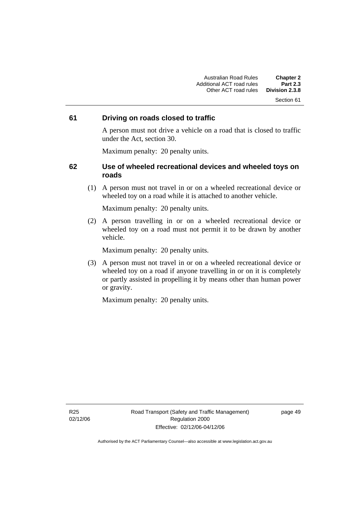#### Section 61

# **61 Driving on roads closed to traffic**

A person must not drive a vehicle on a road that is closed to traffic under the Act, section 30.

Maximum penalty: 20 penalty units.

# **62 Use of wheeled recreational devices and wheeled toys on roads**

 (1) A person must not travel in or on a wheeled recreational device or wheeled toy on a road while it is attached to another vehicle.

Maximum penalty: 20 penalty units.

 (2) A person travelling in or on a wheeled recreational device or wheeled toy on a road must not permit it to be drawn by another vehicle.

Maximum penalty: 20 penalty units.

 (3) A person must not travel in or on a wheeled recreational device or wheeled toy on a road if anyone travelling in or on it is completely or partly assisted in propelling it by means other than human power or gravity.

Maximum penalty: 20 penalty units.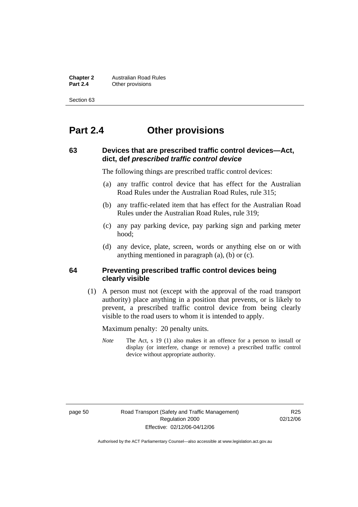**Chapter 2** Australian Road Rules<br>**Part 2.4** Other provisions **Other provisions** 

Section 63

# **Part 2.4 Other provisions**

# **63 Devices that are prescribed traffic control devices—Act, dict, def** *prescribed traffic control device*

The following things are prescribed traffic control devices:

- (a) any traffic control device that has effect for the Australian Road Rules under the Australian Road Rules, rule 315;
- (b) any traffic-related item that has effect for the Australian Road Rules under the Australian Road Rules, rule 319;
- (c) any pay parking device, pay parking sign and parking meter hood;
- (d) any device, plate, screen, words or anything else on or with anything mentioned in paragraph (a), (b) or (c).

# **64 Preventing prescribed traffic control devices being clearly visible**

 (1) A person must not (except with the approval of the road transport authority) place anything in a position that prevents, or is likely to prevent, a prescribed traffic control device from being clearly visible to the road users to whom it is intended to apply.

Maximum penalty: 20 penalty units.

*Note* The Act, s 19 (1) also makes it an offence for a person to install or display (or interfere, change or remove) a prescribed traffic control device without appropriate authority.

page 50 Road Transport (Safety and Traffic Management) Regulation 2000 Effective: 02/12/06-04/12/06

R<sub>25</sub> 02/12/06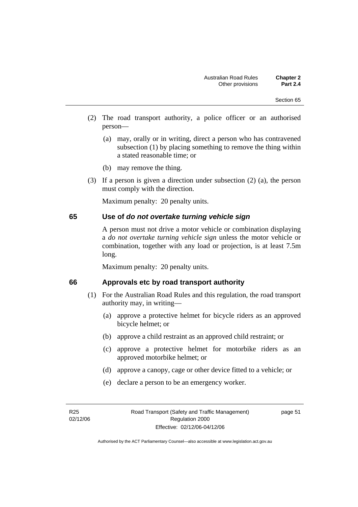- (2) The road transport authority, a police officer or an authorised person—
	- (a) may, orally or in writing, direct a person who has contravened subsection (1) by placing something to remove the thing within a stated reasonable time; or
	- (b) may remove the thing.
- (3) If a person is given a direction under subsection (2) (a), the person must comply with the direction.

#### **65 Use of** *do not overtake turning vehicle sign*

A person must not drive a motor vehicle or combination displaying a *do not overtake turning vehicle sign* unless the motor vehicle or combination, together with any load or projection, is at least 7.5m long.

Maximum penalty: 20 penalty units.

#### **66 Approvals etc by road transport authority**

- (1) For the Australian Road Rules and this regulation, the road transport authority may, in writing—
	- (a) approve a protective helmet for bicycle riders as an approved bicycle helmet; or
	- (b) approve a child restraint as an approved child restraint; or
	- (c) approve a protective helmet for motorbike riders as an approved motorbike helmet; or
	- (d) approve a canopy, cage or other device fitted to a vehicle; or
	- (e) declare a person to be an emergency worker.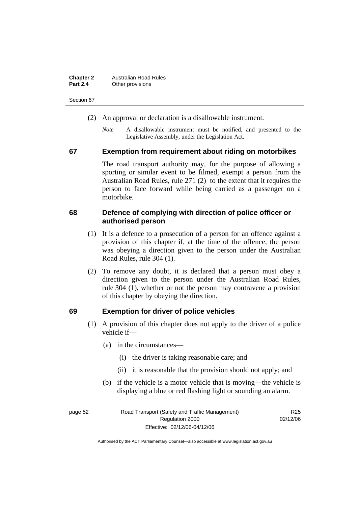| <b>Chapter 2</b> | <b>Australian Road Rules</b> |
|------------------|------------------------------|
| <b>Part 2.4</b>  | Other provisions             |

Section 67

- (2) An approval or declaration is a disallowable instrument.
	- *Note* A disallowable instrument must be notified, and presented to the Legislative Assembly, under the Legislation Act.

#### **67 Exemption from requirement about riding on motorbikes**

The road transport authority may, for the purpose of allowing a sporting or similar event to be filmed, exempt a person from the Australian Road Rules, rule 271 (2) to the extent that it requires the person to face forward while being carried as a passenger on a motorbike.

### **68 Defence of complying with direction of police officer or authorised person**

- (1) It is a defence to a prosecution of a person for an offence against a provision of this chapter if, at the time of the offence, the person was obeying a direction given to the person under the Australian Road Rules, rule 304 (1).
- (2) To remove any doubt, it is declared that a person must obey a direction given to the person under the Australian Road Rules, rule 304 (1), whether or not the person may contravene a provision of this chapter by obeying the direction.

#### **69 Exemption for driver of police vehicles**

- (1) A provision of this chapter does not apply to the driver of a police vehicle if—
	- (a) in the circumstances—
		- (i) the driver is taking reasonable care; and
		- (ii) it is reasonable that the provision should not apply; and
	- (b) if the vehicle is a motor vehicle that is moving—the vehicle is displaying a blue or red flashing light or sounding an alarm.

| page 52 | Road Transport (Safety and Traffic Management) | R25      |
|---------|------------------------------------------------|----------|
|         | Regulation 2000                                | 02/12/06 |
|         | Effective: 02/12/06-04/12/06                   |          |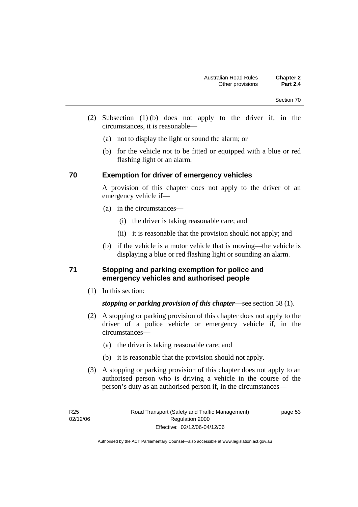- (2) Subsection (1) (b) does not apply to the driver if, in the circumstances, it is reasonable—
	- (a) not to display the light or sound the alarm; or
	- (b) for the vehicle not to be fitted or equipped with a blue or red flashing light or an alarm.

# **70 Exemption for driver of emergency vehicles**

A provision of this chapter does not apply to the driver of an emergency vehicle if—

- (a) in the circumstances—
	- (i) the driver is taking reasonable care; and
	- (ii) it is reasonable that the provision should not apply; and
- (b) if the vehicle is a motor vehicle that is moving—the vehicle is displaying a blue or red flashing light or sounding an alarm.

# **71 Stopping and parking exemption for police and emergency vehicles and authorised people**

(1) In this section:

*stopping or parking provision of this chapter*—see section 58 (1).

- (2) A stopping or parking provision of this chapter does not apply to the driver of a police vehicle or emergency vehicle if, in the circumstances—
	- (a) the driver is taking reasonable care; and
	- (b) it is reasonable that the provision should not apply.
- (3) A stopping or parking provision of this chapter does not apply to an authorised person who is driving a vehicle in the course of the person's duty as an authorised person if, in the circumstances—

page 53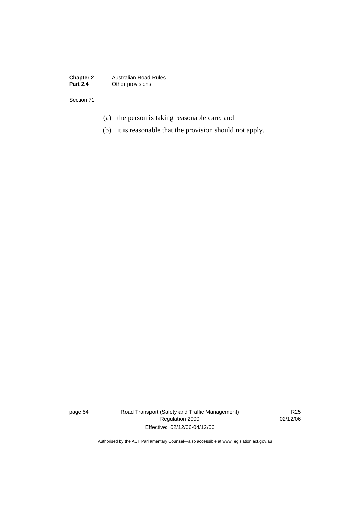**Chapter 2** Australian Road Rules **Part 2.4** Other provisions

Section 71

- (a) the person is taking reasonable care; and
- (b) it is reasonable that the provision should not apply.

page 54 Road Transport (Safety and Traffic Management) Regulation 2000 Effective: 02/12/06-04/12/06

R25 02/12/06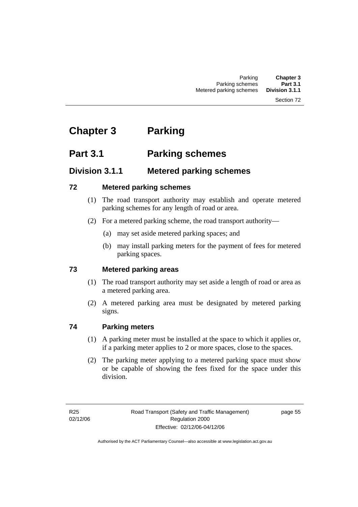#### Section 72

# **Chapter 3 Parking**

# **Part 3.1 Parking schemes**

# **Division 3.1.1 Metered parking schemes**

# **72 Metered parking schemes**

- (1) The road transport authority may establish and operate metered parking schemes for any length of road or area.
- (2) For a metered parking scheme, the road transport authority—
	- (a) may set aside metered parking spaces; and
	- (b) may install parking meters for the payment of fees for metered parking spaces.

# **73 Metered parking areas**

- (1) The road transport authority may set aside a length of road or area as a metered parking area.
- (2) A metered parking area must be designated by metered parking signs.

# **74 Parking meters**

- (1) A parking meter must be installed at the space to which it applies or, if a parking meter applies to 2 or more spaces, close to the spaces.
- (2) The parking meter applying to a metered parking space must show or be capable of showing the fees fixed for the space under this division.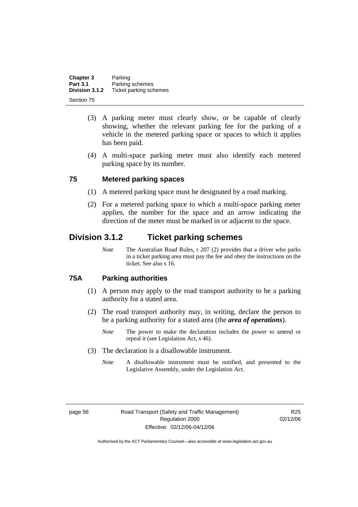| Chapter 3       | Parking                |
|-----------------|------------------------|
| <b>Part 3.1</b> | Parking schemes        |
| Division 3.1.2  | Ticket parking schemes |
| Section 75      |                        |

- (3) A parking meter must clearly show, or be capable of clearly showing, whether the relevant parking fee for the parking of a vehicle in the metered parking space or spaces to which it applies has been paid.
- (4) A multi-space parking meter must also identify each metered parking space by its number.

#### **75 Metered parking spaces**

- (1) A metered parking space must be designated by a road marking.
- (2) For a metered parking space to which a multi-space parking meter applies, the number for the space and an arrow indicating the direction of the meter must be marked in or adjacent to the space.

# **Division 3.1.2 Ticket parking schemes**

*Note* The Australian Road Rules, r 207 (2) provides that a driver who parks in a ticket parking area must pay the fee and obey the instructions on the ticket. See also s 16.

# **75A Parking authorities**

- (1) A person may apply to the road transport authority to be a parking authority for a stated area.
- (2) The road transport authority may, in writing, declare the person to be a parking authority for a stated area (the *area of operations*).
	- *Note* The power to make the declaration includes the power to amend or repeal it (see Legislation Act, s 46).
- (3) The declaration is a disallowable instrument.
	- *Note* A disallowable instrument must be notified, and presented to the Legislative Assembly, under the Legislation Act.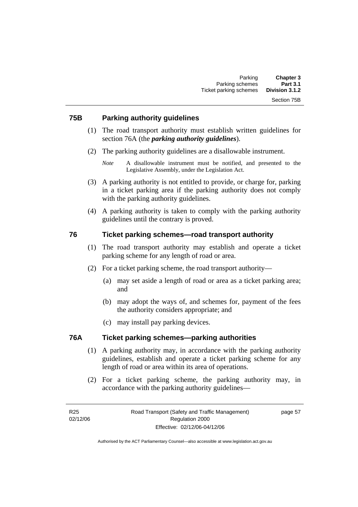# **75B Parking authority guidelines**

- (1) The road transport authority must establish written guidelines for section 76A (the *parking authority guidelines*).
- (2) The parking authority guidelines are a disallowable instrument.

- (3) A parking authority is not entitled to provide, or charge for, parking in a ticket parking area if the parking authority does not comply with the parking authority guidelines.
- (4) A parking authority is taken to comply with the parking authority guidelines until the contrary is proved.

# **76 Ticket parking schemes—road transport authority**

- (1) The road transport authority may establish and operate a ticket parking scheme for any length of road or area.
- (2) For a ticket parking scheme, the road transport authority—
	- (a) may set aside a length of road or area as a ticket parking area; and
	- (b) may adopt the ways of, and schemes for, payment of the fees the authority considers appropriate; and
	- (c) may install pay parking devices.

# **76A Ticket parking schemes—parking authorities**

- (1) A parking authority may, in accordance with the parking authority guidelines, establish and operate a ticket parking scheme for any length of road or area within its area of operations.
- (2) For a ticket parking scheme, the parking authority may, in accordance with the parking authority guidelines—

page 57

*Note* A disallowable instrument must be notified, and presented to the Legislative Assembly, under the Legislation Act.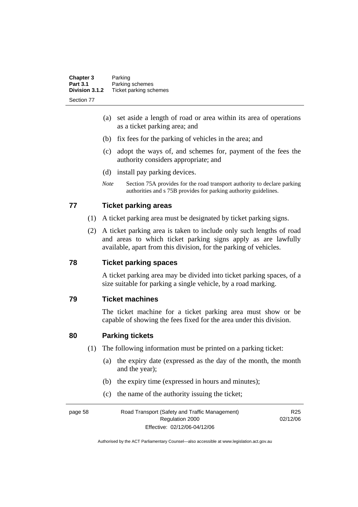| <b>Chapter 3</b> | Parking                |
|------------------|------------------------|
| <b>Part 3.1</b>  | Parking schemes        |
| Division 3.1.2   | Ticket parking schemes |
| Section 77       |                        |

- (a) set aside a length of road or area within its area of operations as a ticket parking area; and
- (b) fix fees for the parking of vehicles in the area; and
- (c) adopt the ways of, and schemes for, payment of the fees the authority considers appropriate; and
- (d) install pay parking devices.
- *Note* Section 75A provides for the road transport authority to declare parking authorities and s 75B provides for parking authority guidelines.

# **77 Ticket parking areas**

- (1) A ticket parking area must be designated by ticket parking signs.
- (2) A ticket parking area is taken to include only such lengths of road and areas to which ticket parking signs apply as are lawfully available, apart from this division, for the parking of vehicles.

# **78 Ticket parking spaces**

A ticket parking area may be divided into ticket parking spaces, of a size suitable for parking a single vehicle, by a road marking.

# **79 Ticket machines**

The ticket machine for a ticket parking area must show or be capable of showing the fees fixed for the area under this division.

# **80 Parking tickets**

- (1) The following information must be printed on a parking ticket:
	- (a) the expiry date (expressed as the day of the month, the month and the year);
	- (b) the expiry time (expressed in hours and minutes);
	- (c) the name of the authority issuing the ticket;

page 58 Road Transport (Safety and Traffic Management) Regulation 2000 Effective: 02/12/06-04/12/06 R<sub>25</sub> 02/12/06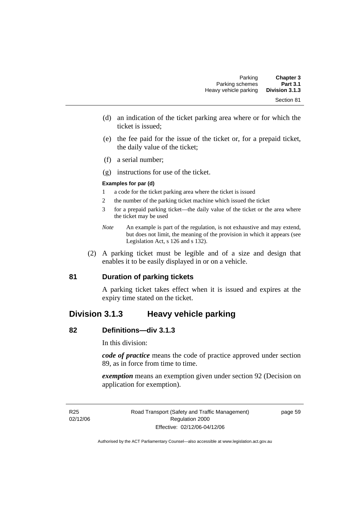- (d) an indication of the ticket parking area where or for which the ticket is issued;
- (e) the fee paid for the issue of the ticket or, for a prepaid ticket, the daily value of the ticket;
- (f) a serial number;
- (g) instructions for use of the ticket.

#### **Examples for par (d)**

- 1 a code for the ticket parking area where the ticket is issued
- 2 the number of the parking ticket machine which issued the ticket
- 3 for a prepaid parking ticket—the daily value of the ticket or the area where the ticket may be used
- *Note* An example is part of the regulation, is not exhaustive and may extend, but does not limit, the meaning of the provision in which it appears (see Legislation Act, s 126 and s 132).
- (2) A parking ticket must be legible and of a size and design that enables it to be easily displayed in or on a vehicle.

# **81 Duration of parking tickets**

A parking ticket takes effect when it is issued and expires at the expiry time stated on the ticket.

# **Division 3.1.3 Heavy vehicle parking**

# **82 Definitions—div 3.1.3**

In this division:

*code of practice* means the code of practice approved under section 89, as in force from time to time.

*exemption* means an exemption given under section 92 (Decision on application for exemption).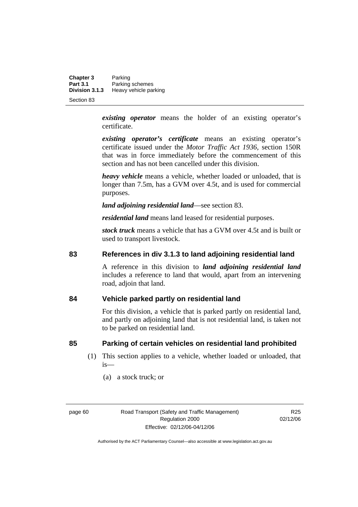**Chapter 3** Parking<br>**Part 3.1** Parking **Part 3.1 Parking schemes**<br>**Division 3.1.3 Heavy vehicle pay Division 3.1.3** Heavy vehicle parking

Section 83

*existing operator* means the holder of an existing operator's certificate.

*existing operator's certificate* means an existing operator's certificate issued under the *Motor Traffic Act 1936,* section 150R that was in force immediately before the commencement of this section and has not been cancelled under this division.

*heavy vehicle* means a vehicle, whether loaded or unloaded, that is longer than 7.5m, has a GVM over 4.5t, and is used for commercial purposes.

*land adjoining residential land*—see section 83.

*residential land* means land leased for residential purposes.

*stock truck* means a vehicle that has a GVM over 4.5t and is built or used to transport livestock.

## **83 References in div 3.1.3 to land adjoining residential land**

A reference in this division to *land adjoining residential land* includes a reference to land that would, apart from an intervening road, adjoin that land.

# **84 Vehicle parked partly on residential land**

For this division, a vehicle that is parked partly on residential land, and partly on adjoining land that is not residential land, is taken not to be parked on residential land.

# **85 Parking of certain vehicles on residential land prohibited**

- (1) This section applies to a vehicle, whether loaded or unloaded, that is—
	- (a) a stock truck; or

R<sub>25</sub> 02/12/06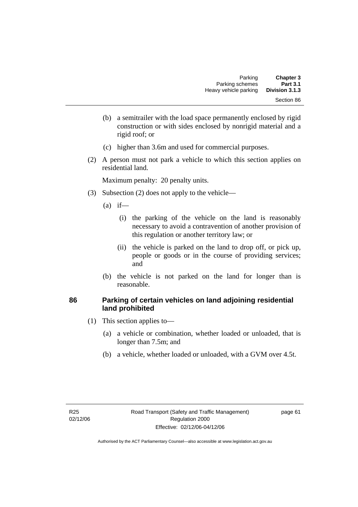- (b) a semitrailer with the load space permanently enclosed by rigid construction or with sides enclosed by nonrigid material and a rigid roof; or
- (c) higher than 3.6m and used for commercial purposes.
- (2) A person must not park a vehicle to which this section applies on residential land.

- (3) Subsection (2) does not apply to the vehicle—
	- $(a)$  if—
		- (i) the parking of the vehicle on the land is reasonably necessary to avoid a contravention of another provision of this regulation or another territory law; or
		- (ii) the vehicle is parked on the land to drop off, or pick up, people or goods or in the course of providing services; and
	- (b) the vehicle is not parked on the land for longer than is reasonable.

# **86 Parking of certain vehicles on land adjoining residential land prohibited**

- (1) This section applies to—
	- (a) a vehicle or combination, whether loaded or unloaded, that is longer than 7.5m; and
	- (b) a vehicle, whether loaded or unloaded, with a GVM over 4.5t.

page 61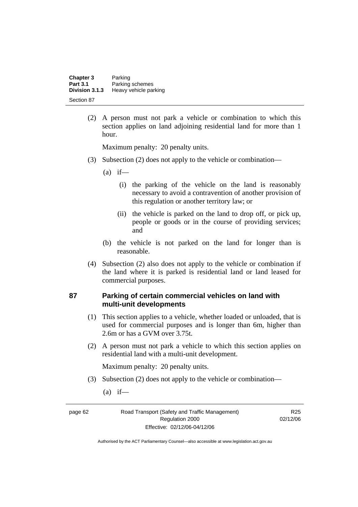| <b>Chapter 3</b> | Parking               |
|------------------|-----------------------|
| <b>Part 3.1</b>  | Parking schemes       |
| Division 3.1.3   | Heavy vehicle parking |
| Section 87       |                       |

 (2) A person must not park a vehicle or combination to which this section applies on land adjoining residential land for more than 1 hour.

Maximum penalty: 20 penalty units.

- (3) Subsection (2) does not apply to the vehicle or combination—
	- $(a)$  if—
		- (i) the parking of the vehicle on the land is reasonably necessary to avoid a contravention of another provision of this regulation or another territory law; or
		- (ii) the vehicle is parked on the land to drop off, or pick up, people or goods or in the course of providing services; and
	- (b) the vehicle is not parked on the land for longer than is reasonable.
- (4) Subsection (2) also does not apply to the vehicle or combination if the land where it is parked is residential land or land leased for commercial purposes.

### **87 Parking of certain commercial vehicles on land with multi-unit developments**

- (1) This section applies to a vehicle, whether loaded or unloaded, that is used for commercial purposes and is longer than 6m, higher than 2.6m or has a GVM over 3.75t.
- (2) A person must not park a vehicle to which this section applies on residential land with a multi-unit development.

Maximum penalty: 20 penalty units.

- (3) Subsection (2) does not apply to the vehicle or combination—
	- $(a)$  if—

page 62 Road Transport (Safety and Traffic Management) Regulation 2000 Effective: 02/12/06-04/12/06

R<sub>25</sub> 02/12/06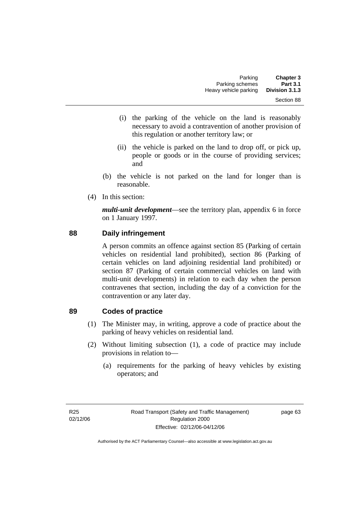- (i) the parking of the vehicle on the land is reasonably necessary to avoid a contravention of another provision of this regulation or another territory law; or
- (ii) the vehicle is parked on the land to drop off, or pick up, people or goods or in the course of providing services; and
- (b) the vehicle is not parked on the land for longer than is reasonable.
- (4) In this section:

*multi-unit development*—see the territory plan, appendix 6 in force on 1 January 1997.

# **88 Daily infringement**

A person commits an offence against section 85 (Parking of certain vehicles on residential land prohibited), section 86 (Parking of certain vehicles on land adjoining residential land prohibited) or section 87 (Parking of certain commercial vehicles on land with multi-unit developments) in relation to each day when the person contravenes that section, including the day of a conviction for the contravention or any later day.

# **89 Codes of practice**

- (1) The Minister may, in writing, approve a code of practice about the parking of heavy vehicles on residential land.
- (2) Without limiting subsection (1), a code of practice may include provisions in relation to—
	- (a) requirements for the parking of heavy vehicles by existing operators; and

page 63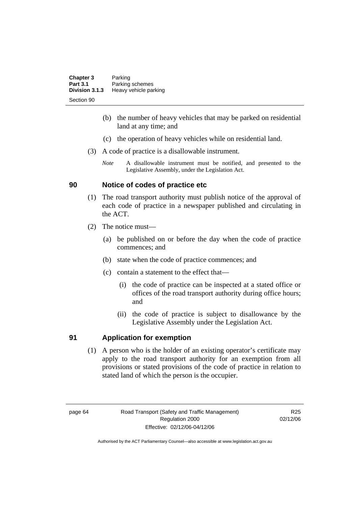| <b>Chapter 3</b> | Parking               |
|------------------|-----------------------|
| <b>Part 3.1</b>  | Parking schemes       |
| Division 3.1.3   | Heavy vehicle parking |
| Section 90       |                       |

- (b) the number of heavy vehicles that may be parked on residential land at any time; and
- (c) the operation of heavy vehicles while on residential land.
- (3) A code of practice is a disallowable instrument.
	- *Note* A disallowable instrument must be notified, and presented to the Legislative Assembly, under the Legislation Act.

# **90 Notice of codes of practice etc**

- (1) The road transport authority must publish notice of the approval of each code of practice in a newspaper published and circulating in the ACT.
- (2) The notice must—
	- (a) be published on or before the day when the code of practice commences; and
	- (b) state when the code of practice commences; and
	- (c) contain a statement to the effect that—
		- (i) the code of practice can be inspected at a stated office or offices of the road transport authority during office hours; and
		- (ii) the code of practice is subject to disallowance by the Legislative Assembly under the Legislation Act.

# **91 Application for exemption**

 (1) A person who is the holder of an existing operator's certificate may apply to the road transport authority for an exemption from all provisions or stated provisions of the code of practice in relation to stated land of which the person is the occupier.

R<sub>25</sub> 02/12/06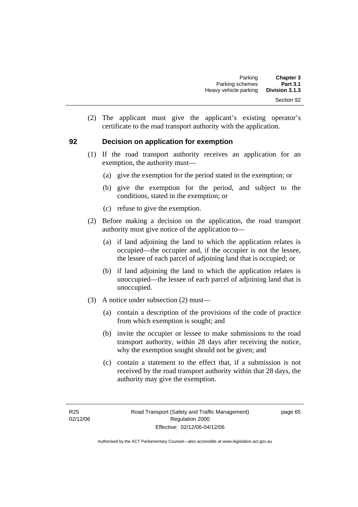(2) The applicant must give the applicant's existing operator's certificate to the road transport authority with the application.

## **92 Decision on application for exemption**

- (1) If the road transport authority receives an application for an exemption, the authority must—
	- (a) give the exemption for the period stated in the exemption; or
	- (b) give the exemption for the period, and subject to the conditions, stated in the exemption; or
	- (c) refuse to give the exemption.
- (2) Before making a decision on the application, the road transport authority must give notice of the application to—
	- (a) if land adjoining the land to which the application relates is occupied—the occupier and, if the occupier is not the lessee, the lessee of each parcel of adjoining land that is occupied; or
	- (b) if land adjoining the land to which the application relates is unoccupied—the lessee of each parcel of adjoining land that is unoccupied.
- (3) A notice under subsection (2) must—
	- (a) contain a description of the provisions of the code of practice from which exemption is sought; and
	- (b) invite the occupier or lessee to make submissions to the road transport authority, within 28 days after receiving the notice, why the exemption sought should not be given; and
	- (c) contain a statement to the effect that, if a submission is not received by the road transport authority within that 28 days, the authority may give the exemption.

page 65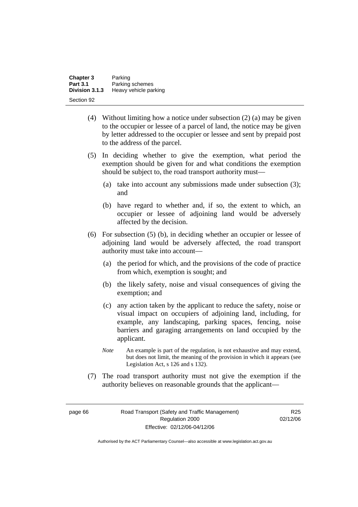| <b>Chapter 3</b> | Parking               |
|------------------|-----------------------|
| <b>Part 3.1</b>  | Parking schemes       |
| Division 3.1.3   | Heavy vehicle parking |
| Section 92       |                       |

- (4) Without limiting how a notice under subsection (2) (a) may be given to the occupier or lessee of a parcel of land, the notice may be given by letter addressed to the occupier or lessee and sent by prepaid post to the address of the parcel.
- (5) In deciding whether to give the exemption, what period the exemption should be given for and what conditions the exemption should be subject to, the road transport authority must—
	- (a) take into account any submissions made under subsection (3); and
	- (b) have regard to whether and, if so, the extent to which, an occupier or lessee of adjoining land would be adversely affected by the decision.
- (6) For subsection (5) (b), in deciding whether an occupier or lessee of adjoining land would be adversely affected, the road transport authority must take into account—
	- (a) the period for which, and the provisions of the code of practice from which, exemption is sought; and
	- (b) the likely safety, noise and visual consequences of giving the exemption; and
	- (c) any action taken by the applicant to reduce the safety, noise or visual impact on occupiers of adjoining land, including, for example, any landscaping, parking spaces, fencing, noise barriers and garaging arrangements on land occupied by the applicant.
	- *Note* An example is part of the regulation, is not exhaustive and may extend, but does not limit, the meaning of the provision in which it appears (see Legislation Act, s 126 and s 132).
- (7) The road transport authority must not give the exemption if the authority believes on reasonable grounds that the applicant—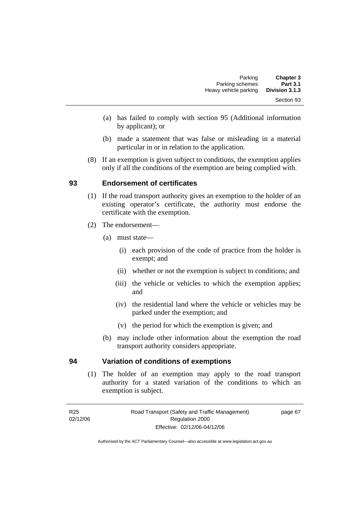- (a) has failed to comply with section 95 (Additional information by applicant); or
- (b) made a statement that was false or misleading in a material particular in or in relation to the application.
- (8) If an exemption is given subject to conditions, the exemption applies only if all the conditions of the exemption are being complied with.

# **93 Endorsement of certificates**

- (1) If the road transport authority gives an exemption to the holder of an existing operator's certificate, the authority must endorse the certificate with the exemption.
- (2) The endorsement—
	- (a) must state—
		- (i) each provision of the code of practice from the holder is exempt; and
		- (ii) whether or not the exemption is subject to conditions; and
		- (iii) the vehicle or vehicles to which the exemption applies; and
		- (iv) the residential land where the vehicle or vehicles may be parked under the exemption; and
		- (v) the period for which the exemption is given; and
	- (b) may include other information about the exemption the road transport authority considers appropriate.

# **94 Variation of conditions of exemptions**

 (1) The holder of an exemption may apply to the road transport authority for a stated variation of the conditions to which an exemption is subject.

page 67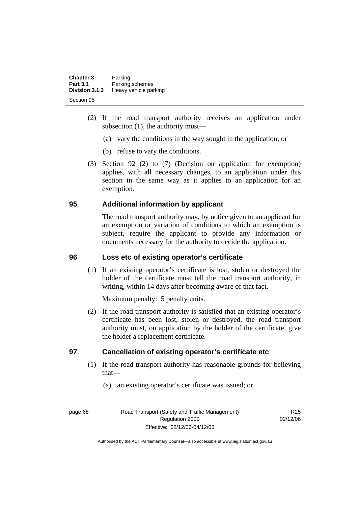| <b>Chapter 3</b><br><b>Part 3.1</b> | Parking<br>Parking schemes |
|-------------------------------------|----------------------------|
| Division 3.1.3                      | Heavy vehicle parking      |
| Section 95                          |                            |

- (2) If the road transport authority receives an application under subsection (1), the authority must—
	- (a) vary the conditions in the way sought in the application; or
	- (b) refuse to vary the conditions.
- (3) Section 92 (2) to (7) (Decision on application for exemption) applies, with all necessary changes, to an application under this section in the same way as it applies to an application for an exemption.

# **95 Additional information by applicant**

The road transport authority may, by notice given to an applicant for an exemption or variation of conditions to which an exemption is subject, require the applicant to provide any information or documents necessary for the authority to decide the application.

## **96 Loss etc of existing operator's certificate**

 (1) If an existing operator's certificate is lost, stolen or destroyed the holder of the certificate must tell the road transport authority, in writing, within 14 days after becoming aware of that fact.

Maximum penalty: 5 penalty units.

 (2) If the road transport authority is satisfied that an existing operator's certificate has been lost, stolen or destroyed, the road transport authority must, on application by the holder of the certificate, give the holder a replacement certificate.

# **97 Cancellation of existing operator's certificate etc**

- (1) If the road transport authority has reasonable grounds for believing that—
	- (a) an existing operator's certificate was issued; or

page 68 Road Transport (Safety and Traffic Management) Regulation 2000 Effective: 02/12/06-04/12/06

R<sub>25</sub> 02/12/06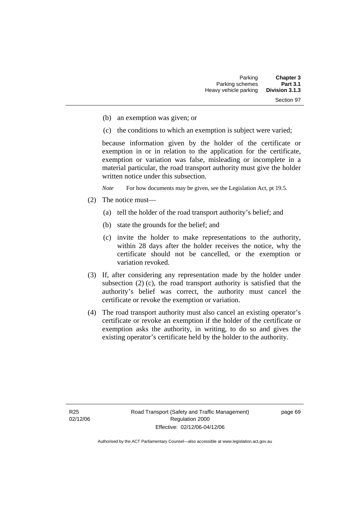- (b) an exemption was given; or
- (c) the conditions to which an exemption is subject were varied;

because information given by the holder of the certificate or exemption in or in relation to the application for the certificate, exemption or variation was false, misleading or incomplete in a material particular, the road transport authority must give the holder written notice under this subsection.

*Note* For how documents may be given, see the Legislation Act, pt 19.5.

- (2) The notice must—
	- (a) tell the holder of the road transport authority's belief; and
	- (b) state the grounds for the belief; and
	- (c) invite the holder to make representations to the authority, within 28 days after the holder receives the notice, why the certificate should not be cancelled, or the exemption or variation revoked.
- (3) If, after considering any representation made by the holder under subsection (2) (c), the road transport authority is satisfied that the authority's belief was correct, the authority must cancel the certificate or revoke the exemption or variation.
- (4) The road transport authority must also cancel an existing operator's certificate or revoke an exemption if the holder of the certificate or exemption asks the authority, in writing, to do so and gives the existing operator's certificate held by the holder to the authority.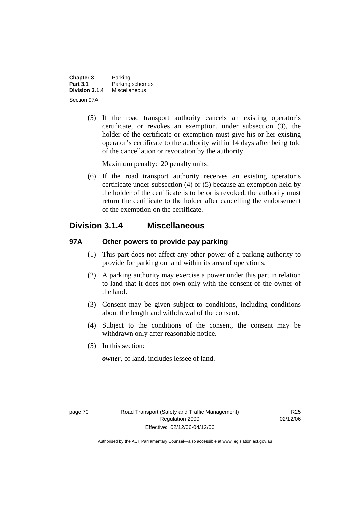| <b>Chapter 3</b> | Parking         |
|------------------|-----------------|
| <b>Part 3.1</b>  | Parking schemes |
| Division 3.1.4   | Miscellaneous   |
| Section 97A      |                 |

 (5) If the road transport authority cancels an existing operator's certificate, or revokes an exemption, under subsection (3), the holder of the certificate or exemption must give his or her existing operator's certificate to the authority within 14 days after being told of the cancellation or revocation by the authority.

Maximum penalty: 20 penalty units.

 (6) If the road transport authority receives an existing operator's certificate under subsection (4) or (5) because an exemption held by the holder of the certificate is to be or is revoked, the authority must return the certificate to the holder after cancelling the endorsement of the exemption on the certificate.

# **Division 3.1.4 Miscellaneous**

# **97A Other powers to provide pay parking**

- (1) This part does not affect any other power of a parking authority to provide for parking on land within its area of operations.
- (2) A parking authority may exercise a power under this part in relation to land that it does not own only with the consent of the owner of the land.
- (3) Consent may be given subject to conditions, including conditions about the length and withdrawal of the consent.
- (4) Subject to the conditions of the consent, the consent may be withdrawn only after reasonable notice.
- (5) In this section:

*owner*, of land, includes lessee of land.

R<sub>25</sub> 02/12/06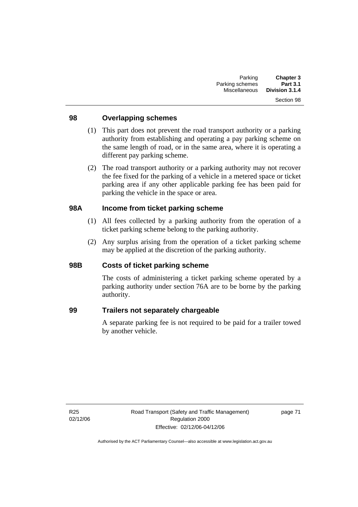## **98 Overlapping schemes**

- (1) This part does not prevent the road transport authority or a parking authority from establishing and operating a pay parking scheme on the same length of road, or in the same area, where it is operating a different pay parking scheme.
- (2) The road transport authority or a parking authority may not recover the fee fixed for the parking of a vehicle in a metered space or ticket parking area if any other applicable parking fee has been paid for parking the vehicle in the space or area.

## **98A Income from ticket parking scheme**

- (1) All fees collected by a parking authority from the operation of a ticket parking scheme belong to the parking authority.
- (2) Any surplus arising from the operation of a ticket parking scheme may be applied at the discretion of the parking authority.

### **98B Costs of ticket parking scheme**

The costs of administering a ticket parking scheme operated by a parking authority under section 76A are to be borne by the parking authority.

## **99 Trailers not separately chargeable**

A separate parking fee is not required to be paid for a trailer towed by another vehicle.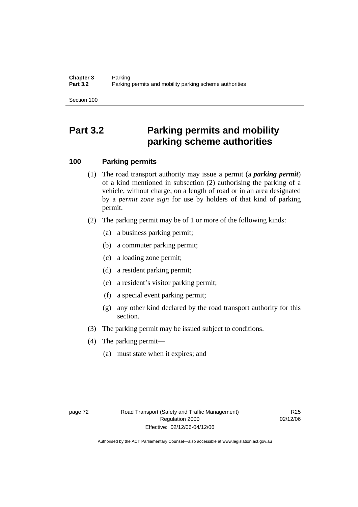# **Part 3.2 Parking permits and mobility parking scheme authorities**

# **100 Parking permits**

- (1) The road transport authority may issue a permit (a *parking permit*) of a kind mentioned in subsection (2) authorising the parking of a vehicle, without charge, on a length of road or in an area designated by a *permit zone sign* for use by holders of that kind of parking permit.
- (2) The parking permit may be of 1 or more of the following kinds:
	- (a) a business parking permit;
	- (b) a commuter parking permit;
	- (c) a loading zone permit;
	- (d) a resident parking permit;
	- (e) a resident's visitor parking permit;
	- (f) a special event parking permit;
	- (g) any other kind declared by the road transport authority for this section.
- (3) The parking permit may be issued subject to conditions.
- (4) The parking permit—
	- (a) must state when it expires; and

R<sub>25</sub> 02/12/06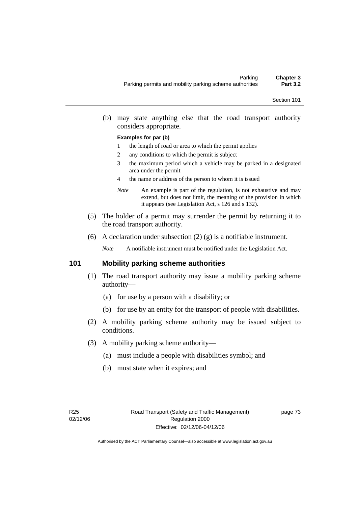(b) may state anything else that the road transport authority considers appropriate.

#### **Examples for par (b)**

- 1 the length of road or area to which the permit applies
- 2 any conditions to which the permit is subject
- 3 the maximum period which a vehicle may be parked in a designated area under the permit
- 4 the name or address of the person to whom it is issued
- *Note* An example is part of the regulation, is not exhaustive and may extend, but does not limit, the meaning of the provision in which it appears (see Legislation Act, s 126 and s 132).
- (5) The holder of a permit may surrender the permit by returning it to the road transport authority.
- (6) A declaration under subsection (2) (g) is a notifiable instrument.

*Note* A notifiable instrument must be notified under the Legislation Act.

## **101 Mobility parking scheme authorities**

- (1) The road transport authority may issue a mobility parking scheme authority—
	- (a) for use by a person with a disability; or
	- (b) for use by an entity for the transport of people with disabilities.
- (2) A mobility parking scheme authority may be issued subject to conditions.
- (3) A mobility parking scheme authority—
	- (a) must include a people with disabilities symbol; and
	- (b) must state when it expires; and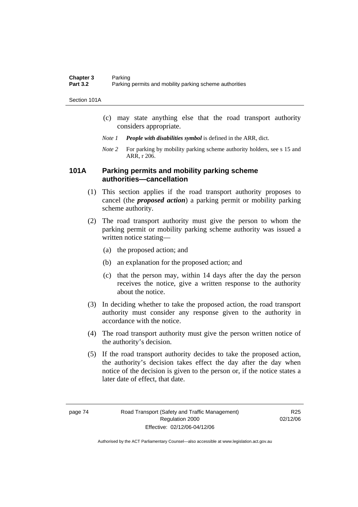Section 101A

- (c) may state anything else that the road transport authority considers appropriate.
- *Note 1 People with disabilities symbol* is defined in the ARR, dict.
- *Note 2* For parking by mobility parking scheme authority holders, see s 15 and ARR, r 206.

## **101A Parking permits and mobility parking scheme authorities—cancellation**

- (1) This section applies if the road transport authority proposes to cancel (the *proposed action*) a parking permit or mobility parking scheme authority.
- (2) The road transport authority must give the person to whom the parking permit or mobility parking scheme authority was issued a written notice stating—
	- (a) the proposed action; and
	- (b) an explanation for the proposed action; and
	- (c) that the person may, within 14 days after the day the person receives the notice, give a written response to the authority about the notice.
- (3) In deciding whether to take the proposed action, the road transport authority must consider any response given to the authority in accordance with the notice.
- (4) The road transport authority must give the person written notice of the authority's decision.
- (5) If the road transport authority decides to take the proposed action, the authority's decision takes effect the day after the day when notice of the decision is given to the person or, if the notice states a later date of effect, that date.

R<sub>25</sub> 02/12/06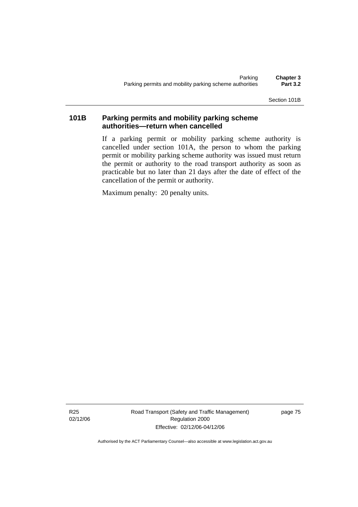Section 101B

# **101B Parking permits and mobility parking scheme authorities—return when cancelled**

If a parking permit or mobility parking scheme authority is cancelled under section 101A, the person to whom the parking permit or mobility parking scheme authority was issued must return the permit or authority to the road transport authority as soon as practicable but no later than 21 days after the date of effect of the cancellation of the permit or authority.

Maximum penalty: 20 penalty units.

R25 02/12/06 Road Transport (Safety and Traffic Management) Regulation 2000 Effective: 02/12/06-04/12/06

page 75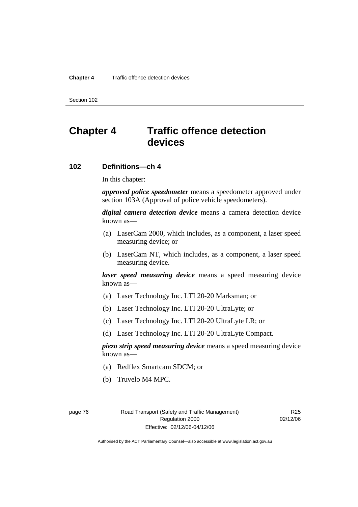# **Chapter 4 Traffic offence detection devices**

## **102 Definitions—ch 4**

In this chapter:

*approved police speedometer* means a speedometer approved under section 103A (Approval of police vehicle speedometers).

*digital camera detection device* means a camera detection device known as—

- (a) LaserCam 2000, which includes, as a component, a laser speed measuring device; or
- (b) LaserCam NT, which includes, as a component, a laser speed measuring device.

*laser speed measuring device* means a speed measuring device known as—

- (a) Laser Technology Inc. LTI 20-20 Marksman; or
- (b) Laser Technology Inc. LTI 20-20 UltraLyte; or
- (c) Laser Technology Inc. LTI 20-20 UltraLyte LR; or
- (d) Laser Technology Inc. LTI 20-20 UltraLyte Compact.

*piezo strip speed measuring device* means a speed measuring device known as—

- (a) Redflex Smartcam SDCM; or
- (b) Truvelo M4 MPC.

page 76 Road Transport (Safety and Traffic Management) Regulation 2000 Effective: 02/12/06-04/12/06

R<sub>25</sub> 02/12/06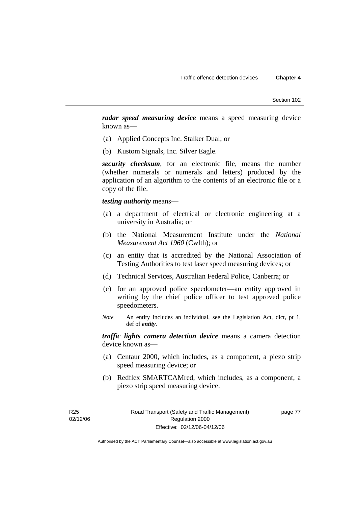*radar speed measuring device* means a speed measuring device known as—

- (a) Applied Concepts Inc. Stalker Dual; or
- (b) Kustom Signals, Inc. Silver Eagle.

*security checksum*, for an electronic file, means the number (whether numerals or numerals and letters) produced by the application of an algorithm to the contents of an electronic file or a copy of the file.

*testing authority* means—

- (a) a department of electrical or electronic engineering at a university in Australia; or
- (b) the National Measurement Institute under the *National Measurement Act 1960* (Cwlth); or
- (c) an entity that is accredited by the National Association of Testing Authorities to test laser speed measuring devices; or
- (d) Technical Services, Australian Federal Police, Canberra; or
- (e) for an approved police speedometer—an entity approved in writing by the chief police officer to test approved police speedometers.
- *Note* An entity includes an individual, see the Legislation Act, dict, pt 1, def of *entity*.

*traffic lights camera detection device* means a camera detection device known as—

- (a) Centaur 2000, which includes, as a component, a piezo strip speed measuring device; or
- (b) Redflex SMARTCAMred, which includes, as a component, a piezo strip speed measuring device.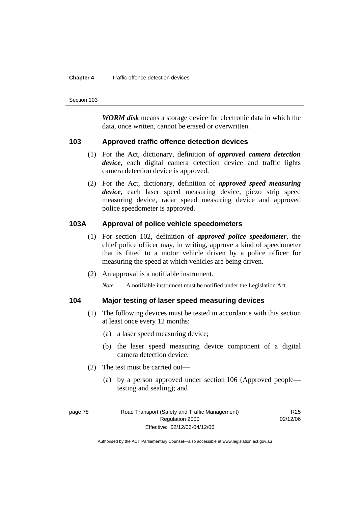#### **Chapter 4** Traffic offence detection devices

Section 103

*WORM disk* means a storage device for electronic data in which the data, once written, cannot be erased or overwritten.

### **103 Approved traffic offence detection devices**

- (1) For the Act, dictionary, definition of *approved camera detection device*, each digital camera detection device and traffic lights camera detection device is approved.
- (2) For the Act, dictionary, definition of *approved speed measuring device*, each laser speed measuring device, piezo strip speed measuring device, radar speed measuring device and approved police speedometer is approved.

## **103A Approval of police vehicle speedometers**

- (1) For section 102, definition of *approved police speedometer*, the chief police officer may, in writing, approve a kind of speedometer that is fitted to a motor vehicle driven by a police officer for measuring the speed at which vehicles are being driven.
- (2) An approval is a notifiable instrument.

*Note* A notifiable instrument must be notified under the Legislation Act.

## **104 Major testing of laser speed measuring devices**

- (1) The following devices must be tested in accordance with this section at least once every 12 months:
	- (a) a laser speed measuring device;
	- (b) the laser speed measuring device component of a digital camera detection device.
- (2) The test must be carried out—
	- (a) by a person approved under section 106 (Approved people testing and sealing); and

R<sub>25</sub> 02/12/06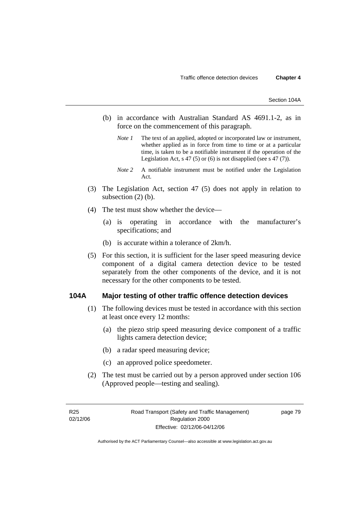- (b) in accordance with Australian Standard AS 4691.1-2, as in force on the commencement of this paragraph.
	- *Note 1* The text of an applied, adopted or incorporated law or instrument, whether applied as in force from time to time or at a particular time, is taken to be a notifiable instrument if the operation of the Legislation Act, s 47 (5) or (6) is not disapplied (see s 47 (7)).
	- *Note 2* A notifiable instrument must be notified under the Legislation Act.
- (3) The Legislation Act, section 47 (5) does not apply in relation to subsection  $(2)$  (b).
- (4) The test must show whether the device—
	- (a) is operating in accordance with the manufacturer's specifications; and
	- (b) is accurate within a tolerance of 2km/h.
- (5) For this section, it is sufficient for the laser speed measuring device component of a digital camera detection device to be tested separately from the other components of the device, and it is not necessary for the other components to be tested.

### **104A Major testing of other traffic offence detection devices**

- (1) The following devices must be tested in accordance with this section at least once every 12 months:
	- (a) the piezo strip speed measuring device component of a traffic lights camera detection device;
	- (b) a radar speed measuring device;
	- (c) an approved police speedometer.
- (2) The test must be carried out by a person approved under section 106 (Approved people—testing and sealing).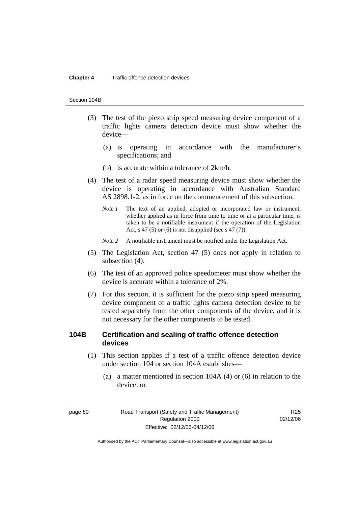#### **Chapter 4** Traffic offence detection devices

#### Section 104B

- (3) The test of the piezo strip speed measuring device component of a traffic lights camera detection device must show whether the device—
	- (a) is operating in accordance with the manufacturer's specifications; and
	- (b) is accurate within a tolerance of 2km/h.
- (4) The test of a radar speed measuring device must show whether the device is operating in accordance with Australian Standard AS 2898.1-2, as in force on the commencement of this subsection.
	- *Note 1* The text of an applied, adopted or incorporated law or instrument, whether applied as in force from time to time or at a particular time, is taken to be a notifiable instrument if the operation of the Legislation Act, s 47 (5) or (6) is not disapplied (see s 47 (7)).
	- *Note 2* A notifiable instrument must be notified under the Legislation Act.
- (5) The Legislation Act, section 47 (5) does not apply in relation to subsection (4).
- (6) The test of an approved police speedometer must show whether the device is accurate within a tolerance of 2%.
- (7) For this section, it is sufficient for the piezo strip speed measuring device component of a traffic lights camera detection device to be tested separately from the other components of the device, and it is not necessary for the other components to be tested.

## **104B Certification and sealing of traffic offence detection devices**

- (1) This section applies if a test of a traffic offence detection device under section 104 or section 104A establishes—
	- (a) a matter mentioned in section 104A (4) or (6) in relation to the device; or

R<sub>25</sub> 02/12/06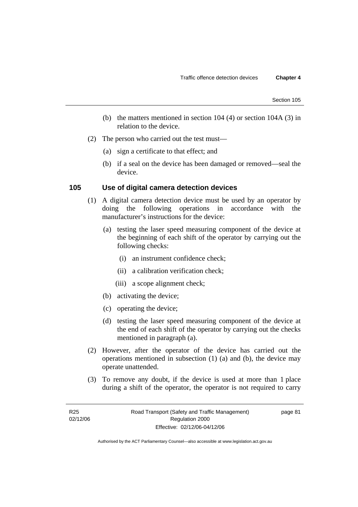- (b) the matters mentioned in section 104 (4) or section 104A (3) in relation to the device.
- (2) The person who carried out the test must—
	- (a) sign a certificate to that effect; and
	- (b) if a seal on the device has been damaged or removed—seal the device.

## **105 Use of digital camera detection devices**

- (1) A digital camera detection device must be used by an operator by doing the following operations in accordance with the manufacturer's instructions for the device:
	- (a) testing the laser speed measuring component of the device at the beginning of each shift of the operator by carrying out the following checks:
		- (i) an instrument confidence check;
		- (ii) a calibration verification check;
		- (iii) a scope alignment check;
	- (b) activating the device;
	- (c) operating the device;
	- (d) testing the laser speed measuring component of the device at the end of each shift of the operator by carrying out the checks mentioned in paragraph (a).
- (2) However, after the operator of the device has carried out the operations mentioned in subsection (1) (a) and (b), the device may operate unattended.
- (3) To remove any doubt, if the device is used at more than 1 place during a shift of the operator, the operator is not required to carry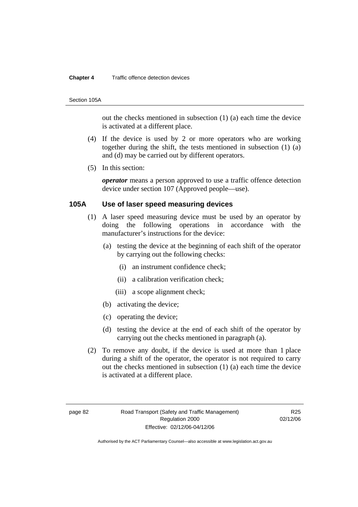#### **Chapter 4** Traffic offence detection devices

#### Section 105A

out the checks mentioned in subsection (1) (a) each time the device is activated at a different place.

- (4) If the device is used by 2 or more operators who are working together during the shift, the tests mentioned in subsection (1) (a) and (d) may be carried out by different operators.
- (5) In this section:

*operator* means a person approved to use a traffic offence detection device under section 107 (Approved people—use).

## **105A Use of laser speed measuring devices**

- (1) A laser speed measuring device must be used by an operator by doing the following operations in accordance with the manufacturer's instructions for the device:
	- (a) testing the device at the beginning of each shift of the operator by carrying out the following checks:
		- (i) an instrument confidence check;
		- (ii) a calibration verification check;
		- (iii) a scope alignment check;
	- (b) activating the device;
	- (c) operating the device;
	- (d) testing the device at the end of each shift of the operator by carrying out the checks mentioned in paragraph (a).
- (2) To remove any doubt, if the device is used at more than 1 place during a shift of the operator, the operator is not required to carry out the checks mentioned in subsection (1) (a) each time the device is activated at a different place.

R<sub>25</sub> 02/12/06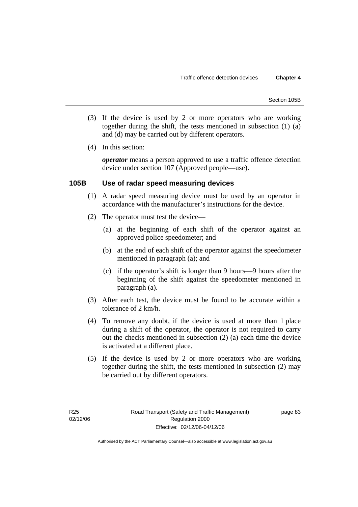- (3) If the device is used by 2 or more operators who are working together during the shift, the tests mentioned in subsection (1) (a) and (d) may be carried out by different operators.
- (4) In this section:

*operator* means a person approved to use a traffic offence detection device under section 107 (Approved people—use).

## **105B Use of radar speed measuring devices**

- (1) A radar speed measuring device must be used by an operator in accordance with the manufacturer's instructions for the device.
- (2) The operator must test the device—
	- (a) at the beginning of each shift of the operator against an approved police speedometer; and
	- (b) at the end of each shift of the operator against the speedometer mentioned in paragraph (a); and
	- (c) if the operator's shift is longer than 9 hours—9 hours after the beginning of the shift against the speedometer mentioned in paragraph (a).
- (3) After each test, the device must be found to be accurate within a tolerance of 2 km/h.
- (4) To remove any doubt, if the device is used at more than 1 place during a shift of the operator, the operator is not required to carry out the checks mentioned in subsection (2) (a) each time the device is activated at a different place.
- (5) If the device is used by 2 or more operators who are working together during the shift, the tests mentioned in subsection (2) may be carried out by different operators.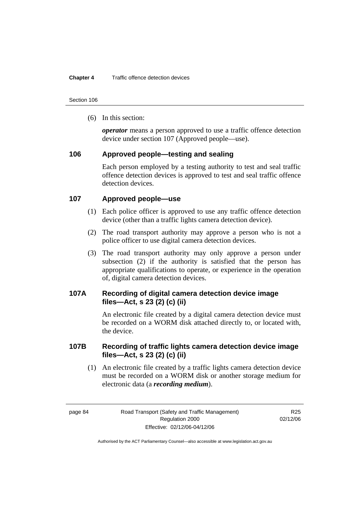(6) In this section:

*operator* means a person approved to use a traffic offence detection device under section 107 (Approved people—use).

## **106 Approved people—testing and sealing**

Each person employed by a testing authority to test and seal traffic offence detection devices is approved to test and seal traffic offence detection devices

## **107 Approved people—use**

- (1) Each police officer is approved to use any traffic offence detection device (other than a traffic lights camera detection device).
- (2) The road transport authority may approve a person who is not a police officer to use digital camera detection devices.
- (3) The road transport authority may only approve a person under subsection (2) if the authority is satisfied that the person has appropriate qualifications to operate, or experience in the operation of, digital camera detection devices.

# **107A Recording of digital camera detection device image files—Act, s 23 (2) (c) (ii)**

An electronic file created by a digital camera detection device must be recorded on a WORM disk attached directly to, or located with, the device.

# **107B Recording of traffic lights camera detection device image files—Act, s 23 (2) (c) (ii)**

 (1) An electronic file created by a traffic lights camera detection device must be recorded on a WORM disk or another storage medium for electronic data (a *recording medium*).

R25 02/12/06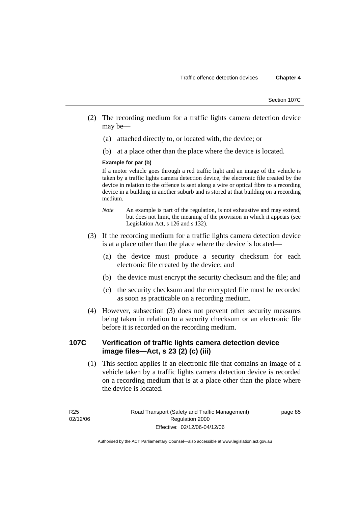- (2) The recording medium for a traffic lights camera detection device may be—
	- (a) attached directly to, or located with, the device; or
	- (b) at a place other than the place where the device is located.

#### **Example for par (b)**

If a motor vehicle goes through a red traffic light and an image of the vehicle is taken by a traffic lights camera detection device, the electronic file created by the device in relation to the offence is sent along a wire or optical fibre to a recording device in a building in another suburb and is stored at that building on a recording medium.

- *Note* An example is part of the regulation, is not exhaustive and may extend, but does not limit, the meaning of the provision in which it appears (see Legislation Act, s 126 and s 132).
- (3) If the recording medium for a traffic lights camera detection device is at a place other than the place where the device is located—
	- (a) the device must produce a security checksum for each electronic file created by the device; and
	- (b) the device must encrypt the security checksum and the file; and
	- (c) the security checksum and the encrypted file must be recorded as soon as practicable on a recording medium.
- (4) However, subsection (3) does not prevent other security measures being taken in relation to a security checksum or an electronic file before it is recorded on the recording medium.

# **107C Verification of traffic lights camera detection device image files—Act, s 23 (2) (c) (iii)**

 (1) This section applies if an electronic file that contains an image of a vehicle taken by a traffic lights camera detection device is recorded on a recording medium that is at a place other than the place where the device is located.

R25 02/12/06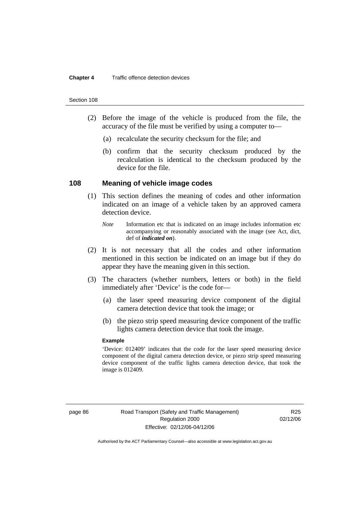- (2) Before the image of the vehicle is produced from the file, the accuracy of the file must be verified by using a computer to—
	- (a) recalculate the security checksum for the file; and
	- (b) confirm that the security checksum produced by the recalculation is identical to the checksum produced by the device for the file.

### **108 Meaning of vehicle image codes**

- (1) This section defines the meaning of codes and other information indicated on an image of a vehicle taken by an approved camera detection device.
	- *Note* Information etc that is indicated on an image includes information etc accompanying or reasonably associated with the image (see Act, dict, def of *indicated on*).
- (2) It is not necessary that all the codes and other information mentioned in this section be indicated on an image but if they do appear they have the meaning given in this section.
- (3) The characters (whether numbers, letters or both) in the field immediately after 'Device' is the code for—
	- (a) the laser speed measuring device component of the digital camera detection device that took the image; or
	- (b) the piezo strip speed measuring device component of the traffic lights camera detection device that took the image.

#### **Example**

'Device: 012409' indicates that the code for the laser speed measuring device component of the digital camera detection device, or piezo strip speed measuring device component of the traffic lights camera detection device, that took the image is 012409.

R<sub>25</sub> 02/12/06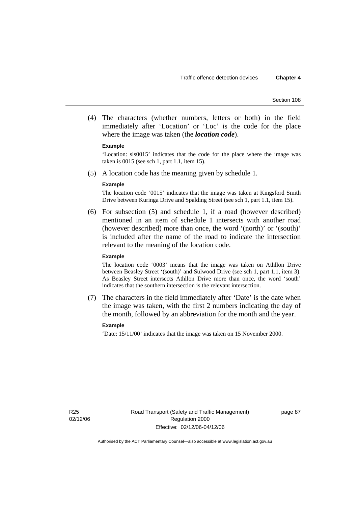(4) The characters (whether numbers, letters or both) in the field immediately after 'Location' or 'Loc' is the code for the place where the image was taken (the *location code*).

#### **Example**

'Location: sls0015' indicates that the code for the place where the image was taken is 0015 (see sch 1, part 1.1, item 15).

(5) A location code has the meaning given by schedule 1.

#### **Example**

The location code '0015' indicates that the image was taken at Kingsford Smith Drive between Kuringa Drive and Spalding Street (see sch 1, part 1.1, item 15).

 (6) For subsection (5) and schedule 1, if a road (however described) mentioned in an item of schedule 1 intersects with another road (however described) more than once, the word '(north)' or '(south)' is included after the name of the road to indicate the intersection relevant to the meaning of the location code.

#### **Example**

The location code '0003' means that the image was taken on Athllon Drive between Beasley Street '(south)' and Sulwood Drive (see sch 1, part 1.1, item 3). As Beasley Street intersects Athllon Drive more than once, the word 'south' indicates that the southern intersection is the relevant intersection.

 (7) The characters in the field immediately after 'Date' is the date when the image was taken, with the first 2 numbers indicating the day of the month, followed by an abbreviation for the month and the year.

#### **Example**

'Date: 15/11/00' indicates that the image was taken on 15 November 2000.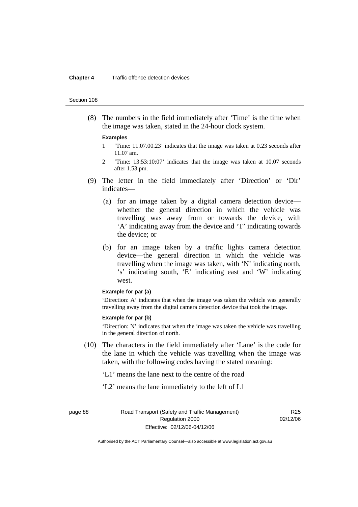#### **Chapter 4** Traffic offence detection devices

#### Section 108

 (8) The numbers in the field immediately after 'Time' is the time when the image was taken, stated in the 24-hour clock system.

#### **Examples**

- 1 'Time: 11.07.00.23' indicates that the image was taken at 0.23 seconds after 11.07 am.
- 2 'Time: 13:53:10:07' indicates that the image was taken at 10.07 seconds after 1.53 pm.
- (9) The letter in the field immediately after 'Direction' or 'Dir' indicates—
	- (a) for an image taken by a digital camera detection device whether the general direction in which the vehicle was travelling was away from or towards the device, with 'A' indicating away from the device and 'T' indicating towards the device; or
	- (b) for an image taken by a traffic lights camera detection device—the general direction in which the vehicle was travelling when the image was taken, with 'N' indicating north, 's' indicating south, 'E' indicating east and 'W' indicating west.

#### **Example for par (a)**

'Direction: A' indicates that when the image was taken the vehicle was generally travelling away from the digital camera detection device that took the image.

#### **Example for par (b)**

'Direction: N' indicates that when the image was taken the vehicle was travelling in the general direction of north.

- (10) The characters in the field immediately after 'Lane' is the code for the lane in which the vehicle was travelling when the image was taken, with the following codes having the stated meaning:
	- 'L1' means the lane next to the centre of the road
	- 'L2' means the lane immediately to the left of L1

page 88 Road Transport (Safety and Traffic Management) Regulation 2000 Effective: 02/12/06-04/12/06

R25 02/12/06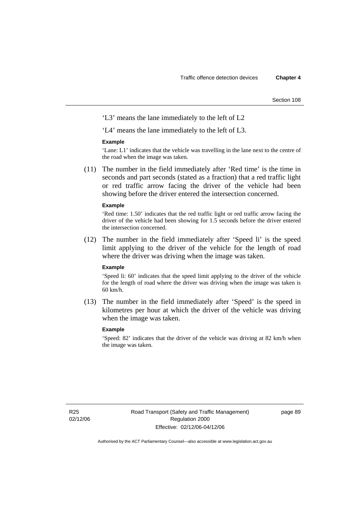'L3' means the lane immediately to the left of L2

'L4' means the lane immediately to the left of L3.

#### **Example**

'Lane: L1' indicates that the vehicle was travelling in the lane next to the centre of the road when the image was taken.

 (11) The number in the field immediately after 'Red time' is the time in seconds and part seconds (stated as a fraction) that a red traffic light or red traffic arrow facing the driver of the vehicle had been showing before the driver entered the intersection concerned.

#### **Example**

'Red time: 1.50' indicates that the red traffic light or red traffic arrow facing the driver of the vehicle had been showing for 1.5 seconds before the driver entered the intersection concerned.

 (12) The number in the field immediately after 'Speed li' is the speed limit applying to the driver of the vehicle for the length of road where the driver was driving when the image was taken.

#### **Example**

'Speed li: 60' indicates that the speed limit applying to the driver of the vehicle for the length of road where the driver was driving when the image was taken is 60 km/h.

 (13) The number in the field immediately after 'Speed' is the speed in kilometres per hour at which the driver of the vehicle was driving when the image was taken.

#### **Example**

'Speed: 82' indicates that the driver of the vehicle was driving at 82 km/h when the image was taken.

page 89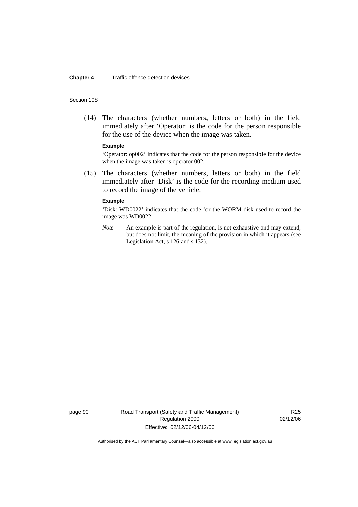#### **Chapter 4** Traffic offence detection devices

#### Section 108

 (14) The characters (whether numbers, letters or both) in the field immediately after 'Operator' is the code for the person responsible for the use of the device when the image was taken.

#### **Example**

'Operator: op002' indicates that the code for the person responsible for the device when the image was taken is operator 002.

 (15) The characters (whether numbers, letters or both) in the field immediately after 'Disk' is the code for the recording medium used to record the image of the vehicle.

#### **Example**

'Disk: WD0022' indicates that the code for the WORM disk used to record the image was WD0022.

*Note* An example is part of the regulation, is not exhaustive and may extend, but does not limit, the meaning of the provision in which it appears (see Legislation Act, s 126 and s 132).

page 90 Road Transport (Safety and Traffic Management) Regulation 2000 Effective: 02/12/06-04/12/06

R25 02/12/06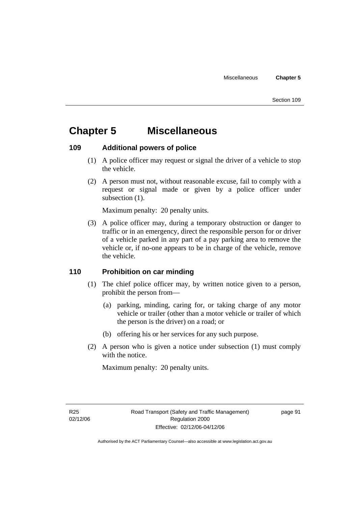# **Chapter 5 Miscellaneous**

# **109 Additional powers of police**

- (1) A police officer may request or signal the driver of a vehicle to stop the vehicle.
- (2) A person must not, without reasonable excuse, fail to comply with a request or signal made or given by a police officer under subsection  $(1)$ .

Maximum penalty: 20 penalty units.

 (3) A police officer may, during a temporary obstruction or danger to traffic or in an emergency, direct the responsible person for or driver of a vehicle parked in any part of a pay parking area to remove the vehicle or, if no-one appears to be in charge of the vehicle, remove the vehicle.

# **110 Prohibition on car minding**

- (1) The chief police officer may, by written notice given to a person, prohibit the person from—
	- (a) parking, minding, caring for, or taking charge of any motor vehicle or trailer (other than a motor vehicle or trailer of which the person is the driver) on a road; or
	- (b) offering his or her services for any such purpose.
- (2) A person who is given a notice under subsection (1) must comply with the notice.

Maximum penalty: 20 penalty units.

page 91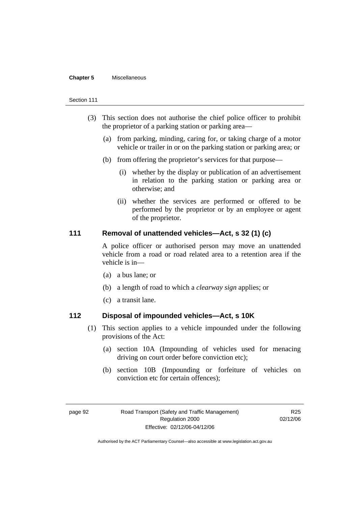#### **Chapter 5** Miscellaneous

#### Section 111

- (3) This section does not authorise the chief police officer to prohibit the proprietor of a parking station or parking area—
	- (a) from parking, minding, caring for, or taking charge of a motor vehicle or trailer in or on the parking station or parking area; or
	- (b) from offering the proprietor's services for that purpose—
		- (i) whether by the display or publication of an advertisement in relation to the parking station or parking area or otherwise; and
		- (ii) whether the services are performed or offered to be performed by the proprietor or by an employee or agent of the proprietor.

## **111 Removal of unattended vehicles—Act, s 32 (1) (c)**

A police officer or authorised person may move an unattended vehicle from a road or road related area to a retention area if the vehicle is in—

- (a) a bus lane; or
- (b) a length of road to which a *clearway sign* applies; or
- (c) a transit lane.

## **112 Disposal of impounded vehicles—Act, s 10K**

- (1) This section applies to a vehicle impounded under the following provisions of the Act:
	- (a) section 10A (Impounding of vehicles used for menacing driving on court order before conviction etc);
	- (b) section 10B (Impounding or forfeiture of vehicles on conviction etc for certain offences);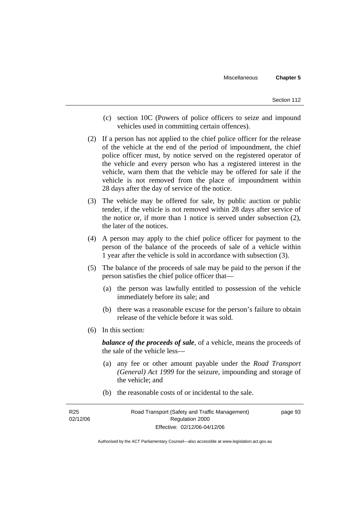- (c) section 10C (Powers of police officers to seize and impound vehicles used in committing certain offences).
- (2) If a person has not applied to the chief police officer for the release of the vehicle at the end of the period of impoundment, the chief police officer must, by notice served on the registered operator of the vehicle and every person who has a registered interest in the vehicle, warn them that the vehicle may be offered for sale if the vehicle is not removed from the place of impoundment within 28 days after the day of service of the notice.
- (3) The vehicle may be offered for sale, by public auction or public tender, if the vehicle is not removed within 28 days after service of the notice or, if more than 1 notice is served under subsection (2), the later of the notices.
- (4) A person may apply to the chief police officer for payment to the person of the balance of the proceeds of sale of a vehicle within 1 year after the vehicle is sold in accordance with subsection (3).
- (5) The balance of the proceeds of sale may be paid to the person if the person satisfies the chief police officer that—
	- (a) the person was lawfully entitled to possession of the vehicle immediately before its sale; and
	- (b) there was a reasonable excuse for the person's failure to obtain release of the vehicle before it was sold.
- (6) In this section:

*balance of the proceeds of sale*, of a vehicle, means the proceeds of the sale of the vehicle less—

- (a) any fee or other amount payable under the *Road Transport (General) Act 1999* for the seizure, impounding and storage of the vehicle; and
- (b) the reasonable costs of or incidental to the sale.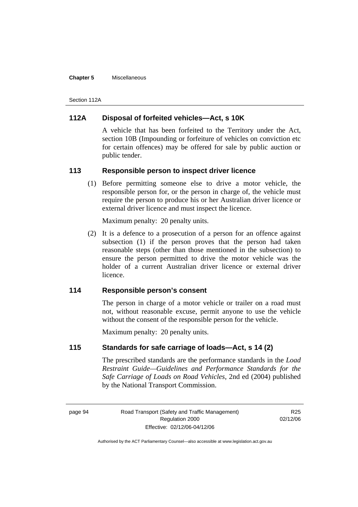#### **Chapter 5** Miscellaneous

Section 112A

# **112A Disposal of forfeited vehicles—Act, s 10K**

A vehicle that has been forfeited to the Territory under the Act, section 10B (Impounding or forfeiture of vehicles on conviction etc for certain offences) may be offered for sale by public auction or public tender.

## **113 Responsible person to inspect driver licence**

 (1) Before permitting someone else to drive a motor vehicle, the responsible person for, or the person in charge of, the vehicle must require the person to produce his or her Australian driver licence or external driver licence and must inspect the licence.

Maximum penalty: 20 penalty units.

 (2) It is a defence to a prosecution of a person for an offence against subsection (1) if the person proves that the person had taken reasonable steps (other than those mentioned in the subsection) to ensure the person permitted to drive the motor vehicle was the holder of a current Australian driver licence or external driver licence.

# **114 Responsible person's consent**

The person in charge of a motor vehicle or trailer on a road must not, without reasonable excuse, permit anyone to use the vehicle without the consent of the responsible person for the vehicle.

Maximum penalty: 20 penalty units.

# **115 Standards for safe carriage of loads—Act, s 14 (2)**

The prescribed standards are the performance standards in the *Load Restraint Guide—Guidelines and Performance Standards for the Safe Carriage of Loads on Road Vehicles*, 2nd ed (2004) published by the National Transport Commission.

R25 02/12/06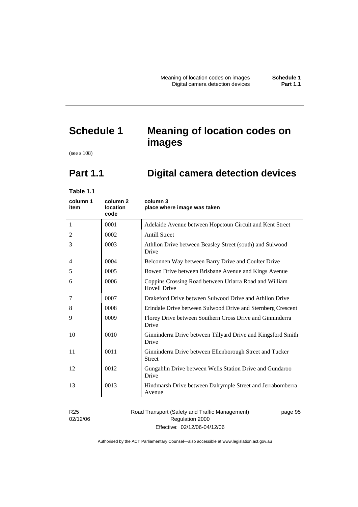# **Schedule 1 Meaning of location codes on images**

(see s 108)

# **Part 1.1 Digital camera detection devices**

**Table 1.1** 

| column 1<br>item            | column <sub>2</sub><br>location<br>code | column 3<br>place where image was taken                                       |
|-----------------------------|-----------------------------------------|-------------------------------------------------------------------------------|
| $\mathbf{1}$                | 0001                                    | Adelaide Avenue between Hopetoun Circuit and Kent Street                      |
| 2                           | 0002                                    | <b>Antill Street</b>                                                          |
| 3                           | 0003                                    | Athllon Drive between Beasley Street (south) and Sulwood<br>Drive             |
| 4                           | 0004                                    | Belconnen Way between Barry Drive and Coulter Drive                           |
| 5                           | 0005                                    | Bowen Drive between Brisbane Avenue and Kings Avenue                          |
| 6                           | 0006                                    | Coppins Crossing Road between Uriarra Road and William<br><b>Hovell Drive</b> |
| 7                           | 0007                                    | Drakeford Drive between Sulwood Drive and Athllon Drive                       |
| 8                           | 0008                                    | Erindale Drive between Sulwood Drive and Sternberg Crescent                   |
| 9                           | 0009                                    | Florey Drive between Southern Cross Drive and Ginninderra<br>Drive            |
| 10                          | 0010                                    | Ginninderra Drive between Tillyard Drive and Kingsford Smith<br>Drive         |
| 11                          | 0011                                    | Ginninderra Drive between Ellenborough Street and Tucker<br><b>Street</b>     |
| 12                          | 0012                                    | Gungahlin Drive between Wells Station Drive and Gundaroo<br>Drive             |
| 13                          | 0013                                    | Hindmarsh Drive between Dalrymple Street and Jerrabomberra<br>Avenue          |
| R <sub>25</sub><br>02/12/06 |                                         | Road Transport (Safety and Traffic Management)<br>page 95<br>Regulation 2000  |

Effective: 02/12/06-04/12/06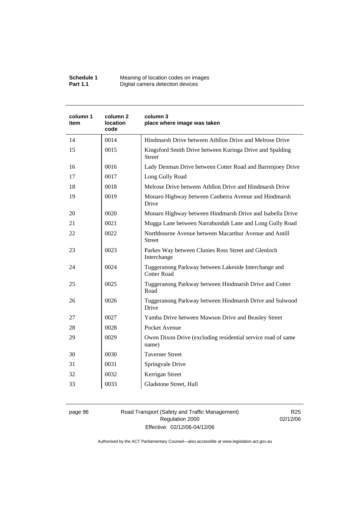| Schedule 1      | Meaning of location codes on images |
|-----------------|-------------------------------------|
| <b>Part 1.1</b> | Digital camera detection devices    |

| column 1<br>item | column <sub>2</sub><br>location<br>code | column 3<br>place where image was taken                                    |
|------------------|-----------------------------------------|----------------------------------------------------------------------------|
| 14               | 0014                                    | Hindmarsh Drive between Athllon Drive and Melrose Drive                    |
| 15               | 0015                                    | Kingsford Smith Drive between Kuringa Drive and Spalding<br><b>Street</b>  |
| 16               | 0016                                    | Lady Denman Drive between Cotter Road and Barrenjoey Drive                 |
| 17               | 0017                                    | Long Gully Road                                                            |
| 18               | 0018                                    | Melrose Drive between Athllon Drive and Hindmarsh Drive                    |
| 19               | 0019                                    | Monaro Highway between Canberra Avenue and Hindmarsh<br>Drive              |
| 20               | 0020                                    | Monaro Highway between Hindmarsh Drive and Isabella Drive                  |
| 21               | 0021                                    | Mugga Lane between Narrabundah Lane and Long Gully Road                    |
| 22               | 0022                                    | Northbourne Avenue between Macarthur Avenue and Antill<br><b>Street</b>    |
| 23               | 0023                                    | Parkes Way between Clunies Ross Street and Glenloch<br>Interchange         |
| 24               | 0024                                    | Tuggeranong Parkway between Lakeside Interchange and<br><b>Cotter Road</b> |
| 25               | 0025                                    | Tuggeranong Parkway between Hindmarsh Drive and Cotter<br>Road             |
| 26               | 0026                                    | Tuggeranong Parkway between Hindmarsh Drive and Sulwood<br>Drive           |
| 27               | 0027                                    | Yamba Drive between Mawson Drive and Beasley Street                        |
| 28               | 0028                                    | Pocket Avenue                                                              |
| 29               | 0029                                    | Owen Dixon Drive (excluding residential service road of same<br>name)      |
| 30               | 0030                                    | <b>Taverner Street</b>                                                     |
| 31               | 0031                                    | Springvale Drive                                                           |
| 32               | 0032                                    | Kerrigan Street                                                            |
| 33               | 0033                                    | Gladstone Street, Hall                                                     |

page 96 Road Transport (Safety and Traffic Management) Regulation 2000 Effective: 02/12/06-04/12/06

R25 02/12/06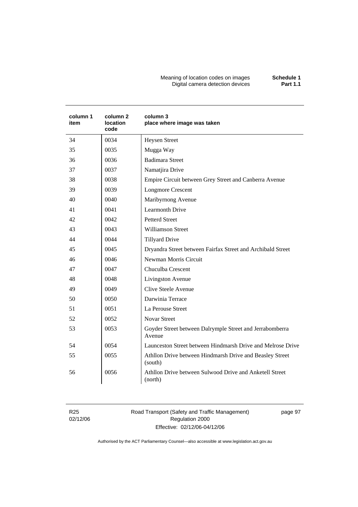Meaning of location codes on images **Schedule 1**  Digital camera detection devices **Part 1.1** 

| column 1<br>item | column 2<br><b>location</b><br>code | column 3<br>place where image was taken                             |
|------------------|-------------------------------------|---------------------------------------------------------------------|
| 34               | 0034                                | <b>Heysen Street</b>                                                |
| 35               | 0035                                | Mugga Way                                                           |
| 36               | 0036                                | <b>Badimara Street</b>                                              |
| 37               | 0037                                | Namatjira Drive                                                     |
| 38               | 0038                                | Empire Circuit between Grey Street and Canberra Avenue              |
| 39               | 0039                                | <b>Longmore Crescent</b>                                            |
| 40               | 0040                                | Maribyrnong Avenue                                                  |
| 41               | 0041                                | <b>Learmonth Drive</b>                                              |
| 42               | 0042                                | <b>Petterd Street</b>                                               |
| 43               | 0043                                | <b>Williamson Street</b>                                            |
| 44               | 0044                                | <b>Tillyard Drive</b>                                               |
| 45               | 0045                                | Dryandra Street between Fairfax Street and Archibald Street         |
| 46               | 0046                                | Newman Morris Circuit                                               |
| 47               | 0047                                | Chuculba Crescent                                                   |
| 48               | 0048                                | Livingston Avenue                                                   |
| 49               | 0049                                | <b>Clive Steele Avenue</b>                                          |
| 50               | 0050                                | Darwinia Terrace                                                    |
| 51               | 0051                                | La Perouse Street                                                   |
| 52               | 0052                                | <b>Novar Street</b>                                                 |
| 53               | 0053                                | Goyder Street between Dalrymple Street and Jerrabomberra<br>Avenue  |
| 54               | 0054                                | Launceston Street between Hindmarsh Drive and Melrose Drive         |
| 55               | 0055                                | Athllon Drive between Hindmarsh Drive and Beasley Street<br>(south) |
| 56               | 0056                                | Athllon Drive between Sulwood Drive and Anketell Street<br>(north)  |

R25 02/12/06 Road Transport (Safety and Traffic Management) Regulation 2000 Effective: 02/12/06-04/12/06

page 97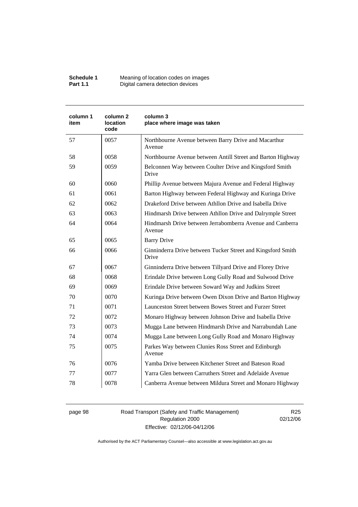| Schedule 1      | Meaning of location codes on images |
|-----------------|-------------------------------------|
| <b>Part 1.1</b> | Digital camera detection devices    |

| column 1<br>item | column 2<br><b>location</b><br>code | column 3<br>place where image was taken                              |
|------------------|-------------------------------------|----------------------------------------------------------------------|
| 57               | 0057                                | Northbourne Avenue between Barry Drive and Macarthur<br>Avenue       |
| 58               | 0058                                | Northbourne Avenue between Antill Street and Barton Highway          |
| 59               | 0059                                | Belconnen Way between Coulter Drive and Kingsford Smith<br>Drive     |
| 60               | 0060                                | Phillip Avenue between Majura Avenue and Federal Highway             |
| 61               | 0061                                | Barton Highway between Federal Highway and Kuringa Drive             |
| 62               | 0062                                | Drakeford Drive between Athllon Drive and Isabella Drive             |
| 63               | 0063                                | Hindmarsh Drive between Athllon Drive and Dalrymple Street           |
| 64               | 0064                                | Hindmarsh Drive between Jerrabomberra Avenue and Canberra<br>Avenue  |
| 65               | 0065                                | <b>Barry Drive</b>                                                   |
| 66               | 0066                                | Ginninderra Drive between Tucker Street and Kingsford Smith<br>Drive |
| 67               | 0067                                | Ginninderra Drive between Tillyard Drive and Florey Drive            |
| 68               | 0068                                | Erindale Drive between Long Gully Road and Sulwood Drive             |
| 69               | 0069                                | Erindale Drive between Soward Way and Judkins Street                 |
| 70               | 0070                                | Kuringa Drive between Owen Dixon Drive and Barton Highway            |
| 71               | 0071                                | Launceston Street between Bowes Street and Furzer Street             |
| 72               | 0072                                | Monaro Highway between Johnson Drive and Isabella Drive              |
| 73               | 0073                                | Mugga Lane between Hindmarsh Drive and Narrabundah Lane              |
| 74               | 0074                                | Mugga Lane between Long Gully Road and Monaro Highway                |
| 75               | 0075                                | Parkes Way between Clunies Ross Street and Edinburgh<br>Avenue       |
| 76               | 0076                                | Yamba Drive between Kitchener Street and Bateson Road                |
| 77               | 0077                                | Yarra Glen between Carruthers Street and Adelaide Avenue             |
| 78               | 0078                                | Canberra Avenue between Mildura Street and Monaro Highway            |

page 98 Road Transport (Safety and Traffic Management) Regulation 2000 Effective: 02/12/06-04/12/06

R25 02/12/06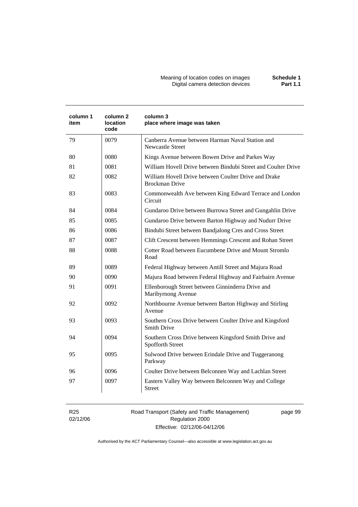Meaning of location codes on images **Schedule 1**  Digital camera detection devices **Part 1.1** 

| column 1<br>item | column 2<br>location<br>code | column 3<br>place where image was taken                                        |
|------------------|------------------------------|--------------------------------------------------------------------------------|
| 79               | 0079                         | Canberra Avenue between Harman Naval Station and<br><b>Newcastle Street</b>    |
| 80               | 0080                         | Kings Avenue between Bowen Drive and Parkes Way                                |
| 81               | 0081                         | William Hovell Drive between Bindubi Street and Coulter Drive                  |
| 82               | 0082                         | William Hovell Drive between Coulter Drive and Drake<br><b>Brockman Drive</b>  |
| 83               | 0083                         | Commonwealth Ave between King Edward Terrace and London<br>Circuit             |
| 84               | 0084                         | Gundaroo Drive between Burrowa Street and Gungahlin Drive                      |
| 85               | 0085                         | Gundaroo Drive between Barton Highway and Nudurr Drive                         |
| 86               | 0086                         | Bindubi Street between Bandjalong Cres and Cross Street                        |
| 87               | 0087                         | Clift Crescent between Hemmings Crescent and Rohan Street                      |
| 88               | 0088                         | Cotter Road between Eucumbene Drive and Mount Stromlo<br>Road                  |
| 89               | 0089                         | Federal Highway between Antill Street and Majura Road                          |
| 90               | 0090                         | Majura Road between Federal Highway and Fairbairn Avenue                       |
| 91               | 0091                         | Ellenborough Street between Ginninderra Drive and<br>Maribyrnong Avenue        |
| 92               | 0092                         | Northbourne Avenue between Barton Highway and Stirling<br>Avenue               |
| 93               | 0093                         | Southern Cross Drive between Coulter Drive and Kingsford<br><b>Smith Drive</b> |
| 94               | 0094                         | Southern Cross Drive between Kingsford Smith Drive and<br>Spofforth Street     |
| 95               | 0095                         | Sulwood Drive between Erindale Drive and Tuggeranong<br>Parkway                |
| 96               | 0096                         | Coulter Drive between Belconnen Way and Lachlan Street                         |
| 97               | 0097                         | Eastern Valley Way between Belconnen Way and College<br><b>Street</b>          |
|                  |                              |                                                                                |

R25 02/12/06 Road Transport (Safety and Traffic Management) Regulation 2000 Effective: 02/12/06-04/12/06

page 99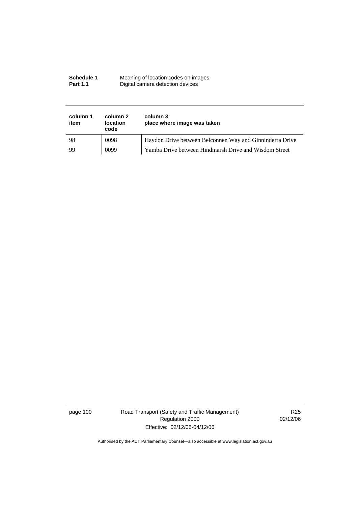| Schedule 1      | Meaning of location codes on images |
|-----------------|-------------------------------------|
| <b>Part 1.1</b> | Digital camera detection devices    |

| column 1<br>item | column 2<br><b>location</b><br>code | column 3<br>place where image was taken                  |
|------------------|-------------------------------------|----------------------------------------------------------|
| 98               | 0098                                | Haydon Drive between Belconnen Way and Ginninderra Drive |
| 99               | 0099                                | Yamba Drive between Hindmarsh Drive and Wisdom Street    |

page 100 Road Transport (Safety and Traffic Management) Regulation 2000 Effective: 02/12/06-04/12/06

R25 02/12/06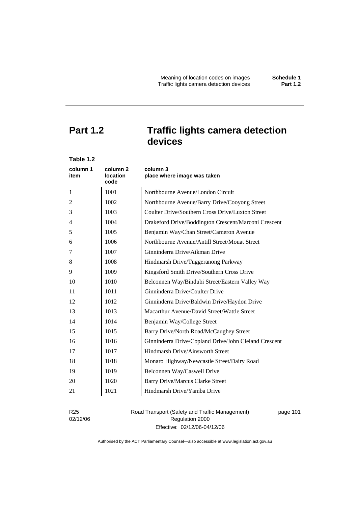# **Part 1.2 Traffic lights camera detection devices**

| Table 1.2        |                              |                                                       |
|------------------|------------------------------|-------------------------------------------------------|
| column 1<br>item | column 2<br>location<br>code | column 3<br>place where image was taken               |
| $\mathbf{1}$     | 1001                         | Northbourne Avenue/London Circuit                     |
| 2                | 1002                         | Northbourne Avenue/Barry Drive/Cooyong Street         |
| 3                | 1003                         | Coulter Drive/Southern Cross Drive/Luxton Street      |
| 4                | 1004                         | Drakeford Drive/Boddington Crescent/Marconi Crescent  |
| 5                | 1005                         | Benjamin Way/Chan Street/Cameron Avenue               |
| 6                | 1006                         | Northbourne Avenue/Antill Street/Mouat Street         |
| 7                | 1007                         | Ginninderra Drive/Aikman Drive                        |
| 8                | 1008                         | Hindmarsh Drive/Tuggeranong Parkway                   |
| 9                | 1009                         | Kingsford Smith Drive/Southern Cross Drive            |
| 10               | 1010                         | Belconnen Way/Bindubi Street/Eastern Valley Way       |
| 11               | 1011                         | Ginninderra Drive/Coulter Drive                       |
| 12               | 1012                         | Ginninderra Drive/Baldwin Drive/Haydon Drive          |
| 13               | 1013                         | Macarthur Avenue/David Street/Wattle Street           |
| 14               | 1014                         | Benjamin Way/College Street                           |
| 15               | 1015                         | Barry Drive/North Road/McCaughey Street               |
| 16               | 1016                         | Ginninderra Drive/Copland Drive/John Cleland Crescent |
| 17               | 1017                         | Hindmarsh Drive/Ainsworth Street                      |
| 18               | 1018                         | Monaro Highway/Newcastle Street/Dairy Road            |
| 19               | 1019                         | Belconnen Way/Caswell Drive                           |
| 20               | 1020                         | <b>Barry Drive/Marcus Clarke Street</b>               |
| 21               | 1021                         | Hindmarsh Drive/Yamba Drive                           |
|                  |                              |                                                       |

R25 02/12/06 Road Transport (Safety and Traffic Management) Regulation 2000 Effective: 02/12/06-04/12/06

page 101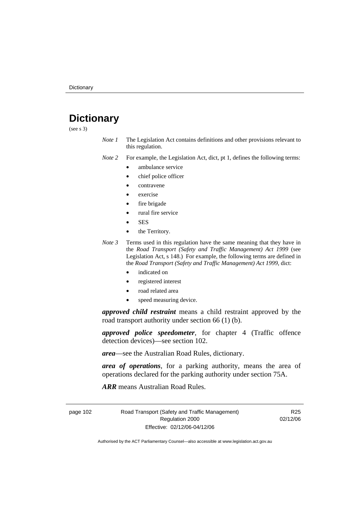# **Dictionary**

(see s 3)

*Note 1* The Legislation Act contains definitions and other provisions relevant to this regulation.

*Note 2* For example, the Legislation Act, dict, pt 1, defines the following terms:

- ambulance service
	- chief police officer
- contravene
- exercise
- fire brigade
- rural fire service
- SES
- the Territory.
- *Note 3* Terms used in this regulation have the same meaning that they have in the *Road Transport (Safety and Traffic Management) Act 1999* (see Legislation Act, s 148.) For example, the following terms are defined in the *Road Transport (Safety and Traffic Management) Act 1999*, dict:
	- indicated on
	- registered interest
	- road related area
	- speed measuring device.

*approved child restraint* means a child restraint approved by the road transport authority under section 66 (1) (b).

*approved police speedometer*, for chapter 4 (Traffic offence detection devices)—see section 102.

*area*—see the Australian Road Rules, dictionary.

*area of operations*, for a parking authority, means the area of operations declared for the parking authority under section 75A.

*ARR* means Australian Road Rules.

page 102 Road Transport (Safety and Traffic Management) Regulation 2000 Effective: 02/12/06-04/12/06

R25 02/12/06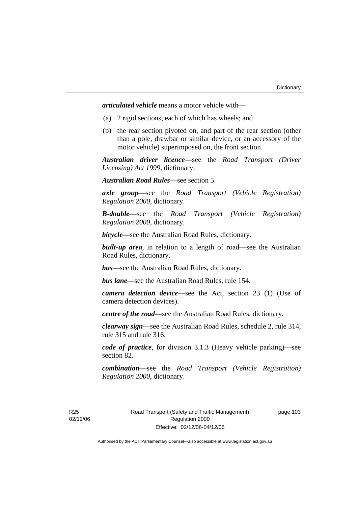*articulated vehicle* means a motor vehicle with—

- (a) 2 rigid sections, each of which has wheels; and
- (b) the rear section pivoted on, and part of the rear section (other than a pole, drawbar or similar device, or an accessory of the motor vehicle) superimposed on, the front section.

*Australian driver licence*—see the *Road Transport (Driver Licensing) Act 1999*, dictionary.

*Australian Road Rules*—see section 5.

*axle group*—see the *Road Transport (Vehicle Registration) Regulation 2000*, dictionary.

*B-double*—see the *Road Transport (Vehicle Registration) Regulation 2000*, dictionary.

*bicycle*—see the Australian Road Rules, dictionary.

**built-up area**, in relation to a length of road—see the Australian Road Rules, dictionary.

*bus*—see the Australian Road Rules, dictionary.

*bus lane*—see the Australian Road Rules, rule 154.

*camera detection device*—see the Act, section 23 (1) (Use of camera detection devices).

*centre of the road*—see the Australian Road Rules, dictionary.

*clearway sign*—see the Australian Road Rules, schedule 2, rule 314, rule 315 and rule 316.

*code of practice*, for division 3.1.3 (Heavy vehicle parking)—see section 82.

*combination*—see the *Road Transport (Vehicle Registration) Regulation 2000*, dictionary.

R25 02/12/06 page 103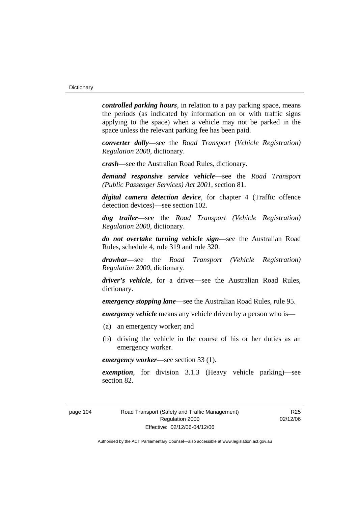*controlled parking hours*, in relation to a pay parking space, means the periods (as indicated by information on or with traffic signs applying to the space) when a vehicle may not be parked in the space unless the relevant parking fee has been paid.

*converter dolly*—see the *Road Transport (Vehicle Registration) Regulation 2000*, dictionary.

*crash*—see the Australian Road Rules, dictionary.

*demand responsive service vehicle*—see the *Road Transport (Public Passenger Services) Act 2001*, section 81.

*digital camera detection device*, for chapter 4 (Traffic offence detection devices)—see section 102.

*dog trailer*—see the *Road Transport (Vehicle Registration) Regulation 2000*, dictionary.

*do not overtake turning vehicle sign*—see the Australian Road Rules, schedule 4, rule 319 and rule 320.

*drawbar*—see the *Road Transport (Vehicle Registration) Regulation 2000*, dictionary.

*driver's vehicle*, for a driver*—*see the Australian Road Rules, dictionary.

*emergency stopping lane*—see the Australian Road Rules, rule 95.

*emergency vehicle* means any vehicle driven by a person who is—

- (a) an emergency worker; and
- (b) driving the vehicle in the course of his or her duties as an emergency worker.

*emergency worker*—see section 33 (1).

*exemption*, for division 3.1.3 (Heavy vehicle parking)—see section 82.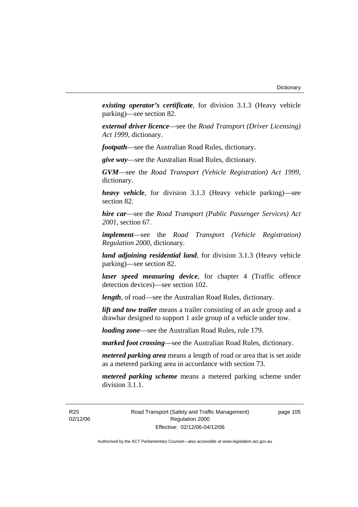*existing operator's certificate*, for division 3.1.3 (Heavy vehicle parking)—see section 82.

*external driver licence*—see the *Road Transport (Driver Licensing) Act 1999*, dictionary.

*footpath*—see the Australian Road Rules, dictionary.

*give way*—see the Australian Road Rules, dictionary.

*GVM*—see the *Road Transport (Vehicle Registration) Act 1999*, dictionary.

*heavy vehicle*, for division 3.1.3 (Heavy vehicle parking)—see section 82.

*hire car*—see the *Road Transport (Public Passenger Services) Act 2001*, section 67.

*implement*—see the *Road Transport (Vehicle Registration) Regulation 2000*, dictionary.

*land adjoining residential land*, for division 3.1.3 (Heavy vehicle parking)—see section 82.

*laser speed measuring device*, for chapter 4 (Traffic offence detection devices)—see section 102.

*length*, of road—see the Australian Road Rules, dictionary.

*lift and tow trailer* means a trailer consisting of an axle group and a drawbar designed to support 1 axle group of a vehicle under tow.

*loading zone*—see the Australian Road Rules, rule 179.

*marked foot crossing*—see the Australian Road Rules, dictionary.

*metered parking area* means a length of road or area that is set aside as a metered parking area in accordance with section 73.

*metered parking scheme* means a metered parking scheme under division 3.1.1.

R25 02/12/06 Road Transport (Safety and Traffic Management) Regulation 2000 Effective: 02/12/06-04/12/06

page 105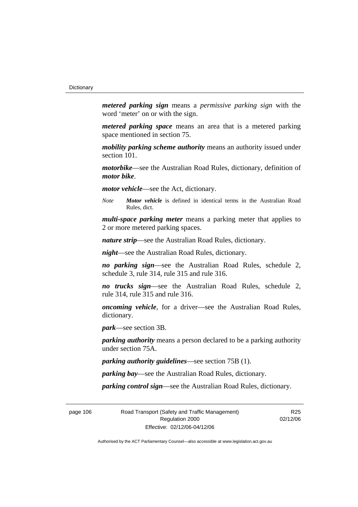*metered parking sign* means a *permissive parking sign* with the word 'meter' on or with the sign.

*metered parking space* means an area that is a metered parking space mentioned in section 75.

*mobility parking scheme authority* means an authority issued under section 101.

*motorbike*—see the Australian Road Rules, dictionary, definition of *motor bike*.

*motor vehicle*—see the Act, dictionary.

*Note Motor vehicle* is defined in identical terms in the Australian Road Rules, dict.

*multi-space parking meter* means a parking meter that applies to 2 or more metered parking spaces.

*nature strip*—see the Australian Road Rules, dictionary.

*night*—see the Australian Road Rules, dictionary.

*no parking sign*—see the Australian Road Rules, schedule 2, schedule 3, rule 314, rule 315 and rule 316.

*no trucks sign*—see the Australian Road Rules, schedule 2, rule 314, rule 315 and rule 316.

*oncoming vehicle*, for a driver—see the Australian Road Rules, dictionary.

*park*—see section 3B.

*parking authority* means a person declared to be a parking authority under section 75A.

*parking authority guidelines*—see section 75B (1).

*parking bay*—see the Australian Road Rules, dictionary.

*parking control sign*—see the Australian Road Rules, dictionary.

page 106 Road Transport (Safety and Traffic Management) Regulation 2000 Effective: 02/12/06-04/12/06

R<sub>25</sub> 02/12/06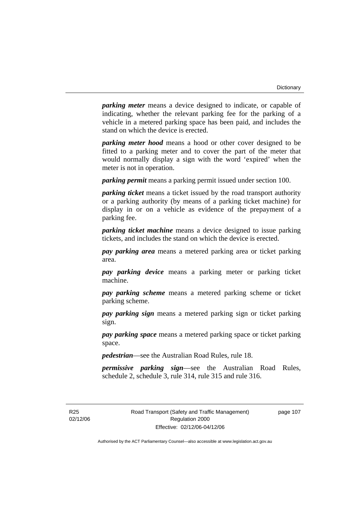*parking meter* means a device designed to indicate, or capable of indicating, whether the relevant parking fee for the parking of a vehicle in a metered parking space has been paid, and includes the stand on which the device is erected.

*parking meter hood* means a hood or other cover designed to be fitted to a parking meter and to cover the part of the meter that would normally display a sign with the word 'expired' when the meter is not in operation.

*parking permit* means a parking permit issued under section 100.

*parking ticket* means a ticket issued by the road transport authority or a parking authority (by means of a parking ticket machine) for display in or on a vehicle as evidence of the prepayment of a parking fee.

*parking ticket machine* means a device designed to issue parking tickets, and includes the stand on which the device is erected.

*pay parking area* means a metered parking area or ticket parking area.

*pay parking device* means a parking meter or parking ticket machine.

*pay parking scheme* means a metered parking scheme or ticket parking scheme.

*pay parking sign* means a metered parking sign or ticket parking sign.

*pay parking space* means a metered parking space or ticket parking space.

*pedestrian*—see the Australian Road Rules, rule 18.

*permissive parking sign*—see the Australian Road Rules, schedule 2, schedule 3, rule 314, rule 315 and rule 316.

R25 02/12/06 page 107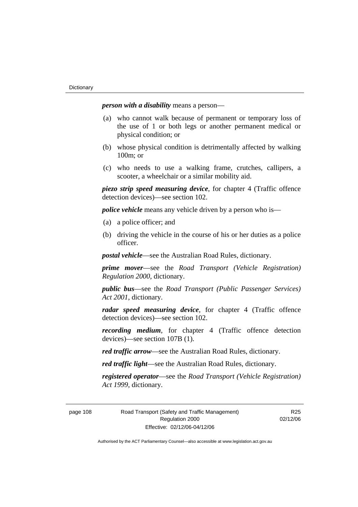*person with a disability* means a person—

- (a) who cannot walk because of permanent or temporary loss of the use of 1 or both legs or another permanent medical or physical condition; or
- (b) whose physical condition is detrimentally affected by walking 100m; or
- (c) who needs to use a walking frame, crutches, callipers, a scooter, a wheelchair or a similar mobility aid.

*piezo strip speed measuring device*, for chapter 4 (Traffic offence detection devices)—see section 102.

*police vehicle* means any vehicle driven by a person who is—

- (a) a police officer; and
- (b) driving the vehicle in the course of his or her duties as a police officer.

*postal vehicle*—see the Australian Road Rules, dictionary.

*prime mover*—see the *Road Transport (Vehicle Registration) Regulation 2000*, dictionary.

*public bus*—see the *Road Transport (Public Passenger Services) Act 2001*, dictionary.

*radar speed measuring device*, for chapter 4 (Traffic offence detection devices)—see section 102.

*recording medium*, for chapter 4 (Traffic offence detection devices)—see section 107B (1).

*red traffic arrow*—see the Australian Road Rules, dictionary.

*red traffic light*—see the Australian Road Rules, dictionary.

*registered operator*—see the *Road Transport (Vehicle Registration) Act 1999*, dictionary.

page 108 Road Transport (Safety and Traffic Management) Regulation 2000 Effective: 02/12/06-04/12/06

R<sub>25</sub> 02/12/06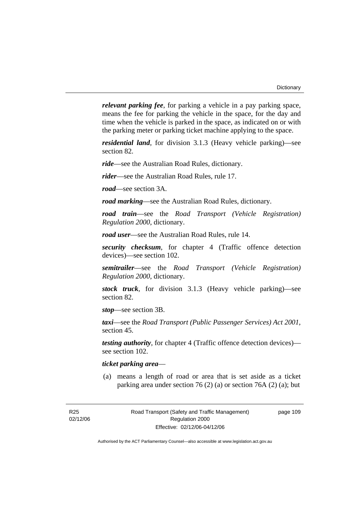*relevant parking fee*, for parking a vehicle in a pay parking space, means the fee for parking the vehicle in the space, for the day and time when the vehicle is parked in the space, as indicated on or with the parking meter or parking ticket machine applying to the space.

*residential land*, for division 3.1.3 (Heavy vehicle parking)—see section 82.

*ride*—see the Australian Road Rules, dictionary.

*rider*—see the Australian Road Rules, rule 17.

*road*—see section 3A.

*road marking*—see the Australian Road Rules, dictionary.

*road train*—see the *Road Transport (Vehicle Registration) Regulation 2000*, dictionary.

*road user*—see the Australian Road Rules, rule 14.

*security checksum*, for chapter 4 (Traffic offence detection devices)—see section 102.

*semitrailer*—see the *Road Transport (Vehicle Registration) Regulation 2000*, dictionary.

*stock truck*, for division 3.1.3 (Heavy vehicle parking)—see section 82.

*stop*—see section 3B.

*taxi*—see the *Road Transport (Public Passenger Services) Act 2001*, section 45.

*testing authority*, for chapter 4 (Traffic offence detection devices) see section 102.

# *ticket parking area*—

 (a) means a length of road or area that is set aside as a ticket parking area under section 76 (2) (a) or section 76A (2) (a); but

R25 02/12/06 page 109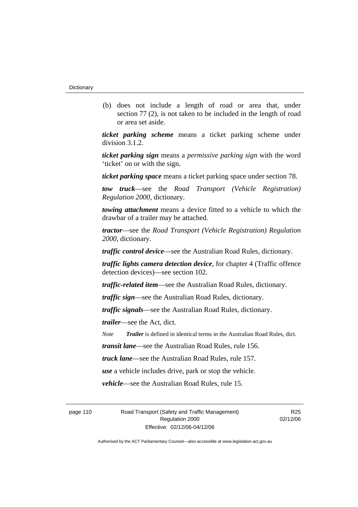(b) does not include a length of road or area that, under section 77 (2), is not taken to be included in the length of road or area set aside.

*ticket parking scheme* means a ticket parking scheme under division 3.1.2.

*ticket parking sign* means a *permissive parking sign* with the word 'ticket' on or with the sign.

*ticket parking space* means a ticket parking space under section 78.

*tow truck*—see the *Road Transport (Vehicle Registration) Regulation 2000*, dictionary.

*towing attachment* means a device fitted to a vehicle to which the drawbar of a trailer may be attached.

*tractor*—see the *Road Transport (Vehicle Registration) Regulation 2000*, dictionary.

*traffic control device*—see the Australian Road Rules, dictionary.

*traffic lights camera detection device*, for chapter 4 (Traffic offence detection devices)—see section 102.

*traffic-related item*—see the Australian Road Rules, dictionary.

*traffic sign*—see the Australian Road Rules, dictionary.

*traffic signals*—see the Australian Road Rules, dictionary.

*trailer*—see the Act, dict.

*Note Trailer* is defined in identical terms in the Australian Road Rules, dict.

*transit lane*—see the Australian Road Rules, rule 156.

*truck lane*—see the Australian Road Rules, rule 157.

*use* a vehicle includes drive, park or stop the vehicle.

*vehicle*—see the Australian Road Rules, rule 15.

page 110 Road Transport (Safety and Traffic Management) Regulation 2000 Effective: 02/12/06-04/12/06

R<sub>25</sub> 02/12/06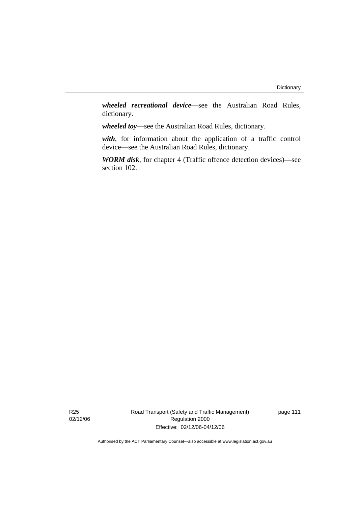*wheeled recreational device*—see the Australian Road Rules, dictionary.

*wheeled toy*—see the Australian Road Rules, dictionary.

*with*, for information about the application of a traffic control device—see the Australian Road Rules, dictionary.

*WORM disk*, for chapter 4 (Traffic offence detection devices)—see section 102.

Road Transport (Safety and Traffic Management) Regulation 2000 Effective: 02/12/06-04/12/06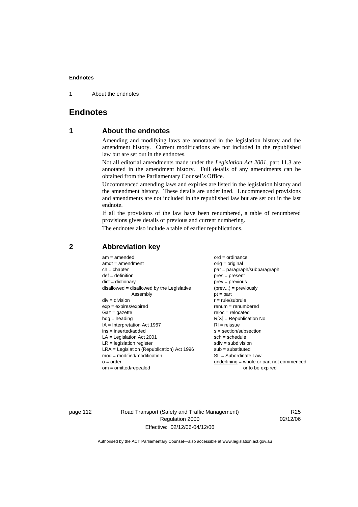1 About the endnotes

# **Endnotes**

# **1 About the endnotes**

Amending and modifying laws are annotated in the legislation history and the amendment history. Current modifications are not included in the republished law but are set out in the endnotes.

Not all editorial amendments made under the *Legislation Act 2001*, part 11.3 are annotated in the amendment history. Full details of any amendments can be obtained from the Parliamentary Counsel's Office.

Uncommenced amending laws and expiries are listed in the legislation history and the amendment history. These details are underlined. Uncommenced provisions and amendments are not included in the republished law but are set out in the last endnote.

If all the provisions of the law have been renumbered, a table of renumbered provisions gives details of previous and current numbering.

The endnotes also include a table of earlier republications.

| $am = amended$<br>$amdt = amendment$<br>$ch = chapter$<br>$def = definition$<br>$dict = dictionary$<br>$disallowed = disallowed by the Legislative$<br>Assembly<br>$div = division$<br>$exp = expires/expired$<br>$Gaz = gazette$<br>$hdg =$ heading<br>$IA = Interpretation Act 1967$<br>$ins = inserted/added$<br>$LA =$ Legislation Act 2001<br>$LR =$ legislation register<br>$LRA =$ Legislation (Republication) Act 1996<br>$mod = modified/modification$<br>$o = order$ | $ord = ordinance$<br>$orig = original$<br>par = paragraph/subparagraph<br>$pres = present$<br>$prev = previous$<br>$(\text{prev}) = \text{previously}$<br>$pt = part$<br>$r = rule/subrule$<br>$renum = renumbered$<br>$reloc = relocated$<br>$R[X]$ = Republication No<br>$RI = reissue$<br>$s = section/subsection$<br>$sch = schedule$<br>$sdiv = subdivision$<br>$sub = substituted$<br>$SL = Subordinate$ Law |
|--------------------------------------------------------------------------------------------------------------------------------------------------------------------------------------------------------------------------------------------------------------------------------------------------------------------------------------------------------------------------------------------------------------------------------------------------------------------------------|--------------------------------------------------------------------------------------------------------------------------------------------------------------------------------------------------------------------------------------------------------------------------------------------------------------------------------------------------------------------------------------------------------------------|
| $om = omitted/repealed$                                                                                                                                                                                                                                                                                                                                                                                                                                                        | underlining = whole or part not commenced<br>or to be expired                                                                                                                                                                                                                                                                                                                                                      |
|                                                                                                                                                                                                                                                                                                                                                                                                                                                                                |                                                                                                                                                                                                                                                                                                                                                                                                                    |

# **2 Abbreviation key**

page 112 Road Transport (Safety and Traffic Management) Regulation 2000 Effective: 02/12/06-04/12/06

R25 02/12/06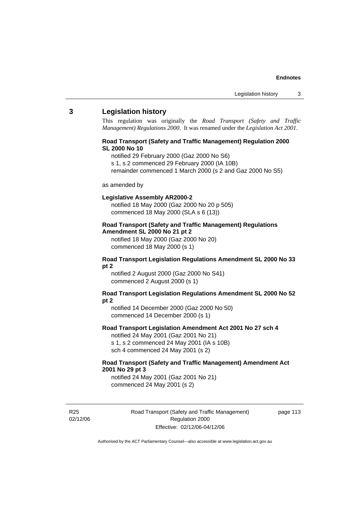# **3 Legislation history**

This regulation was originally the *Road Transport (Safety and Traffic Management) Regulations 2000*. It was renamed under the *Legislation Act 2001*.

# **Road Transport (Safety and Traffic Management) Regulation 2000 SL 2000 No 10**

- notified 29 February 2000 (Gaz 2000 No S6)
- s 1, s 2 commenced 29 February 2000 (IA 10B)
- remainder commenced 1 March 2000 (s 2 and Gaz 2000 No S5)

#### as amended by

#### **Legislative Assembly AR2000-2**

notified 18 May 2000 (Gaz 2000 No 20 p 505) commenced 18 May 2000 (SLA s 6 (13))

# **Road Transport (Safety and Traffic Management) Regulations Amendment SL 2000 No 21 pt 2**

notified 18 May 2000 (Gaz 2000 No 20) commenced 18 May 2000 (s 1)

#### **Road Transport Legislation Regulations Amendment SL 2000 No 33 pt 2**

notified 2 August 2000 (Gaz 2000 No S41) commenced 2 August 2000 (s 1)

#### **Road Transport Legislation Regulations Amendment SL 2000 No 52 pt 2**

notified 14 December 2000 (Gaz 2000 No 50) commenced 14 December 2000 (s 1)

#### **Road Transport Legislation Amendment Act 2001 No 27 sch 4**

notified 24 May 2001 (Gaz 2001 No 21) s 1, s 2 commenced 24 May 2001 (IA s 10B) sch 4 commenced 24 May 2001 (s 2)

# **Road Transport (Safety and Traffic Management) Amendment Act 2001 No 29 pt 3**

notified 24 May 2001 (Gaz 2001 No 21) commenced 24 May 2001 (s 2)

R25 02/12/06 Road Transport (Safety and Traffic Management) Regulation 2000 Effective: 02/12/06-04/12/06

page 113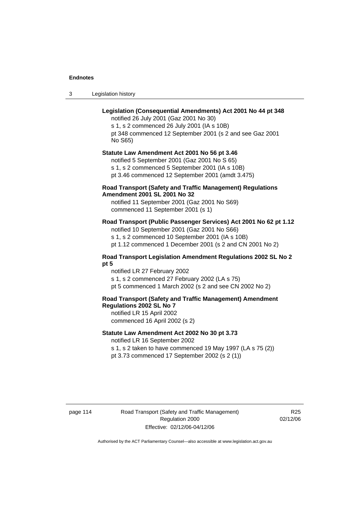3 Legislation history

# **Legislation (Consequential Amendments) Act 2001 No 44 pt 348**

notified 26 July 2001 (Gaz 2001 No 30) s 1, s 2 commenced 26 July 2001 (IA s 10B) pt 348 commenced 12 September 2001 (s 2 and see Gaz 2001 No S65)

# **Statute Law Amendment Act 2001 No 56 pt 3.46**

notified 5 September 2001 (Gaz 2001 No S 65) s 1, s 2 commenced 5 September 2001 (IA s 10B) pt 3.46 commenced 12 September 2001 (amdt 3.475)

# **Road Transport (Safety and Traffic Management) Regulations Amendment 2001 SL 2001 No 32**

notified 11 September 2001 (Gaz 2001 No S69) commenced 11 September 2001 (s 1)

# **Road Transport (Public Passenger Services) Act 2001 No 62 pt 1.12**

notified 10 September 2001 (Gaz 2001 No S66) s 1, s 2 commenced 10 September 2001 (IA s 10B)

pt 1.12 commenced 1 December 2001 (s 2 and CN 2001 No 2)

# **Road Transport Legislation Amendment Regulations 2002 SL No 2 pt 5**

notified LR 27 February 2002 s 1, s 2 commenced 27 February 2002 (LA s 75) pt 5 commenced 1 March 2002 (s 2 and see CN 2002 No 2)

# **Road Transport (Safety and Traffic Management) Amendment Regulations 2002 SL No 7**

notified LR 15 April 2002 commenced 16 April 2002 (s 2)

## **Statute Law Amendment Act 2002 No 30 pt 3.73**

notified LR 16 September 2002

s 1, s 2 taken to have commenced 19 May 1997 (LA s 75 (2)) pt 3.73 commenced 17 September 2002 (s 2 (1))

page 114 Road Transport (Safety and Traffic Management) Regulation 2000 Effective: 02/12/06-04/12/06

R<sub>25</sub> 02/12/06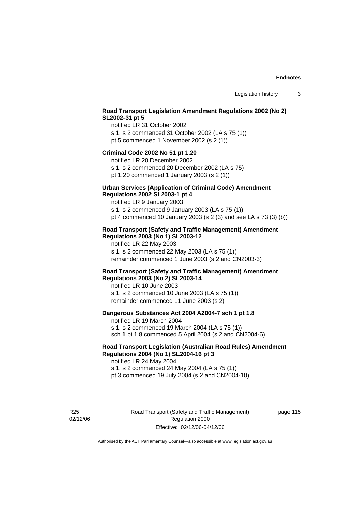# **Road Transport Legislation Amendment Regulations 2002 (No 2) SL2002-31 pt 5**

notified LR 31 October 2002 s 1, s 2 commenced 31 October 2002 (LA s 75 (1)) pt 5 commenced 1 November 2002 (s 2 (1))

#### **Criminal Code 2002 No 51 pt 1.20**

notified LR 20 December 2002

s 1, s 2 commenced 20 December 2002 (LA s 75) pt 1.20 commenced 1 January 2003 (s 2 (1))

# **Urban Services (Application of Criminal Code) Amendment**

# **Regulations 2002 SL2003-1 pt 4**

notified LR 9 January 2003 s 1, s 2 commenced 9 January 2003 (LA s 75 (1))

pt 4 commenced 10 January 2003 (s 2 (3) and see LA s 73 (3) (b))

# **Road Transport (Safety and Traffic Management) Amendment Regulations 2003 (No 1) SL2003-12**

notified LR 22 May 2003 s 1, s 2 commenced 22 May 2003 (LA s 75 (1)) remainder commenced 1 June 2003 (s 2 and CN2003-3)

# **Road Transport (Safety and Traffic Management) Amendment Regulations 2003 (No 2) SL2003-14**

notified LR 10 June 2003 s 1, s 2 commenced 10 June 2003 (LA s 75 (1)) remainder commenced 11 June 2003 (s 2)

# **Dangerous Substances Act 2004 A2004-7 sch 1 pt 1.8**

notified LR 19 March 2004 s 1, s 2 commenced 19 March 2004 (LA s 75 (1)) sch 1 pt 1.8 commenced 5 April 2004 (s 2 and CN2004-6)

# **Road Transport Legislation (Australian Road Rules) Amendment Regulations 2004 (No 1) SL2004-16 pt 3**

notified LR 24 May 2004 s 1, s 2 commenced 24 May 2004 (LA s 75 (1)) pt 3 commenced 19 July 2004 (s 2 and CN2004-10)

R25 02/12/06 Road Transport (Safety and Traffic Management) Regulation 2000 Effective: 02/12/06-04/12/06

page 115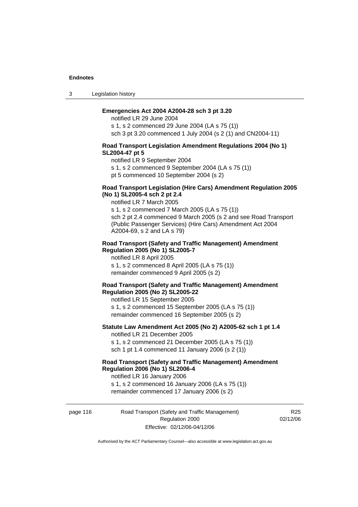3 Legislation history

# **Emergencies Act 2004 A2004-28 sch 3 pt 3.20**

notified LR 29 June 2004 s 1, s 2 commenced 29 June 2004 (LA s 75 (1)) sch 3 pt 3.20 commenced 1 July 2004 (s 2 (1) and CN2004-11)

#### **Road Transport Legislation Amendment Regulations 2004 (No 1) SL2004-47 pt 5**

notified LR 9 September 2004

s 1, s 2 commenced 9 September 2004 (LA s 75 (1))

pt 5 commenced 10 September 2004 (s 2)

## **Road Transport Legislation (Hire Cars) Amendment Regulation 2005 (No 1) SL2005-4 sch 2 pt 2.4**

notified LR 7 March 2005

s 1, s 2 commenced 7 March 2005 (LA s 75 (1)) sch 2 pt 2.4 commenced 9 March 2005 (s 2 and see Road Transport (Public Passenger Services) (Hire Cars) Amendment Act 2004 A2004-69, s 2 and LA s 79)

#### **Road Transport (Safety and Traffic Management) Amendment Regulation 2005 (No 1) SL2005-7**

notified LR 8 April 2005 s 1, s 2 commenced 8 April 2005 (LA s 75 (1)) remainder commenced 9 April 2005 (s 2)

#### **Road Transport (Safety and Traffic Management) Amendment Regulation 2005 (No 2) SL2005-22**

notified LR 15 September 2005 s 1, s 2 commenced 15 September 2005 (LA s 75 (1)) remainder commenced 16 September 2005 (s 2)

# **Statute Law Amendment Act 2005 (No 2) A2005-62 sch 1 pt 1.4**  notified LR 21 December 2005

s 1, s 2 commenced 21 December 2005 (LA s 75 (1)) sch 1 pt 1.4 commenced 11 January 2006 (s 2 (1))

# **Road Transport (Safety and Traffic Management) Amendment Regulation 2006 (No 1) SL2006-4**

notified LR 16 January 2006 s 1, s 2 commenced 16 January 2006 (LA s 75 (1)) remainder commenced 17 January 2006 (s 2)

page 116 Road Transport (Safety and Traffic Management) Regulation 2000 Effective: 02/12/06-04/12/06

R<sub>25</sub> 02/12/06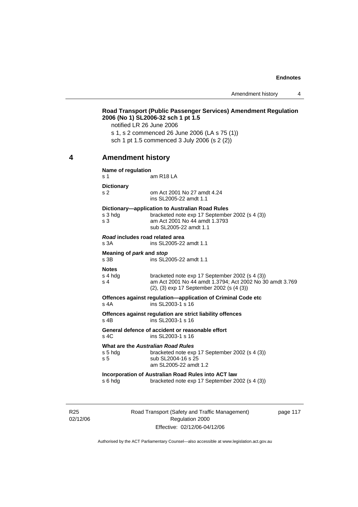Amendment history 4

|   | notified LR 26 June 2006                  | Road Transport (Public Passenger Services) Amendment Regulation<br>2006 (No 1) SL2006-32 sch 1 pt 1.5<br>s 1, s 2 commenced 26 June 2006 (LA s 75 (1))<br>sch 1 pt 1.5 commenced 3 July 2006 (s 2 (2)) |
|---|-------------------------------------------|--------------------------------------------------------------------------------------------------------------------------------------------------------------------------------------------------------|
| 4 | <b>Amendment history</b>                  |                                                                                                                                                                                                        |
|   | Name of regulation<br>s 1                 | am R <sub>18</sub> LA                                                                                                                                                                                  |
|   | <b>Dictionary</b><br>s <sub>2</sub>       | om Act 2001 No 27 amdt 4.24<br>ins SL2005-22 amdt 1.1                                                                                                                                                  |
|   | s 3 hdg<br>s 3                            | Dictionary-application to Australian Road Rules<br>bracketed note exp 17 September 2002 (s 4 (3))<br>am Act 2001 No 44 amdt 1.3793<br>sub SL2005-22 amdt 1.1                                           |
|   | Road includes road related area<br>s 3A   | ins SL2005-22 amdt 1.1                                                                                                                                                                                 |
|   | Meaning of park and stop<br>s 3B          | ins SL2005-22 amdt 1.1                                                                                                                                                                                 |
|   | <b>Notes</b><br>s 4 hdg<br>s <sub>4</sub> | bracketed note exp 17 September 2002 (s 4 (3))<br>am Act 2001 No 44 amdt 1.3794; Act 2002 No 30 amdt 3.769<br>(2), (3) exp 17 September 2002 (s (4 (3))                                                |
|   | s 4A                                      | Offences against regulation-application of Criminal Code etc<br>ins SL2003-1 s 16                                                                                                                      |
|   | s 4B                                      | Offences against regulation are strict liability offences<br>ins SL2003-1 s 16                                                                                                                         |
|   | s 4C                                      | General defence of accident or reasonable effort<br>ins SL2003-1 s 16                                                                                                                                  |
|   | s 5 hdg<br>s <sub>5</sub>                 | What are the Australian Road Rules<br>bracketed note exp 17 September 2002 (s 4 (3))<br>sub SL2004-16 s 25<br>am SL2005-22 amdt 1.2                                                                    |
|   | s 6 hdg                                   | Incorporation of Australian Road Rules into ACT law<br>bracketed note exp 17 September 2002 (s 4 (3))                                                                                                  |
|   |                                           |                                                                                                                                                                                                        |

R25 02/12/06 Road Transport (Safety and Traffic Management) Regulation 2000 Effective: 02/12/06-04/12/06

page 117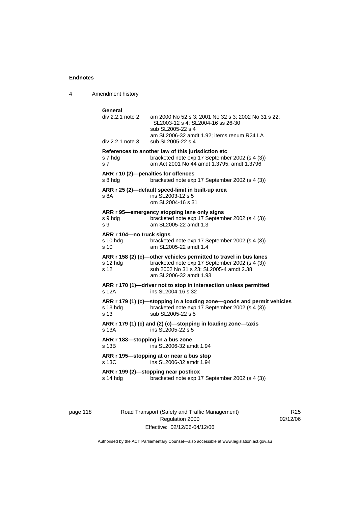4 Amendment history

| General                                        |                                                                                                                                                                                           |
|------------------------------------------------|-------------------------------------------------------------------------------------------------------------------------------------------------------------------------------------------|
| div 2.2.1 note 2<br>div 2.2.1 note 3           | am 2000 No 52 s 3; 2001 No 32 s 3; 2002 No 31 s 22;<br>SL2003-12 s 4; SL2004-16 ss 26-30<br>sub SL2005-22 s 4<br>am SL2006-32 amdt 1.92; items renum R24 LA<br>sub SL2005-22 s 4          |
|                                                |                                                                                                                                                                                           |
| s 7 hda<br>s <sub>7</sub>                      | References to another law of this jurisdiction etc<br>bracketed note exp 17 September 2002 (s 4 (3))<br>am Act 2001 No 44 amdt 1.3795, amdt 1.3796                                        |
| ARR r 10 (2)-penalties for offences<br>s 8 hda | bracketed note exp 17 September 2002 (s 4 (3))                                                                                                                                            |
| s 8A                                           | ARR r 25 (2)-default speed-limit in built-up area<br>ins SL2003-12 s 5<br>om SL2004-16 s 31                                                                                               |
| s 9 hdg<br>s 9                                 | ARR r 95-emergency stopping lane only signs<br>bracketed note exp 17 September 2002 (s 4 (3))<br>am SL2005-22 amdt 1.3                                                                    |
| ARR r 104-no truck signs<br>s 10 hdg<br>s 10   | bracketed note exp 17 September 2002 (s 4 (3))<br>am SL2005-22 amdt 1.4                                                                                                                   |
| s 12 hdg<br>s 12                               | ARR r 158 (2) (c)-other vehicles permitted to travel in bus lanes<br>bracketed note exp 17 September 2002 (s 4 (3))<br>sub 2002 No 31 s 23; SL2005-4 amdt 2.38<br>am SL 2006-32 amdt 1.93 |
| s 12A                                          | ARR r 170 (1)-driver not to stop in intersection unless permitted<br>ins SL2004-16 s 32                                                                                                   |
| s 13 hdg<br>s 13                               | ARR r 179 (1) (c)—stopping in a loading zone—goods and permit vehicles<br>bracketed note exp 17 September 2002 (s 4 (3))<br>sub SL2005-22 s 5                                             |
| s 13A                                          | ARR r 179 (1) (c) and (2) (c)-stopping in loading zone-taxis<br>ins SL2005-22 s 5                                                                                                         |
| ARR r 183-stopping in a bus zone<br>s 13B      | ins SL2006-32 amdt 1.94                                                                                                                                                                   |
| s 13C                                          | ARR r 195-stopping at or near a bus stop<br>ins SL2006-32 amdt 1.94                                                                                                                       |
| s 14 hdg                                       | ARR r 199 (2)-stopping near postbox<br>bracketed note exp 17 September 2002 (s 4 (3))                                                                                                     |
|                                                |                                                                                                                                                                                           |

page 118 Road Transport (Safety and Traffic Management) Regulation 2000 Effective: 02/12/06-04/12/06

R25 02/12/06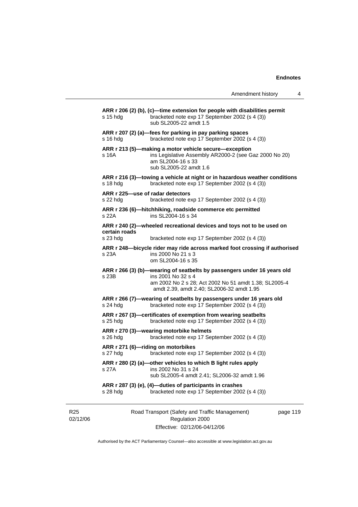|                             |                                              |                                                                                                                                                                                                     | Amendment history | 4        |
|-----------------------------|----------------------------------------------|-----------------------------------------------------------------------------------------------------------------------------------------------------------------------------------------------------|-------------------|----------|
|                             | $s$ 15 hdg                                   | ARR r 206 (2) (b), (c)—time extension for people with disabilities permit<br>bracketed note exp 17 September 2002 (s 4 (3))<br>sub SL2005-22 amdt 1.5                                               |                   |          |
|                             | $s$ 16 hdg                                   | ARR r 207 (2) (a)—fees for parking in pay parking spaces<br>bracketed note exp 17 September 2002 (s 4 (3))                                                                                          |                   |          |
|                             | s 16A                                        | ARR r 213 (5)—making a motor vehicle secure—exception<br>ins Legislative Assembly AR2000-2 (see Gaz 2000 No 20)<br>am SL2004-16 s 33<br>sub SL2005-22 amdt 1.6                                      |                   |          |
|                             | s 18 hdg                                     | ARR r 216 (3)—towing a vehicle at night or in hazardous weather conditions<br>bracketed note exp 17 September 2002 (s 4 (3))                                                                        |                   |          |
|                             | ARR r 225-use of radar detectors<br>s 22 hda | bracketed note exp 17 September 2002 (s 4 (3))                                                                                                                                                      |                   |          |
|                             | s 22A                                        | ARR r 236 (6)-hitchhiking, roadside commerce etc permitted<br>ins SL2004-16 s 34                                                                                                                    |                   |          |
|                             | certain roads<br>s 23 hdg                    | ARR r 240 (2)—wheeled recreational devices and toys not to be used on<br>bracketed note exp 17 September 2002 (s 4 (3))                                                                             |                   |          |
|                             | s 23A                                        | ARR r 248-bicycle rider may ride across marked foot crossing if authorised<br>ins 2000 No 21 s 3<br>om SL2004-16 s 35                                                                               |                   |          |
|                             | s 23B                                        | ARR r 266 (3) (b)—wearing of seatbelts by passengers under 16 years old<br>ins 2001 No 32 s 4<br>am 2002 No 2 s 28; Act 2002 No 51 amdt 1.38; SL2005-4<br>amdt 2.39, amdt 2.40; SL2006-32 amdt 1.95 |                   |          |
|                             | $s$ 24 hdg                                   | ARR r 266 (7)—wearing of seatbelts by passengers under 16 years old<br>bracketed note exp 17 September 2002 (s 4 (3))                                                                               |                   |          |
|                             | s 25 hda                                     | ARR r 267 (3)—certificates of exemption from wearing seatbelts<br>bracketed note exp 17 September 2002 (s 4 (3))                                                                                    |                   |          |
|                             | s 26 hdg                                     | ARR r 270 (3)—wearing motorbike helmets<br>bracketed note exp 17 September 2002 (s 4 (3))                                                                                                           |                   |          |
|                             | s 27 hdg                                     | ARR r 271 (6)-riding on motorbikes<br>bracketed note exp 17 September 2002 (s 4 (3))                                                                                                                |                   |          |
|                             | s 27A                                        | ARR r 280 (2) (a)-other vehicles to which B light rules apply<br>ins 2002 No 31 s 24<br>sub SL2005-4 amdt 2.41; SL2006-32 amdt 1.96                                                                 |                   |          |
|                             | s 28 hdg                                     | ARR r 287 (3) (e), (4)-duties of participants in crashes<br>bracketed note exp 17 September 2002 (s 4 (3))                                                                                          |                   |          |
| R <sub>25</sub><br>02/12/06 |                                              | Road Transport (Safety and Traffic Management)<br>Regulation 2000                                                                                                                                   |                   | page 119 |

Effective: 02/12/06-04/12/06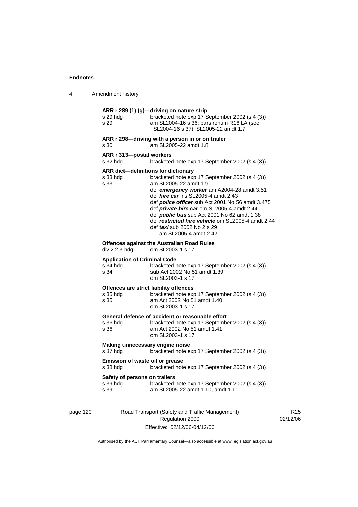|  | Amendment history |
|--|-------------------|
|--|-------------------|

| s 29 hda<br>s 29                                        | ARR r 289 (1) (g)-driving on nature strip<br>bracketed note exp 17 September 2002 (s 4 (3))<br>am SL2004-16 s 36; pars renum R16 LA (see<br>SL2004-16 s 37); SL2005-22 amdt 1.7                                                                                                                                                                                                                                                                                                                      |
|---------------------------------------------------------|------------------------------------------------------------------------------------------------------------------------------------------------------------------------------------------------------------------------------------------------------------------------------------------------------------------------------------------------------------------------------------------------------------------------------------------------------------------------------------------------------|
| s 30                                                    | ARR r 298-driving with a person in or on trailer<br>am SL2005-22 amdt 1.8                                                                                                                                                                                                                                                                                                                                                                                                                            |
| ARR r 313-postal workers<br>s 32 hda                    | bracketed note exp 17 September 2002 (s 4 (3))                                                                                                                                                                                                                                                                                                                                                                                                                                                       |
| s 33 hda<br>s 33                                        | <b>ARR</b> dict-definitions for dictionary<br>bracketed note exp 17 September 2002 (s 4 (3))<br>am SL2005-22 amdt 1.9<br>def emergency worker am A2004-28 amdt 3.61<br>def <i>hire car</i> ins SL2005-4 amdt 2.43<br>def <b>police officer</b> sub Act 2001 No 56 amdt 3.475<br>def private hire car om SL2005-4 amdt 2.44<br>def <i>public bus</i> sub Act 2001 No 62 amdt 1.38<br>def restricted hire vehicle om SL2005-4 amdt 2.44<br>def <i>taxi</i> sub 2002 No 2 s 29<br>am SL2005-4 amdt 2.42 |
| div 2.2.3 hdg                                           | <b>Offences against the Australian Road Rules</b><br>om SL2003-1 s 17                                                                                                                                                                                                                                                                                                                                                                                                                                |
| <b>Application of Criminal Code</b><br>s 34 hdg<br>s 34 | bracketed note exp 17 September 2002 (s 4 (3))<br>sub Act 2002 No 51 amdt 1.39<br>om SL2003-1 s 17                                                                                                                                                                                                                                                                                                                                                                                                   |
| s 35 hda<br>s 35                                        | Offences are strict liability offences<br>bracketed note exp 17 September 2002 (s 4 (3))<br>am Act 2002 No 51 amdt 1.40<br>om SL2003-1 s 17                                                                                                                                                                                                                                                                                                                                                          |
| s 36 hdg<br>s 36                                        | General defence of accident or reasonable effort<br>bracketed note exp 17 September 2002 (s 4 (3))<br>am Act 2002 No 51 amdt 1.41<br>om SL2003-1 s 17                                                                                                                                                                                                                                                                                                                                                |
| Making unnecessary engine noise<br>s 37 hdg             | bracketed note exp 17 September 2002 (s 4 (3))                                                                                                                                                                                                                                                                                                                                                                                                                                                       |
| Emission of waste oil or grease<br>s 38 hdg             | bracketed note exp 17 September 2002 (s 4 (3))                                                                                                                                                                                                                                                                                                                                                                                                                                                       |
| Safety of persons on trailers<br>s 39 hda<br>s 39       | bracketed note exp 17 September 2002 (s 4 (3))<br>am SL2005-22 amdt 1.10, amdt 1.11                                                                                                                                                                                                                                                                                                                                                                                                                  |

page 120 Road Transport (Safety and Traffic Management) Regulation 2000 Effective: 02/12/06-04/12/06

R25 02/12/06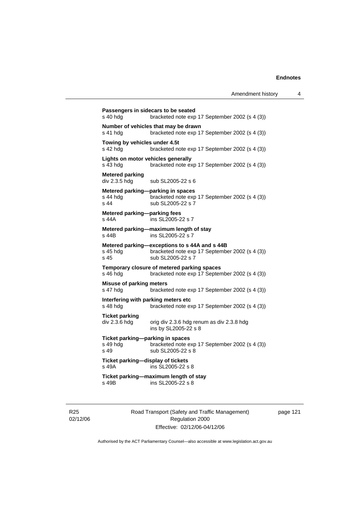**Passengers in sidecars to be seated**  s 40 hdg bracketed note exp 17 September 2002 (s 4 (3)) **Number of vehicles that may be drawn**  s 41 hdg bracketed note exp 17 September 2002 (s 4 (3)) **Towing by vehicles under 4.5t**  s 42 hdg bracketed note exp 17 September 2002 (s 4 (3)) **Lights on motor vehicles generally**  s 43 hdg bracketed note exp 17 September 2002 (s 4 (3)) **Metered parking**  sub SL2005-22 s 6 **Metered parking—parking in spaces**  s 44 hdg bracketed note exp 17 September 2002 (s 4 (3))<br>s 44 sub SL2005-22 s 7 sub SL2005-22 s 7 **Metered parking—parking fees**  s 44A ins SL2005-22 s 7 **Metered parking—maximum length of stay**  ins SL2005-22 s 7 **Metered parking—exceptions to s 44A and s 44B**  s 45 hdg bracketed note exp 17 September 2002 (s 4 (3)) s 45 sub SL2005-22 s 7 **Temporary closure of metered parking spaces**  s 46 hdg bracketed note exp 17 September 2002 (s 4 (3)) **Misuse of parking meters**  s 47 hdg bracketed note exp 17 September 2002 (s 4 (3)) **Interfering with parking meters etc**  bracketed note exp 17 September 2002 (s 4 (3)) **Ticket parking**  div 2.3.6 hdg orig div 2.3.6 hdg renum as div 2.3.8 hdg ins by SL2005-22 s 8 **Ticket parking—parking in spaces**  s 49 hdg bracketed note exp 17 September 2002 (s 4 (3)) s 49 sub SL2005-22 s 8 **Ticket parking—display of tickets**  s 49A ins SL2005-22 s 8 **Ticket parking—maximum length of stay**   $ins$  SL2005-22 s 8

R25 02/12/06 Road Transport (Safety and Traffic Management) Regulation 2000 Effective: 02/12/06-04/12/06

page 121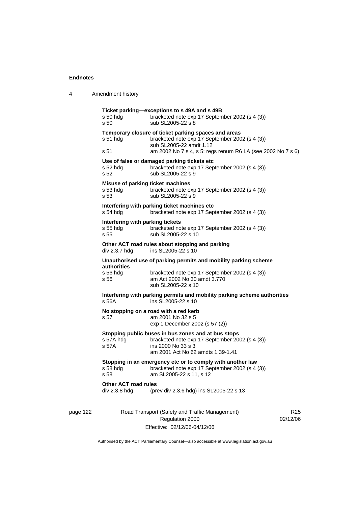4 Amendment history

|          | $s50$ hdg<br>s 50                                     | Ticket parking-exceptions to s 49A and s 49B<br>bracketed note exp 17 September 2002 (s 4 (3))<br>sub SL2005-22 s 8                                                                              |                             |
|----------|-------------------------------------------------------|--------------------------------------------------------------------------------------------------------------------------------------------------------------------------------------------------|-----------------------------|
|          | $s51$ hdg<br>s 51                                     | Temporary closure of ticket parking spaces and areas<br>bracketed note exp 17 September 2002 (s 4 (3))<br>sub SL2005-22 amdt 1.12<br>am 2002 No 7 s 4, s 5; regs renum R6 LA (see 2002 No 7 s 6) |                             |
|          | $s52$ hdg<br>s 52                                     | Use of false or damaged parking tickets etc<br>bracketed note exp 17 September 2002 (s 4 (3))<br>sub SL2005-22 s 9                                                                               |                             |
|          | Misuse of parking ticket machines<br>s 53 hdg<br>s 53 | bracketed note exp 17 September 2002 (s 4 (3))<br>sub SL2005-22 s 9                                                                                                                              |                             |
|          | s 54 hdg                                              | Interfering with parking ticket machines etc<br>bracketed note exp 17 September 2002 (s 4 (3))                                                                                                   |                             |
|          | Interfering with parking tickets<br>s 55 hdg<br>s 55  | bracketed note exp 17 September 2002 (s 4 (3))<br>sub SL2005-22 s 10                                                                                                                             |                             |
|          | div 2.3.7 hdg                                         | Other ACT road rules about stopping and parking<br>ins SL2005-22 s 10                                                                                                                            |                             |
|          | authorities<br>s 56 hdg<br>s 56                       | Unauthorised use of parking permits and mobility parking scheme<br>bracketed note exp 17 September 2002 (s 4 (3))<br>am Act 2002 No 30 amdt 3.770<br>sub SL2005-22 s 10                          |                             |
|          | s 56A                                                 | Interfering with parking permits and mobility parking scheme authorities<br>ins SL2005-22 s 10                                                                                                   |                             |
|          | s 57                                                  | No stopping on a road with a red kerb<br>am 2001 No 32 s 5<br>exp 1 December 2002 (s 57 (2))                                                                                                     |                             |
|          | s 57A hdg<br>s 57A                                    | Stopping public buses in bus zones and at bus stops<br>bracketed note exp 17 September 2002 (s 4 (3))<br>ins 2000 No 33 s 3<br>am 2001 Act No 62 amdts 1.39-1.41                                 |                             |
|          | s 58 hdg<br>s 58                                      | Stopping in an emergency etc or to comply with another law<br>bracketed note exp 17 September 2002 (s 4 (3))<br>am SL2005-22 s 11, s 12                                                          |                             |
|          | <b>Other ACT road rules</b><br>div 2.3.8 hdg          | (prev div 2.3.6 hdg) ins SL2005-22 s 13                                                                                                                                                          |                             |
| page 122 |                                                       | Road Transport (Safety and Traffic Management)<br>Regulation 2000                                                                                                                                | R <sub>25</sub><br>02/12/06 |

Authorised by the ACT Parliamentary Counsel—also accessible at www.legislation.act.gov.au

Effective: 02/12/06-04/12/06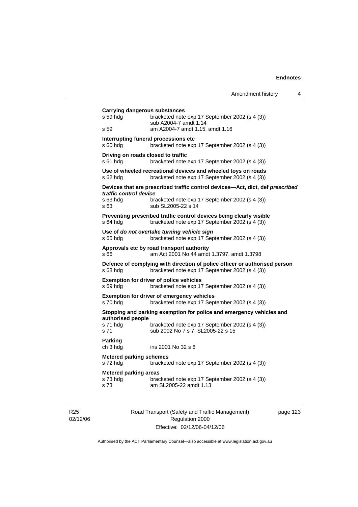|                                                          |                                                                                                                              | Amendment history | 4 |
|----------------------------------------------------------|------------------------------------------------------------------------------------------------------------------------------|-------------------|---|
| <b>Carrying dangerous substances</b><br>s 59 hdg<br>s 59 | bracketed note exp 17 September 2002 (s 4 (3))<br>sub A2004-7 amdt 1.14<br>am A2004-7 amdt 1.15, amdt 1.16                   |                   |   |
| s 60 hdg                                                 | Interrupting funeral processions etc.<br>bracketed note exp 17 September 2002 (s 4 (3))                                      |                   |   |
| Driving on roads closed to traffic<br>s 61 hdg           | bracketed note exp 17 September 2002 (s 4 (3))                                                                               |                   |   |
| s 62 hdg                                                 | Use of wheeled recreational devices and wheeled toys on roads<br>bracketed note exp 17 September 2002 (s 4 (3))              |                   |   |
|                                                          | Devices that are prescribed traffic control devices-Act, dict, def prescribed                                                |                   |   |
| traffic control device<br>s 63 hdg<br>s 63               | bracketed note exp 17 September 2002 (s 4 (3))<br>sub SL2005-22 s 14                                                         |                   |   |
| s 64 hda                                                 | Preventing prescribed traffic control devices being clearly visible<br>bracketed note exp 17 September 2002 (s 4 (3))        |                   |   |
| s 65 hdg                                                 | Use of do not overtake turning vehicle sign<br>bracketed note exp 17 September 2002 (s 4 (3))                                |                   |   |
| s 66                                                     | Approvals etc by road transport authority<br>am Act 2001 No 44 amdt 1.3797, amdt 1.3798                                      |                   |   |
| s 68 hdg                                                 | Defence of complying with direction of police officer or authorised person<br>bracketed note exp 17 September 2002 (s 4 (3)) |                   |   |
| s 69 hda                                                 | <b>Exemption for driver of police vehicles</b><br>bracketed note exp 17 September 2002 (s 4 (3))                             |                   |   |
| s 70 hdg                                                 | <b>Exemption for driver of emergency vehicles</b><br>bracketed note exp 17 September 2002 (s 4 (3))                          |                   |   |
|                                                          | Stopping and parking exemption for police and emergency vehicles and                                                         |                   |   |
| authorised people<br>s 71 hdg<br>s 71                    | bracketed note exp 17 September 2002 (s 4 (3))<br>sub 2002 No 7 s 7; SL2005-22 s 15                                          |                   |   |
| Parking<br>ch 3 hdg                                      | ins 2001 No 32 s 6                                                                                                           |                   |   |
| <b>Metered parking schemes</b><br>s 72 hdg               | bracketed note exp 17 September 2002 (s 4 (3))                                                                               |                   |   |
| <b>Metered parking areas</b><br>s 73 hdg<br>s 73         | bracketed note exp 17 September 2002 (s 4 (3))<br>am SL2005-22 amdt 1.13                                                     |                   |   |

R25 02/12/06 Road Transport (Safety and Traffic Management) Regulation 2000 Effective: 02/12/06-04/12/06

page 123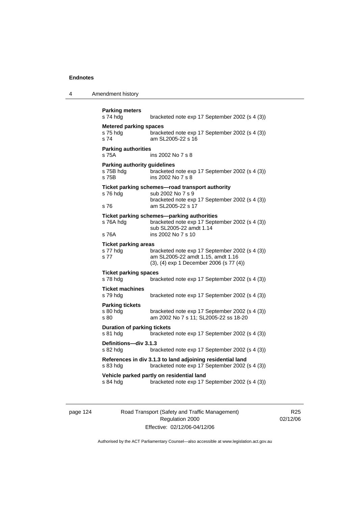4 Amendment history

| s 74 hdg                                                  | bracketed note exp 17 September 2002 (s 4 (3))                                                                                                |
|-----------------------------------------------------------|-----------------------------------------------------------------------------------------------------------------------------------------------|
| <b>Metered parking spaces</b><br>s 75 hda<br>s 74         | bracketed note exp 17 September 2002 (s 4 (3))<br>am SL2005-22 s 16                                                                           |
| <b>Parking authorities</b><br>s 75A                       | ins 2002 No 7 s 8                                                                                                                             |
| <b>Parking authority guidelines</b><br>s 75B hdg<br>s 75B | bracketed note exp 17 September 2002 (s 4 (3))<br>ins 2002 No 7 s 8                                                                           |
| s 76 hda<br>s 76                                          | Ticket parking schemes-road transport authority<br>sub 2002 No 7 s 9<br>bracketed note exp 17 September 2002 (s 4 (3))<br>am SL2005-22 s 17   |
| s 76A hdg<br>s 76A                                        | Ticket parking schemes-parking authorities<br>bracketed note exp 17 September 2002 (s 4 (3))<br>sub SL2005-22 amdt 1.14<br>ins 2002 No 7 s 10 |
| <b>Ticket parking areas</b><br>s 77 hdg<br>s 77           | bracketed note exp 17 September 2002 (s 4 (3))<br>am SL2005-22 amdt 1.15, amdt 1.16<br>(3), (4) exp 1 December 2006 (s 77 (4))                |
| <b>Ticket parking spaces</b><br>s 78 hda                  | bracketed note exp 17 September 2002 (s 4 (3))                                                                                                |
| <b>Ticket machines</b><br>s 79 hdg                        | bracketed note exp 17 September 2002 (s 4 (3))                                                                                                |
| <b>Parking tickets</b><br>s 80 hda<br>s 80                | bracketed note exp 17 September 2002 (s 4 (3))<br>am 2002 No 7 s 11; SL2005-22 ss 18-20                                                       |
| <b>Duration of parking tickets</b><br>s 81 hdg            | bracketed note exp 17 September 2002 (s 4 (3))                                                                                                |
| Definitions-div 3.1.3<br>s 82 hdg                         | bracketed note exp 17 September 2002 (s 4 (3))                                                                                                |
| s 83 hda                                                  | References in div 3.1.3 to land adjoining residential land<br>bracketed note exp 17 September 2002 (s 4 (3))                                  |
|                                                           | Vehicle parked partly on residential land                                                                                                     |

page 124 Road Transport (Safety and Traffic Management) Regulation 2000 Effective: 02/12/06-04/12/06

R25 02/12/06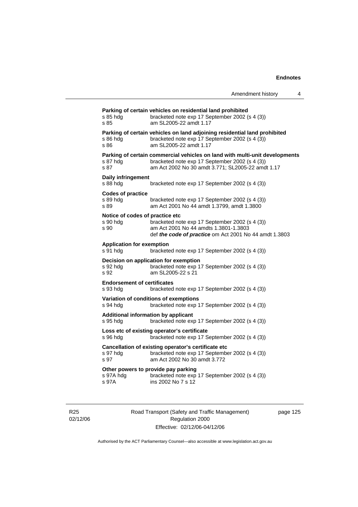| Amendment history |  |
|-------------------|--|
|-------------------|--|

**Parking of certain vehicles on residential land prohibited**  s 85 hdg bracketed note exp 17 September 2002 (s 4 (3)) s 85 am SL2005-22 amdt 1.17 **Parking of certain vehicles on land adjoining residential land prohibited**  s 86 hdg bracketed note exp 17 September 2002 (s 4 (3)) s 86 am SL2005-22 amdt 1.17 **Parking of certain commercial vehicles on land with multi-unit developments**  s 87 hdg bracketed note exp 17 September 2002 (s 4 (3))<br>s 87 **bracketed note 2002 No 30 amdt 3.771:** SL2005-22 amd am Act 2002 No 30 amdt 3.771; SL2005-22 amdt 1.17 **Daily infringement**  s 88 hdg bracketed note exp 17 September 2002 (s 4 (3)) **Codes of practice**  bracketed note exp 17 September 2002 (s 4 (3)) s 89 am Act 2001 No 44 amdt 1.3799, amdt 1.3800 **Notice of codes of practice etc**  s 90 hdg bracketed note exp 17 September 2002 (s 4 (3))<br>s 90 bracketed note exp 17 September 2002 (s 4 (3)) s 90 am Act 2001 No 44 amdts 1.3801-1.3803 def *the code of practice* om Act 2001 No 44 amdt 1.3803 **Application for exemption**  s 91 hdg bracketed note exp 17 September 2002 (s 4 (3)) **Decision on application for exemption**  s 92 hdg bracketed note exp 17 September 2002 (s 4 (3))<br>s 92 am SL2005-22 s 21 am SL2005-22 s 21 **Endorsement of certificates**  s 93 hdg bracketed note exp 17 September 2002 (s 4 (3)) **Variation of conditions of exemptions**  s 94 hdg bracketed note exp 17 September 2002 (s 4 (3)) **Additional information by applicant**  s 95 hdg bracketed note exp 17 September 2002 (s 4 (3)) **Loss etc of existing operator's certificate**  s 96 hdg bracketed note exp 17 September 2002 (s 4 (3)) **Cancellation of existing operator's certificate etc**  bracketed note exp 17 September 2002 (s 4 (3)) s 97 am Act 2002 No 30 amdt 3.772 **Other powers to provide pay parking**  s 97A hdg bracketed note exp 17 September 2002 (s 4 (3)) s 97A ins 2002 No 7 s 12

R25 02/12/06 Road Transport (Safety and Traffic Management) Regulation 2000 Effective: 02/12/06-04/12/06

page 125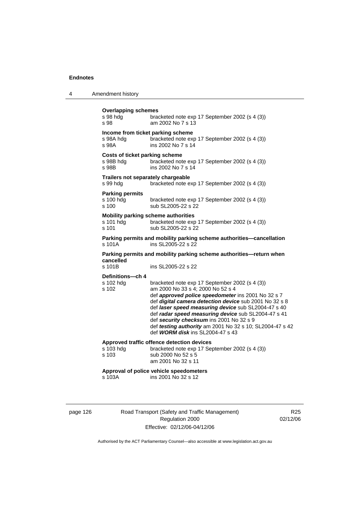| 4 | Amendment history |
|---|-------------------|
|---|-------------------|

|                                                                                                      | <b>Overlapping schemes</b><br>s 98 hdg<br>s 98              | bracketed note exp 17 September 2002 (s 4 (3))<br>am 2002 No 7 s 13                                                                                                                                                                                                                                                                                                                                                                                                  |
|------------------------------------------------------------------------------------------------------|-------------------------------------------------------------|----------------------------------------------------------------------------------------------------------------------------------------------------------------------------------------------------------------------------------------------------------------------------------------------------------------------------------------------------------------------------------------------------------------------------------------------------------------------|
|                                                                                                      | Income from ticket parking scheme<br>s 98A hdg<br>s 98A     | bracketed note exp 17 September 2002 (s 4 (3))<br>ins 2002 No 7 s 14                                                                                                                                                                                                                                                                                                                                                                                                 |
|                                                                                                      | <b>Costs of ticket parking scheme</b><br>s 98B hdg<br>s 98B | bracketed note exp 17 September 2002 (s 4 (3))<br>ins 2002 No 7 s 14                                                                                                                                                                                                                                                                                                                                                                                                 |
|                                                                                                      | Trailers not separately chargeable<br>s 99 hdg              | bracketed note exp 17 September 2002 (s 4 (3))                                                                                                                                                                                                                                                                                                                                                                                                                       |
|                                                                                                      | <b>Parking permits</b><br>s 100 hdg<br>s 100                | bracketed note exp 17 September 2002 (s 4 (3))<br>sub SL2005-22 s 22                                                                                                                                                                                                                                                                                                                                                                                                 |
|                                                                                                      | s 101 hdg<br>s 101                                          | <b>Mobility parking scheme authorities</b><br>bracketed note exp 17 September 2002 (s 4 (3))<br>sub SL2005-22 s 22                                                                                                                                                                                                                                                                                                                                                   |
| Parking permits and mobility parking scheme authorities-cancellation<br>s 101A<br>ins SL2005-22 s 22 |                                                             |                                                                                                                                                                                                                                                                                                                                                                                                                                                                      |
| Parking permits and mobility parking scheme authorities-return when<br>cancelled                     |                                                             |                                                                                                                                                                                                                                                                                                                                                                                                                                                                      |
|                                                                                                      | s 101B                                                      | ins SL2005-22 s 22                                                                                                                                                                                                                                                                                                                                                                                                                                                   |
|                                                                                                      | Definitions-ch 4<br>s 102 hdg<br>s 102                      | bracketed note exp 17 September 2002 (s 4 (3))<br>am 2000 No 33 s 4; 2000 No 52 s 4<br>def approved police speedometer ins 2001 No 32 s 7<br>def digital camera detection device sub 2001 No 32 s 8<br>def laser speed measuring device sub SL2004-47 s 40<br>def radar speed measuring device sub SL2004-47 s 41<br>def security checksum ins 2001 No 32 s 9<br>def testing authority am 2001 No 32 s 10; SL2004-47 s 42<br>def <b>WORM disk</b> ins SL2004-47 s 43 |
|                                                                                                      | s 103 hdg<br>s 103                                          | Approved traffic offence detection devices<br>bracketed note exp 17 September 2002 (s 4 (3))<br>sub 2000 No 52 s 5<br>am 2001 No 32 s 11                                                                                                                                                                                                                                                                                                                             |
|                                                                                                      | s 103A                                                      | Approval of police vehicle speedometers<br>ins 2001 No 32 s 12                                                                                                                                                                                                                                                                                                                                                                                                       |

page 126 Road Transport (Safety and Traffic Management) Regulation 2000 Effective: 02/12/06-04/12/06

R25 02/12/06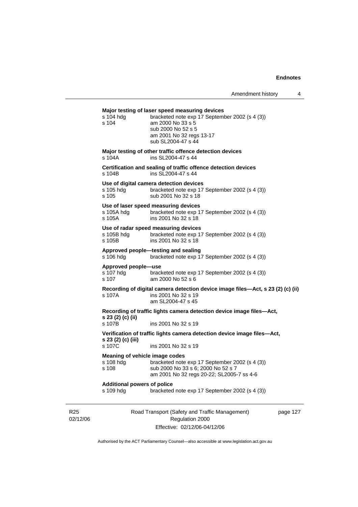# **Major testing of laser speed measuring devices**

| s 104 hdg<br>s 104                                   | Major testing of laser speed measuring devices<br>bracketed note exp 17 September 2002 (s 4 (3))<br>am 2000 No 33 s 5<br>sub 2000 No 52 s 5<br>am 2001 No 32 regs 13-17<br>sub SL2004-47 s 44 |          |
|------------------------------------------------------|-----------------------------------------------------------------------------------------------------------------------------------------------------------------------------------------------|----------|
| s 104A                                               | Major testing of other traffic offence detection devices<br>ins SL2004-47 s 44                                                                                                                |          |
| s 104B                                               | Certification and sealing of traffic offence detection devices<br>ins SL2004-47 s 44                                                                                                          |          |
| s 105 hdg<br>s 105                                   | Use of digital camera detection devices<br>bracketed note exp 17 September 2002 (s 4 (3))<br>sub 2001 No 32 s 18                                                                              |          |
| s 105A hdg<br>s 105A                                 | Use of laser speed measuring devices<br>bracketed note exp 17 September 2002 (s 4 (3))<br>ins 2001 No 32 s 18                                                                                 |          |
| s 105B hdg<br>s 105B                                 | Use of radar speed measuring devices<br>bracketed note exp 17 September 2002 (s 4 (3))<br>ins 2001 No 32 s 18                                                                                 |          |
| s 106 hdg                                            | Approved people-testing and sealing<br>bracketed note exp 17 September 2002 (s 4 (3))                                                                                                         |          |
| Approved people-use<br>s 107 hdg<br>s 107            | bracketed note exp 17 September 2002 (s 4 (3))<br>am 2000 No 52 s 6                                                                                                                           |          |
| s 107A                                               | Recording of digital camera detection device image files-Act, s 23 (2) (c) (ii)<br>ins 2001 No 32 s 19<br>am SL2004-47 s 45                                                                   |          |
| s 23 (2) (c) (ii)                                    | Recording of traffic lights camera detection device image files-Act,                                                                                                                          |          |
| s 107B                                               | ins 2001 No 32 s 19                                                                                                                                                                           |          |
| s 23 (2) (c) (iii)                                   | Verification of traffic lights camera detection device image files-Act,                                                                                                                       |          |
| s 107C                                               | ins 2001 No 32 s 19                                                                                                                                                                           |          |
| Meaning of vehicle image codes<br>s 108 hdg<br>s 108 | bracketed note exp 17 September 2002 (s 4 (3))<br>sub 2000 No 33 s 6; 2000 No 52 s 7<br>am 2001 No 32 regs 20-22; SL2005-7 ss 4-6                                                             |          |
| <b>Additional powers of police</b><br>s 109 hdg      | bracketed note exp 17 September 2002 (s 4 (3))                                                                                                                                                |          |
|                                                      | Road Transport (Safety and Traffic Management)<br>Regulation 2000                                                                                                                             | page 127 |

Effective: 02/12/06-04/12/06

R25 02/12/06 127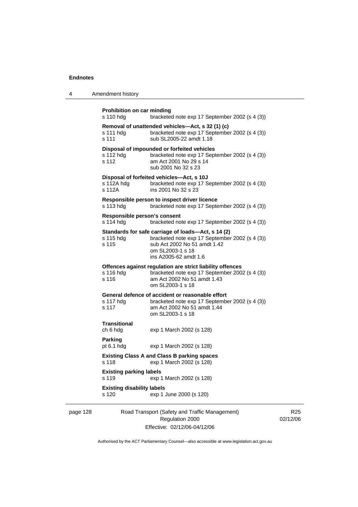4 Amendment history

|          | <b>Prohibition on car minding</b><br>s 110 hdg                                          | bracketed note exp 17 September 2002 (s 4 (3))                                                                                                                                    |  |  |
|----------|-----------------------------------------------------------------------------------------|-----------------------------------------------------------------------------------------------------------------------------------------------------------------------------------|--|--|
|          | s 111 hdg<br>s 111                                                                      | Removal of unattended vehicles-Act, s 32 (1) (c)<br>bracketed note exp 17 September 2002 (s 4 (3))<br>sub SL2005-22 amdt 1.18                                                     |  |  |
|          | s 112 hdg<br>s 112                                                                      | Disposal of impounded or forfeited vehicles<br>bracketed note exp 17 September 2002 (s 4 (3))<br>am Act 2001 No 29 s 14<br>sub 2001 No 32 s 23                                    |  |  |
|          | s 112A hda<br>s 112A                                                                    | Disposal of forfeited vehicles-Act, s 10J<br>bracketed note exp 17 September 2002 (s 4 (3))<br>ins 2001 No 32 s 23                                                                |  |  |
|          | s 113 hdg                                                                               | Responsible person to inspect driver licence<br>bracketed note exp 17 September 2002 (s 4 (3))                                                                                    |  |  |
|          | Responsible person's consent<br>s 114 hdg                                               | bracketed note exp 17 September 2002 (s 4 (3))                                                                                                                                    |  |  |
|          | s 115 hdg<br>s 115                                                                      | Standards for safe carriage of loads-Act, s 14 (2)<br>bracketed note exp 17 September 2002 (s 4 (3))<br>sub Act 2002 No 51 amdt 1.42<br>om SL2003-1 s 18<br>ins A2005-62 amdt 1.6 |  |  |
|          | s 116 hdg<br>s 116                                                                      | Offences against regulation are strict liability offences<br>bracketed note exp 17 September 2002 (s 4 (3))<br>am Act 2002 No 51 amdt 1.43<br>om SL2003-1 s 18                    |  |  |
|          | s 117 hdg<br>s 117                                                                      | General defence of accident or reasonable effort<br>bracketed note exp 17 September 2002 (s 4 (3))<br>am Act 2002 No 51 amdt 1.44<br>om SL2003-1 s 18                             |  |  |
|          | Transitional<br>ch 6 hdg                                                                | exp 1 March 2002 (s 128)                                                                                                                                                          |  |  |
|          | Parking<br>pt $6.1$ hdg                                                                 | exp 1 March 2002 (s 128)                                                                                                                                                          |  |  |
|          | <b>Existing Class A and Class B parking spaces</b><br>s 118<br>exp 1 March 2002 (s 128) |                                                                                                                                                                                   |  |  |
|          | <b>Existing parking labels</b><br>s 119                                                 | exp 1 March 2002 (s 128)                                                                                                                                                          |  |  |
|          | <b>Existing disability labels</b><br>s 120                                              | exp 1 June 2000 (s 120)                                                                                                                                                           |  |  |
| page 128 |                                                                                         | Road Transport (Safety and Traffic Management)<br>Regulation 2000                                                                                                                 |  |  |

Effective: 02/12/06-04/12/06

R25 02/12/06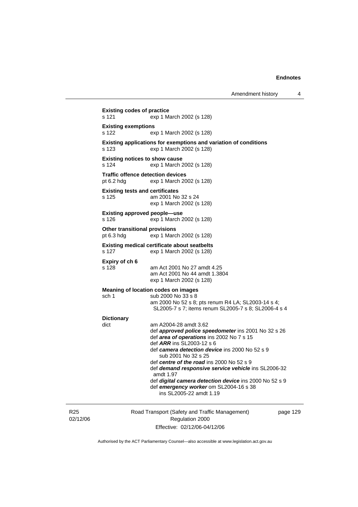**Existing codes of practice**  s 121 exp 1 March 2002 (s 128) **Existing exemptions**  s 122 exp 1 March 2002 (s 128) **Existing applications for exemptions and variation of conditions**  s 123 exp 1 March 2002 (s 128) **Existing notices to show cause**  s 124 exp 1 March 2002 (s 128) **Traffic offence detection devices**  pt 6.2 hdg exp 1 March 2002 (s 128) **Existing tests and certificates**  s 125 am 2001 No 32 s 24 exp 1 March 2002 (s 128) **Existing approved people—use**  s 126 exp 1 March 2002 (s 128) **Other transitional provisions**  pt 6.3 hdg exp 1 March 2002 (s 128) **Existing medical certificate about seatbelts**  s 127 exp 1 March 2002 (s 128) **Expiry of ch 6**  am Act 2001 No 27 amdt 4.25 am Act 2001 No 44 amdt 1.3804 exp 1 March 2002 (s 128) **Meaning of location codes on images**  sch 1 sub 2000 No 33 s 8 am 2000 No 52 s 8; pts renum R4 LA; SL2003-14 s 4; SL2005-7 s 7; items renum SL2005-7 s 8; SL2006-4 s 4 **Dictionary**  dict am A2004-28 amdt 3.62 def *approved police speedometer* ins 2001 No 32 s 26 def *area of operations* ins 2002 No 7 s 15 def *ARR* ins SL2003-12 s 6 def *camera detection device* ins 2000 No 52 s 9 sub 2001 No 32 s 25 def *centre of the road* ins 2000 No 52 s 9 def *demand responsive service vehicle* ins SL2006-32 amdt 1.97 def *digital camera detection device* ins 2000 No 52 s 9 def *emergency worker* om SL2004-16 s 38 ins SL2005-22 amdt 1.19

R25 02/12/06 Road Transport (Safety and Traffic Management) Regulation 2000 Effective: 02/12/06-04/12/06

page 129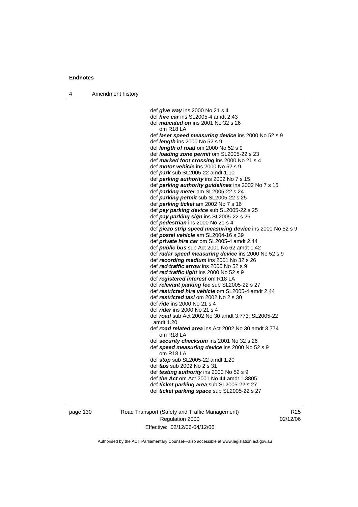4 Amendment history

 def *give way* ins 2000 No 21 s 4 def *hire car* ins SL2005-4 amdt 2.43 def *indicated on* ins 2001 No 32 s 26 om R18 LA def *laser speed measuring device* ins 2000 No 52 s 9 def *length* ins 2000 No 52 s 9 def *length of road* om 2000 No 52 s 9 def *loading zone permit* om SL2005-22 s 23 def *marked foot crossing* ins 2000 No 21 s 4 def *motor vehicle* ins 2000 No 52 s 9 def *park* sub SL2005-22 amdt 1.10 def *parking authority* ins 2002 No 7 s 15 def *parking authority guidelines* ins 2002 No 7 s 15 def *parking meter* am SL2005-22 s 24 def *parking permit* sub SL2005-22 s 25 def *parking ticket* am 2002 No 7 s 16 def *pay parking device* sub SL2005-22 s 25 def *pay parking sign* ins SL2005-22 s 26 def *pedestrian* ins 2000 No 21 s 4 def *piezo strip speed measuring device* ins 2000 No 52 s 9 def *postal vehicle* am SL2004-16 s 39 def *private hire car* om SL2005-4 amdt 2.44 def *public bus* sub Act 2001 No 62 amdt 1.42 def *radar speed measuring device* ins 2000 No 52 s 9 def *recording medium* ins 2001 No 32 s 26 def *red traffic arrow* ins 2000 No 52 s 9 def *red traffic light* ins 2000 No 52 s 9 def *registered interest* om R18 LA def *relevant parking fee* sub SL2005-22 s 27 def *restricted hire vehicle* om SL2005-4 amdt 2.44 def *restricted taxi* om 2002 No 2 s 30 def *ride* ins 2000 No 21 s 4 def *rider* ins 2000 No 21 s 4 def *road* sub Act 2002 No 30 amdt 3.773; SL2005-22 amdt 1.20 def *road related area* ins Act 2002 No 30 amdt 3.774 om R18 LA def *security checksum* ins 2001 No 32 s 26 def *speed measuring device* ins 2000 No 52 s 9 om R18 LA def *stop* sub SL2005-22 amdt 1.20 def *taxi* sub 2002 No 2 s 31 def *testing authority* ins 2000 No 52 s 9 def *the Act* om Act 2001 No 44 amdt 1.3805 def *ticket parking area* sub SL2005-22 s 27 def *ticket parking space* sub SL2005-22 s 27

page 130 Road Transport (Safety and Traffic Management) Regulation 2000 Effective: 02/12/06-04/12/06

R<sub>25</sub> 02/12/06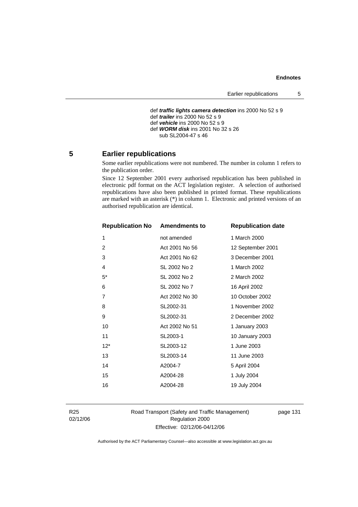```
 def traffic lights camera detection ins 2000 No 52 s 9 
def trailer ins 2000 No 52 s 9 
def vehicle ins 2000 No 52 s 9 
def WORM disk ins 2001 No 32 s 26 
   sub SL2004-47 s 46
```
# **5 Earlier republications**

Some earlier republications were not numbered. The number in column 1 refers to the publication order.

Since 12 September 2001 every authorised republication has been published in electronic pdf format on the ACT legislation register. A selection of authorised republications have also been published in printed format. These republications are marked with an asterisk (\*) in column 1. Electronic and printed versions of an authorised republication are identical.

| <b>Republication No Amendments to</b> |                | <b>Republication date</b> |
|---------------------------------------|----------------|---------------------------|
| 1                                     | not amended    | 1 March 2000              |
| $\overline{2}$                        | Act 2001 No 56 | 12 September 2001         |
| 3                                     | Act 2001 No 62 | 3 December 2001           |
| 4                                     | SL 2002 No 2   | 1 March 2002              |
| $5^*$                                 | SL 2002 No 2   | 2 March 2002              |
| 6                                     | SL 2002 No 7   | 16 April 2002             |
| 7                                     | Act 2002 No 30 | 10 October 2002           |
| 8                                     | SL2002-31      | 1 November 2002           |
| 9                                     | SL2002-31      | 2 December 2002           |
| 10                                    | Act 2002 No 51 | 1 January 2003            |
| 11                                    | SL2003-1       | 10 January 2003           |
| $12*$                                 | SL2003-12      | 1 June 2003               |
| 13                                    | SL2003-14      | 11 June 2003              |
| 14                                    | A2004-7        | 5 April 2004              |
| 15                                    | A2004-28       | 1 July 2004               |
| 16                                    | A2004-28       | 19 July 2004              |
|                                       |                |                           |

R25 02/12/06 Road Transport (Safety and Traffic Management) Regulation 2000 Effective: 02/12/06-04/12/06

page 131